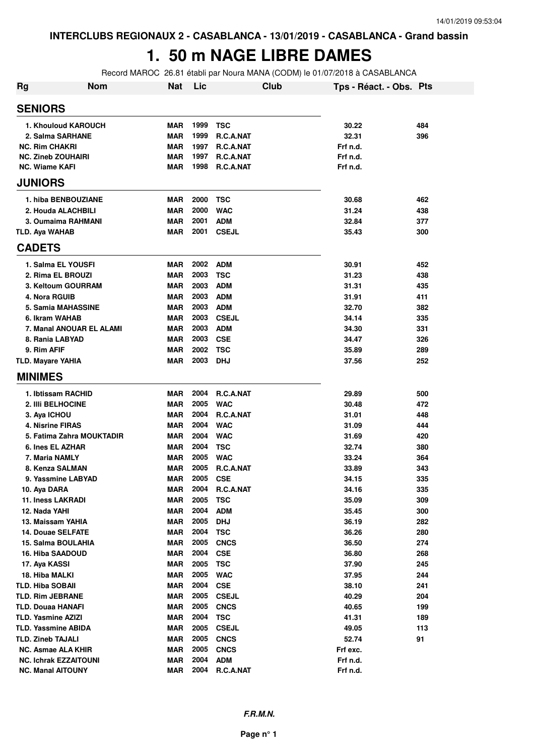# **1. 50 m NAGE LIBRE DAMES**

Record MAROC 26.81 établi par Noura MANA (CODM) le 01/07/2018 à CASABLANCA

| <b>Rg</b> | <b>Nom</b>                   | <b>Nat</b> | Lic  |                  | Club | Tps - Réact. - Obs. Pts |     |
|-----------|------------------------------|------------|------|------------------|------|-------------------------|-----|
|           | <b>SENIORS</b>               |            |      |                  |      |                         |     |
|           | 1. Khouloud KAROUCH          | <b>MAR</b> | 1999 | <b>TSC</b>       |      | 30.22                   | 484 |
|           | 2. Salma SARHANE             | <b>MAR</b> | 1999 | <b>R.C.A.NAT</b> |      | 32.31                   | 396 |
|           | <b>NC. Rim CHAKRI</b>        | <b>MAR</b> | 1997 | R.C.A.NAT        |      | Frf n.d.                |     |
|           | <b>NC. Zineb ZOUHAIRI</b>    | <b>MAR</b> | 1997 | R.C.A.NAT        |      | Frf n.d.                |     |
|           | <b>NC. Wiame KAFI</b>        | <b>MAR</b> | 1998 | R.C.A.NAT        |      | Frf n.d.                |     |
|           | <b>JUNIORS</b>               |            |      |                  |      |                         |     |
|           | 1. hiba BENBOUZIANE          | <b>MAR</b> | 2000 | TSC              |      | 30.68                   | 462 |
|           | 2. Houda ALACHBILI           | <b>MAR</b> | 2000 | <b>WAC</b>       |      | 31.24                   | 438 |
|           | 3. Oumaima RAHMANI           | <b>MAR</b> | 2001 | <b>ADM</b>       |      | 32.84                   | 377 |
|           | <b>TLD. Aya WAHAB</b>        | <b>MAR</b> | 2001 | <b>CSEJL</b>     |      | 35.43                   | 300 |
|           | <b>CADETS</b>                |            |      |                  |      |                         |     |
|           | 1. Salma EL YOUSFI           | <b>MAR</b> | 2002 | <b>ADM</b>       |      | 30.91                   | 452 |
|           | 2. Rima EL BROUZI            | <b>MAR</b> | 2003 | <b>TSC</b>       |      | 31.23                   | 438 |
|           | 3. Keltoum GOURRAM           | <b>MAR</b> | 2003 | <b>ADM</b>       |      | 31.31                   | 435 |
|           | 4. Nora RGUIB                | <b>MAR</b> | 2003 | <b>ADM</b>       |      | 31.91                   | 411 |
|           | <b>5. Samia MAHASSINE</b>    | <b>MAR</b> | 2003 | <b>ADM</b>       |      | 32.70                   | 382 |
|           | 6. Ikram WAHAB               | <b>MAR</b> | 2003 | <b>CSEJL</b>     |      | 34.14                   | 335 |
|           | 7. Manal ANOUAR EL ALAMI     | <b>MAR</b> | 2003 | <b>ADM</b>       |      | 34.30                   | 331 |
|           | 8. Rania LABYAD              | <b>MAR</b> | 2003 | <b>CSE</b>       |      | 34.47                   | 326 |
|           | 9. Rim AFIF                  | <b>MAR</b> | 2002 | <b>TSC</b>       |      | 35.89                   | 289 |
|           | <b>TLD. Mayare YAHIA</b>     | <b>MAR</b> | 2003 | <b>DHJ</b>       |      | 37.56                   | 252 |
|           | <b>MINIMES</b>               |            |      |                  |      |                         |     |
|           | 1. Ibtissam RACHID           | <b>MAR</b> | 2004 | R.C.A.NAT        |      | 29.89                   | 500 |
|           | 2. Illi BELHOCINE            | <b>MAR</b> | 2005 | <b>WAC</b>       |      | 30.48                   | 472 |
|           | 3. Aya ICHOU                 | <b>MAR</b> | 2004 | R.C.A.NAT        |      | 31.01                   | 448 |
|           | 4. Nisrine FIRAS             | <b>MAR</b> | 2004 | <b>WAC</b>       |      | 31.09                   | 444 |
|           | 5. Fatima Zahra MOUKTADIR    | <b>MAR</b> | 2004 | <b>WAC</b>       |      | 31.69                   | 420 |
|           | 6. Ines EL AZHAR             | <b>MAR</b> | 2004 | <b>TSC</b>       |      | 32.74                   | 380 |
|           | 7. Maria NAMLY               | <b>MAR</b> | 2005 | <b>WAC</b>       |      | 33.24                   | 364 |
|           | 8. Kenza SALMAN              | <b>MAR</b> | 2005 | R.C.A.NAT        |      | 33.89                   | 343 |
|           | 9. Yassmine LABYAD           | <b>MAR</b> | 2005 | <b>CSE</b>       |      | 34.15                   | 335 |
|           | 10. Aya DARA                 | MAR        | 2004 | R.C.A.NAT        |      | 34.16                   | 335 |
|           | 11. Iness LAKRADI            | <b>MAR</b> | 2005 | <b>TSC</b>       |      | 35.09                   | 309 |
|           | 12. Nada YAHI                | <b>MAR</b> | 2004 | <b>ADM</b>       |      | 35.45                   | 300 |
|           | 13. Maissam YAHIA            | <b>MAR</b> | 2005 | <b>DHJ</b>       |      | 36.19                   | 282 |
|           | 14. Douae SELFATE            | <b>MAR</b> | 2004 | <b>TSC</b>       |      | 36.26                   | 280 |
|           | 15. Salma BOULAHIA           | <b>MAR</b> | 2005 | <b>CNCS</b>      |      | 36.50                   | 274 |
|           | 16. Hiba SAADOUD             | <b>MAR</b> | 2004 | <b>CSE</b>       |      | 36.80                   | 268 |
|           | 17. Aya KASSI                | <b>MAR</b> | 2005 | <b>TSC</b>       |      | 37.90                   | 245 |
|           | 18. Hiba MALKI               | <b>MAR</b> | 2005 | <b>WAC</b>       |      | 37.95                   | 244 |
|           | <b>TLD. Hiba SOBAII</b>      | <b>MAR</b> | 2004 | <b>CSE</b>       |      | 38.10                   | 241 |
|           | TLD. Rim JEBRANE             | <b>MAR</b> | 2005 | <b>CSEJL</b>     |      | 40.29                   | 204 |
|           | <b>TLD. Douaa HANAFI</b>     | <b>MAR</b> | 2005 | <b>CNCS</b>      |      | 40.65                   | 199 |
|           | <b>TLD. Yasmine AZIZI</b>    | <b>MAR</b> | 2004 | <b>TSC</b>       |      | 41.31                   | 189 |
|           | <b>TLD. Yassmine ABIDA</b>   | <b>MAR</b> | 2005 | <b>CSEJL</b>     |      | 49.05                   | 113 |
|           | <b>TLD. Zineb TAJALI</b>     | <b>MAR</b> | 2005 | <b>CNCS</b>      |      | 52.74                   | 91  |
|           | <b>NC. Asmae ALA KHIR</b>    | <b>MAR</b> | 2005 | <b>CNCS</b>      |      | Frf exc.                |     |
|           | <b>NC. Ichrak EZZAITOUNI</b> | <b>MAR</b> | 2004 | <b>ADM</b>       |      | Frf n.d.                |     |
|           | <b>NC. Manal AITOUNY</b>     | <b>MAR</b> | 2004 | R.C.A.NAT        |      | Frf n.d.                |     |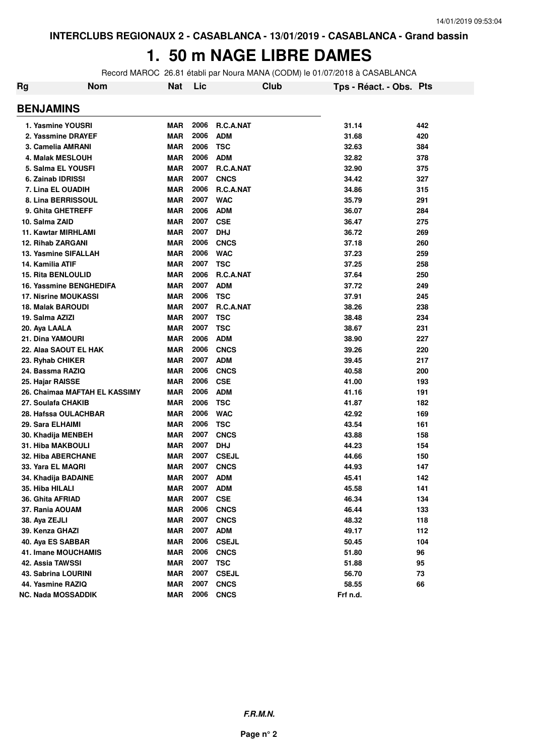### **1. 50 m NAGE LIBRE DAMES**

Record MAROC 26.81 établi par Noura MANA (CODM) le 01/07/2018 à CASABLANCA

| Rg                          | <b>Nom</b>                    | <b>Nat</b> | Lic  |                  | Club | Tps - Réact. - Obs. Pts |     |
|-----------------------------|-------------------------------|------------|------|------------------|------|-------------------------|-----|
| <b>BENJAMINS</b>            |                               |            |      |                  |      |                         |     |
| 1. Yasmine YOUSRI           |                               | <b>MAR</b> | 2006 | R.C.A.NAT        |      | 31.14                   | 442 |
| 2. Yassmine DRAYEF          |                               | <b>MAR</b> | 2006 | <b>ADM</b>       |      | 31.68                   | 420 |
| 3. Camelia AMRANI           |                               | <b>MAR</b> | 2006 | <b>TSC</b>       |      | 32.63                   | 384 |
| 4. Malak MESLOUH            |                               | <b>MAR</b> | 2006 | <b>ADM</b>       |      | 32.82                   | 378 |
| 5. Salma EL YOUSFI          |                               | <b>MAR</b> | 2007 | R.C.A.NAT        |      | 32.90                   | 375 |
| 6. Zainab IDRISSI           |                               | <b>MAR</b> | 2007 | <b>CNCS</b>      |      | 34.42                   | 327 |
| 7. Lina EL OUADIH           |                               | <b>MAR</b> | 2006 | <b>R.C.A.NAT</b> |      | 34.86                   | 315 |
| 8. Lina BERRISSOUL          |                               | <b>MAR</b> | 2007 | <b>WAC</b>       |      | 35.79                   | 291 |
| 9. Ghita GHETREFF           |                               | <b>MAR</b> | 2006 | <b>ADM</b>       |      | 36.07                   | 284 |
| 10. Salma ZAID              |                               | <b>MAR</b> | 2007 | <b>CSE</b>       |      | 36.47                   | 275 |
| 11. Kawtar MIRHLAMI         |                               | <b>MAR</b> | 2007 | <b>DHJ</b>       |      | 36.72                   | 269 |
| <b>12. Rihab ZARGANI</b>    |                               | <b>MAR</b> | 2006 | <b>CNCS</b>      |      | 37.18                   | 260 |
| 13. Yasmine SIFALLAH        |                               | <b>MAR</b> | 2006 | <b>WAC</b>       |      | 37.23                   | 259 |
| 14. Kamilia ATIF            |                               | <b>MAR</b> | 2007 | <b>TSC</b>       |      | 37.25                   | 258 |
| <b>15. Rita BENLOULID</b>   |                               | <b>MAR</b> | 2006 | R.C.A.NAT        |      | 37.64                   | 250 |
|                             | 16. Yassmine BENGHEDIFA       | <b>MAR</b> | 2007 | <b>ADM</b>       |      | 37.72                   | 249 |
| <b>17. Nisrine MOUKASSI</b> |                               | <b>MAR</b> | 2006 | <b>TSC</b>       |      | 37.91                   | 245 |
| <b>18. Malak BAROUDI</b>    |                               | <b>MAR</b> | 2007 | R.C.A.NAT        |      | 38.26                   | 238 |
| 19. Salma AZIZI             |                               | <b>MAR</b> | 2007 | TSC              |      | 38.48                   | 234 |
| 20. Aya LAALA               |                               | <b>MAR</b> | 2007 | <b>TSC</b>       |      | 38.67                   | 231 |
| 21. Dina YAMOURI            |                               | <b>MAR</b> | 2006 | <b>ADM</b>       |      | 38.90                   | 227 |
|                             | 22. Alaa SAOUT EL HAK         | <b>MAR</b> | 2006 | <b>CNCS</b>      |      | 39.26                   | 220 |
| 23. Ryhab CHIKER            |                               | <b>MAR</b> | 2007 | <b>ADM</b>       |      | 39.45                   | 217 |
| 24. Bassma RAZIQ            |                               | <b>MAR</b> | 2006 | <b>CNCS</b>      |      | 40.58                   | 200 |
| 25. Hajar RAISSE            |                               | <b>MAR</b> | 2006 | <b>CSE</b>       |      | 41.00                   | 193 |
|                             | 26. Chaimaa MAFTAH EL KASSIMY | <b>MAR</b> | 2006 | <b>ADM</b>       |      | 41.16                   | 191 |
| 27. Soulafa CHAKIB          |                               | <b>MAR</b> | 2006 | <b>TSC</b>       |      | 41.87                   | 182 |
|                             | 28. Hafssa OULACHBAR          | <b>MAR</b> | 2006 | <b>WAC</b>       |      | 42.92                   | 169 |
| 29. Sara ELHAIMI            |                               | <b>MAR</b> | 2006 | <b>TSC</b>       |      | 43.54                   | 161 |
| 30. Khadija MENBEH          |                               | <b>MAR</b> | 2007 | <b>CNCS</b>      |      | 43.88                   | 158 |
| 31. Hiba MAKBOULI           |                               | <b>MAR</b> | 2007 | <b>DHJ</b>       |      | 44.23                   | 154 |
| 32. Hiba ABERCHANE          |                               | <b>MAR</b> | 2007 | <b>CSEJL</b>     |      | 44.66                   | 150 |
| 33. Yara EL MAQRI           |                               | <b>MAR</b> | 2007 | <b>CNCS</b>      |      | 44.93                   | 147 |
| 34. Khadija BADAINE         |                               | <b>MAR</b> | 2007 | <b>ADM</b>       |      | 45.41                   | 142 |
| 35. Hiba HILALI             |                               | MAR        | 2007 | <b>ADM</b>       |      | 45.58                   | 141 |
| 36. Ghita AFRIAD            |                               | <b>MAR</b> | 2007 | <b>CSE</b>       |      | 46.34                   | 134 |
| 37. Rania AOUAM             |                               | <b>MAR</b> | 2006 | <b>CNCS</b>      |      | 46.44                   | 133 |
| 38. Aya ZEJLI               |                               | <b>MAR</b> | 2007 | <b>CNCS</b>      |      | 48.32                   | 118 |
| 39. Kenza GHAZI             |                               | <b>MAR</b> | 2007 | <b>ADM</b>       |      | 49.17                   | 112 |
| 40. Aya ES SABBAR           |                               | <b>MAR</b> | 2006 | <b>CSEJL</b>     |      | 50.45                   | 104 |
| <b>41. Imane MOUCHAMIS</b>  |                               | <b>MAR</b> | 2006 | <b>CNCS</b>      |      | 51.80                   | 96  |
| 42. Assia TAWSSI            |                               | <b>MAR</b> | 2007 | <b>TSC</b>       |      | 51.88                   | 95  |
| 43. Sabrina LOURINI         |                               | <b>MAR</b> | 2007 | <b>CSEJL</b>     |      | 56.70                   | 73  |
| 44. Yasmine RAZIQ           |                               | <b>MAR</b> | 2007 | <b>CNCS</b>      |      | 58.55                   | 66  |
| NC. Nada MOSSADDIK          |                               | <b>MAR</b> | 2006 | <b>CNCS</b>      |      | Frf n.d.                |     |
|                             |                               |            |      |                  |      |                         |     |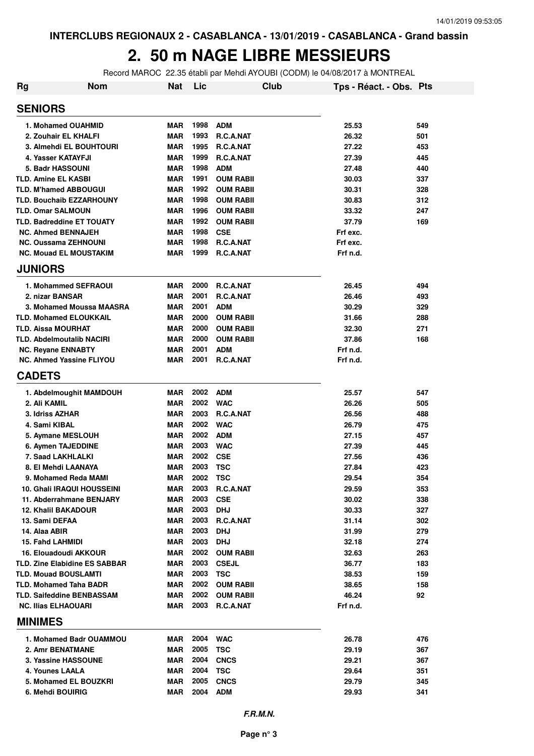#### **2. 50 m NAGE LIBRE MESSIEURS**

Record MAROC 22.35 établi par Mehdi AYOUBI (CODM) le 04/08/2017 à MONTREAL

| <b>Rg</b> | <b>Nom</b>                                                          | <b>Nat</b> | Lic          | Club                       | Tps - Réact. - Obs. Pts |            |
|-----------|---------------------------------------------------------------------|------------|--------------|----------------------------|-------------------------|------------|
|           | <b>SENIORS</b>                                                      |            |              |                            |                         |            |
|           | 1. Mohamed OUAHMID                                                  | <b>MAR</b> | 1998         | <b>ADM</b>                 | 25.53                   | 549        |
|           | 2. Zouhair EL KHALFI                                                | <b>MAR</b> | 1993         | R.C.A.NAT                  | 26.32                   | 501        |
|           | 3. Almehdi EL BOUHTOURI                                             | <b>MAR</b> | 1995         | R.C.A.NAT                  | 27.22                   | 453        |
|           | 4. Yasser KATAYFJI                                                  | <b>MAR</b> | 1999         | R.C.A.NAT                  | 27.39                   | 445        |
|           | 5. Badr HASSOUNI                                                    | <b>MAR</b> | 1998         | <b>ADM</b>                 | 27.48                   | 440        |
|           | <b>TLD. Amine EL KASBI</b>                                          | <b>MAR</b> | 1991         | <b>OUM RABII</b>           | 30.03                   | 337        |
|           | <b>TLD. M'hamed ABBOUGUI</b>                                        | <b>MAR</b> | 1992         | <b>OUM RABII</b>           | 30.31                   | 328        |
|           | <b>TLD. Bouchaib EZZARHOUNY</b>                                     | <b>MAR</b> | 1998         | <b>OUM RABII</b>           | 30.83                   | 312        |
|           | <b>TLD. Omar SALMOUN</b>                                            | <b>MAR</b> | 1996         | <b>OUM RABII</b>           | 33.32                   | 247        |
|           | <b>TLD. Badreddine ET TOUATY</b>                                    | <b>MAR</b> | 1992         | <b>OUM RABII</b>           | 37.79                   | 169        |
|           | <b>NC. Ahmed BENNAJEH</b>                                           | <b>MAR</b> | 1998         | <b>CSE</b>                 | Frf exc.                |            |
|           | <b>NC. Oussama ZEHNOUNI</b>                                         | MAR        | 1998         | R.C.A.NAT                  | Frf exc.                |            |
|           | <b>NC. Mouad EL MOUSTAKIM</b>                                       | <b>MAR</b> | 1999         | R.C.A.NAT                  | Frf n.d.                |            |
|           | <b>JUNIORS</b>                                                      |            |              |                            |                         |            |
|           | 1. Mohammed SEFRAOUI                                                | <b>MAR</b> | 2000         | R.C.A.NAT                  | 26.45                   | 494        |
|           | 2. nizar BANSAR                                                     | <b>MAR</b> | 2001         | R.C.A.NAT                  | 26.46                   | 493        |
|           | 3. Mohamed Moussa MAASRA                                            | <b>MAR</b> | 2001         | <b>ADM</b>                 | 30.29                   | 329        |
|           | <b>TLD. Mohamed ELOUKKAIL</b>                                       | <b>MAR</b> | 2000         | <b>OUM RABII</b>           | 31.66                   | 288        |
|           | <b>TLD. Aissa MOURHAT</b>                                           | <b>MAR</b> | 2000         | <b>OUM RABII</b>           | 32.30                   | 271        |
|           | <b>TLD. Abdelmoutalib NACIRI</b>                                    | <b>MAR</b> | 2000         | <b>OUM RABII</b>           | 37.86                   | 168        |
|           | <b>NC. Reyane ENNABTY</b>                                           | <b>MAR</b> | 2001         | <b>ADM</b>                 | Frf n.d.                |            |
|           | <b>NC. Ahmed Yassine FLIYOU</b>                                     | <b>MAR</b> | 2001         | R.C.A.NAT                  | Frf n.d.                |            |
|           | <b>CADETS</b>                                                       |            |              |                            |                         |            |
|           | 1. Abdelmoughit MAMDOUH                                             | <b>MAR</b> | 2002         | <b>ADM</b>                 | 25.57                   | 547        |
|           | 2. Ali KAMIL                                                        | <b>MAR</b> | 2002         | <b>WAC</b>                 | 26.26                   | 505        |
|           | 3. Idriss AZHAR                                                     | <b>MAR</b> | 2003         | R.C.A.NAT                  | 26.56                   | 488        |
|           | 4. Sami KIBAL                                                       | <b>MAR</b> | 2002         | <b>WAC</b>                 | 26.79                   | 475        |
|           | 5. Aymane MESLOUH                                                   | <b>MAR</b> | 2002         | <b>ADM</b>                 | 27.15                   | 457        |
|           | 6. Aymen TAJEDDINE                                                  | <b>MAR</b> | 2003         | <b>WAC</b>                 | 27.39                   | 445        |
|           | 7. Saad LAKHLALKI                                                   | <b>MAR</b> | 2002         | <b>CSE</b>                 | 27.56                   | 436        |
|           | 8. El Mehdi LAANAYA                                                 | <b>MAR</b> | 2003         | <b>TSC</b>                 | 27.84                   | 423        |
|           | 9. Mohamed Reda MAMI                                                | MAR        | 2002         | <b>TSC</b>                 | 29.54                   | 354        |
|           | <b>10. Ghali IRAQUI HOUSSEINI</b>                                   | MAR        | 2003         | R.C.A.NAT                  | 29.59                   | 353        |
|           | 11. Abderrahmane BENJARY                                            | MAR        | 2003         | <b>CSE</b>                 | 30.02                   | 338        |
|           | <b>12. Khalil BAKADOUR</b>                                          | MAR        | 2003         | <b>DHJ</b>                 | 30.33                   | 327        |
|           | 13. Sami DEFAA                                                      | MAR        | 2003         | R.C.A.NAT                  | 31.14                   | 302        |
|           | 14. Alaa ABIR                                                       | MAR        | 2003         | <b>DHJ</b>                 | 31.99                   | 279        |
|           | 15. Fahd LAHMIDI                                                    | MAR        | 2003         | <b>DHJ</b>                 | 32.18                   | 274        |
|           | 16. Elouadoudi AKKOUR                                               | MAR        | 2002<br>2003 | <b>OUM RABII</b>           | 32.63                   | 263        |
|           | <b>TLD. Zine Elabidine ES SABBAR</b><br><b>TLD. Mouad BOUSLAMTI</b> | MAR<br>MAR | 2003         | <b>CSEJL</b><br><b>TSC</b> | 36.77<br>38.53          | 183<br>159 |
|           | <b>TLD. Mohamed Taha BADR</b>                                       | MAR        | 2002         | <b>OUM RABII</b>           | 38.65                   | 158        |
|           | <b>TLD. Saifeddine BENBASSAM</b>                                    | MAR        | 2002         | <b>OUM RABII</b>           | 46.24                   | 92         |
|           | <b>NC. Ilias ELHAOUARI</b>                                          | MAR        | 2003         | R.C.A.NAT                  | Frf n.d.                |            |
|           | <b>MINIMES</b>                                                      |            |              |                            |                         |            |
|           | 1. Mohamed Badr OUAMMOU                                             | MAR        | 2004         | <b>WAC</b>                 | 26.78                   | 476        |
|           | 2. Amr BENATMANE                                                    | MAR        | 2005         | <b>TSC</b>                 | 29.19                   | 367        |
|           | <b>3. Yassine HASSOUNE</b>                                          | MAR        | 2004         | <b>CNCS</b>                | 29.21                   | 367        |
|           | 4. Younes LAALA                                                     | MAR        | 2004         | <b>TSC</b>                 | 29.64                   | 351        |
|           | 5. Mohamed EL BOUZKRI                                               | MAR        | 2005         | <b>CNCS</b>                | 29.79                   | 345        |
|           | 6. Mehdi BOUIRIG                                                    | MAR        | 2004         | ADM                        | 29.93                   | 341        |
|           |                                                                     |            |              |                            |                         |            |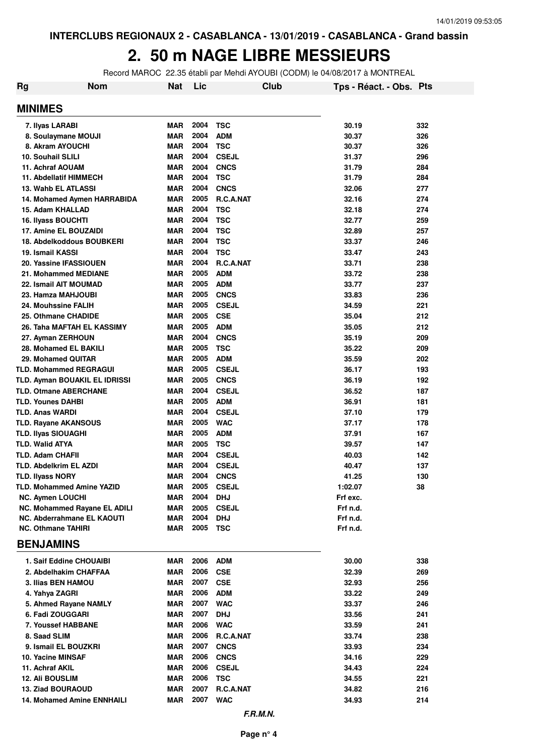#### **2. 50 m NAGE LIBRE MESSIEURS**

Record MAROC 22.35 établi par Mehdi AYOUBI (CODM) le 04/08/2017 à MONTREAL

| Rg                                                 | Nom                          | Nat                      | Lic          |                              | Club | Tps - Réact. - Obs. Pts |            |
|----------------------------------------------------|------------------------------|--------------------------|--------------|------------------------------|------|-------------------------|------------|
| <b>MINIMES</b>                                     |                              |                          |              |                              |      |                         |            |
| 7. Ilyas LARABI                                    |                              | <b>MAR</b>               | 2004         | <b>TSC</b>                   |      | 30.19                   | 332        |
| 8. Soulaymane MOUJI                                |                              | <b>MAR</b>               | 2004         | <b>ADM</b>                   |      | 30.37                   | 326        |
| 8. Akram AYOUCHI                                   |                              | <b>MAR</b>               | 2004         | <b>TSC</b>                   |      | 30.37                   | 326        |
| 10. Souhail SLILI                                  |                              | <b>MAR</b>               | 2004         | <b>CSEJL</b>                 |      | 31.37                   | 296        |
| 11. Achraf AOUAM                                   |                              | <b>MAR</b>               | 2004         | <b>CNCS</b>                  |      | 31.79                   | 284        |
| <b>11. Abdellatif HIMMECH</b>                      |                              | <b>MAR</b>               | 2004         | TSC                          |      | 31.79                   | 284        |
| 13. Wahb EL ATLASSI                                |                              | <b>MAR</b>               | 2004         | <b>CNCS</b>                  |      | 32.06                   | 277        |
|                                                    | 14. Mohamed Aymen HARRABIDA  | <b>MAR</b>               | 2005         | R.C.A.NAT                    |      | 32.16                   | 274        |
| 15. Adam KHALLAD                                   |                              | <b>MAR</b><br><b>MAR</b> | 2004<br>2004 | TSC<br><b>TSC</b>            |      | 32.18<br>32.77          | 274        |
| <b>16. Ilyass BOUCHTI</b><br>17. Amine EL BOUZAIDI |                              | <b>MAR</b>               | 2004         | <b>TSC</b>                   |      | 32.89                   | 259<br>257 |
| 18. Abdelkoddous BOUBKERI                          |                              | <b>MAR</b>               | 2004         | <b>TSC</b>                   |      | 33.37                   | 246        |
| 19. Ismail KASSI                                   |                              | <b>MAR</b>               | 2004         | <b>TSC</b>                   |      | 33.47                   | 243        |
| 20. Yassine IFASSIOUEN                             |                              | <b>MAR</b>               | 2004         | <b>R.C.A.NAT</b>             |      | 33.71                   | 238        |
| 21. Mohammed MEDIANE                               |                              | <b>MAR</b>               | 2005         | <b>ADM</b>                   |      | 33.72                   | 238        |
| 22. Ismail AIT MOUMAD                              |                              | <b>MAR</b>               | 2005         | <b>ADM</b>                   |      | 33.77                   | 237        |
| 23. Hamza MAHJOUBI                                 |                              | <b>MAR</b>               | 2005         | <b>CNCS</b>                  |      | 33.83                   | 236        |
| 24. Mouhssine FALIH                                |                              | <b>MAR</b>               | 2005         | <b>CSEJL</b>                 |      | 34.59                   | 221        |
| 25. Othmane CHADIDE                                |                              | <b>MAR</b>               | 2005         | <b>CSE</b>                   |      | 35.04                   | 212        |
| 26. Taha MAFTAH EL KASSIMY                         |                              | <b>MAR</b>               | 2005         | <b>ADM</b>                   |      | 35.05                   | 212        |
| 27. Ayman ZERHOUN                                  |                              | <b>MAR</b>               | 2004         | <b>CNCS</b>                  |      | 35.19                   | 209        |
| 28. Mohamed EL BAKILI                              |                              | <b>MAR</b>               | 2005         | <b>TSC</b>                   |      | 35.22                   | 209        |
| 29. Mohamed QUITAR                                 |                              | <b>MAR</b>               | 2005         | <b>ADM</b>                   |      | 35.59                   | 202        |
| <b>TLD. Mohammed REGRAGUI</b>                      |                              | <b>MAR</b>               | 2005         | <b>CSEJL</b>                 |      | 36.17                   | 193        |
| TLD. Ayman BOUAKIL EL IDRISSI                      |                              | <b>MAR</b>               | 2005         | <b>CNCS</b>                  |      | 36.19                   | 192        |
| <b>TLD. Otmane ABERCHANE</b>                       |                              | <b>MAR</b>               | 2004         | <b>CSEJL</b>                 |      | 36.52                   | 187        |
| <b>TLD. Younes DAHBI</b>                           |                              | <b>MAR</b>               | 2005         | <b>ADM</b>                   |      | 36.91                   | 181        |
| <b>TLD. Anas WARDI</b>                             |                              | <b>MAR</b>               | 2004         | <b>CSEJL</b>                 |      | 37.10                   | 179        |
| <b>TLD. Rayane AKANSOUS</b>                        |                              | <b>MAR</b>               | 2005         | <b>WAC</b>                   |      | 37.17                   | 178        |
| <b>TLD. Ilyas SIOUAGHI</b>                         |                              | <b>MAR</b>               | 2005         | <b>ADM</b>                   |      | 37.91                   | 167        |
| <b>TLD. Walid ATYA</b>                             |                              | <b>MAR</b><br><b>MAR</b> | 2005<br>2004 | <b>TSC</b>                   |      | 39.57                   | 147        |
| <b>TLD. Adam CHAFII</b><br>TLD. Abdelkrim EL AZDI  |                              | <b>MAR</b>               | 2004         | <b>CSEJL</b><br><b>CSEJL</b> |      | 40.03<br>40.47          | 142<br>137 |
| <b>TLD. Ilyass NORY</b>                            |                              | <b>MAR</b>               | 2004         | <b>CNCS</b>                  |      | 41.25                   | 130        |
| TLD. Mohammed Amine YAZID                          |                              | <b>MAR</b>               |              | 2005 CSEJL                   |      | 1:02.07                 | 38         |
| <b>NC. Aymen LOUCHI</b>                            |                              | MAR                      | 2004         | <b>DHJ</b>                   |      | Frf exc.                |            |
|                                                    | NC. Mohammed Rayane EL ADILI | MAR                      | 2005         | <b>CSEJL</b>                 |      | Frf n.d.                |            |
| <b>NC. Abderrahmane EL KAOUTI</b>                  |                              | MAR                      | 2004         | <b>DHJ</b>                   |      | Frf n.d.                |            |
| <b>NC. Othmane TAHIRI</b>                          |                              | MAR                      | 2005         | TSC                          |      | Frf n.d.                |            |
| <b>BENJAMINS</b>                                   |                              |                          |              |                              |      |                         |            |
| 1. Saif Eddine CHOUAIBI                            |                              | MAR                      | 2006         | <b>ADM</b>                   |      | 30.00                   | 338        |
| 2. Abdelhakim CHAFFAA                              |                              | MAR                      | 2006         | <b>CSE</b>                   |      | 32.39                   | 269        |
| 3. Ilias BEN HAMOU                                 |                              | MAR                      | 2007         | <b>CSE</b>                   |      | 32.93                   | 256        |
| 4. Yahya ZAGRI                                     |                              | MAR                      | 2006         | <b>ADM</b>                   |      | 33.22                   | 249        |
| 5. Ahmed Rayane NAMLY                              |                              | MAR                      | 2007         | <b>WAC</b>                   |      | 33.37                   | 246        |
| 6. Fadi ZOUGGARI                                   |                              | <b>MAR</b>               | 2007         | <b>DHJ</b>                   |      | 33.56                   | 241        |
| 7. Youssef HABBANE                                 |                              | <b>MAR</b>               | 2006         | <b>WAC</b>                   |      | 33.59                   | 241        |
| 8. Saad SLIM                                       |                              | <b>MAR</b>               | 2006         | R.C.A.NAT                    |      | 33.74                   | 238        |
| 9. Ismail EL BOUZKRI                               |                              | <b>MAR</b>               | 2007         | <b>CNCS</b>                  |      | 33.93                   | 234        |
| 10. Yacine MINSAF<br>11. Achraf AKIL               |                              | <b>MAR</b><br><b>MAR</b> | 2006<br>2006 | <b>CNCS</b><br><b>CSEJL</b>  |      | 34.16<br>34.43          | 229<br>224 |
| <b>12. Ali BOUSLIM</b>                             |                              | MAR                      | 2006         | TSC                          |      | 34.55                   | 221        |
| 13. Ziad BOURAOUD                                  |                              | <b>MAR</b>               | 2007         | R.C.A.NAT                    |      | 34.82                   | 216        |
| <b>14. Mohamed Amine ENNHAILI</b>                  |                              | MAR                      | 2007         | <b>WAC</b>                   |      | 34.93                   | 214        |
|                                                    |                              |                          |              |                              |      |                         |            |
|                                                    |                              |                          |              | F.R.M.N.                     |      |                         |            |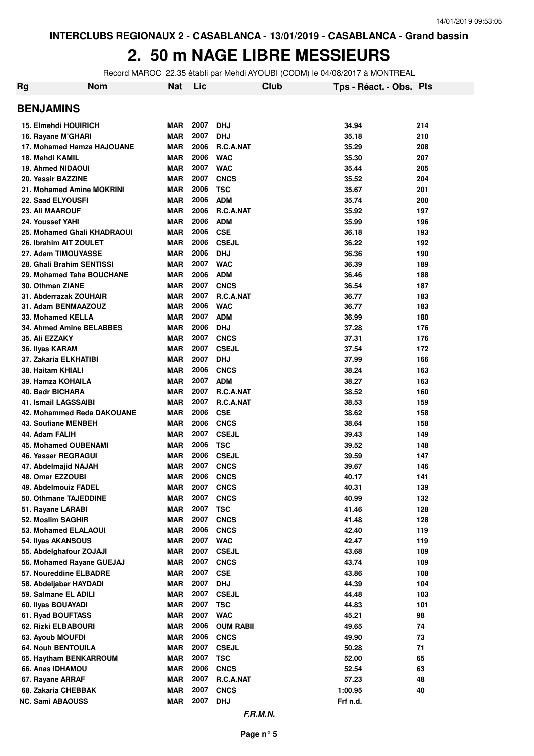#### **2. 50 m NAGE LIBRE MESSIEURS**

Record MAROC 22.35 établi par Mehdi AYOUBI (CODM) le 04/08/2017 à MONTREAL

| Rg | Nom                                           | Nat               | Lic          |                             | Club | Tps - Réact. - Obs. Pts |          |
|----|-----------------------------------------------|-------------------|--------------|-----------------------------|------|-------------------------|----------|
|    | <b>BENJAMINS</b>                              |                   |              |                             |      |                         |          |
|    | <b>15. Elmehdi HOUIRICH</b>                   | <b>MAR</b>        | 2007         | <b>DHJ</b>                  |      | 34.94                   | 214      |
|    | 16. Rayane M'GHARI                            | <b>MAR</b>        | 2007         | <b>DHJ</b>                  |      | 35.18                   | 210      |
|    | 17. Mohamed Hamza HAJOUANE                    | <b>MAR</b>        | 2006         | R.C.A.NAT                   |      | 35.29                   | 208      |
|    | 18. Mehdi KAMIL                               | <b>MAR</b>        | 2006         | <b>WAC</b>                  |      | 35.30                   | 207      |
|    | <b>19. Ahmed NIDAOUI</b>                      | <b>MAR</b>        | 2007         | <b>WAC</b>                  |      | 35.44                   | 205      |
|    | 20. Yassir BAZZINE                            | <b>MAR</b>        | 2007         | <b>CNCS</b>                 |      | 35.52                   | 204      |
|    | 21. Mohamed Amine MOKRINI                     | <b>MAR</b>        | 2006         | <b>TSC</b>                  |      | 35.67                   | 201      |
|    | 22. Saad ELYOUSFI                             | <b>MAR</b>        | 2006         | <b>ADM</b>                  |      | 35.74                   | 200      |
|    | <b>23. Ali MAAROUF</b>                        | <b>MAR</b>        | 2006         | R.C.A.NAT                   |      | 35.92                   | 197      |
|    | 24. Youssef YAHI                              | <b>MAR</b>        | 2006         | <b>ADM</b>                  |      | 35.99                   | 196      |
|    | 25. Mohamed Ghali KHADRAOUI                   | <b>MAR</b>        | 2006         | <b>CSE</b>                  |      | 36.18                   | 193      |
|    | 26. Ibrahim AIT ZOULET                        | <b>MAR</b>        | 2006         | <b>CSEJL</b>                |      | 36.22                   | 192      |
|    | 27. Adam TIMOUYASSE                           | <b>MAR</b>        | 2006         | <b>DHJ</b>                  |      | 36.36                   | 190      |
|    | 28. Ghali Brahim SENTISSI                     | <b>MAR</b>        | 2007         | <b>WAC</b>                  |      | 36.39                   | 189      |
|    | 29. Mohamed Taha BOUCHANE                     | <b>MAR</b>        | 2006         | <b>ADM</b>                  |      | 36.46                   | 188      |
|    | 30. Othman ZIANE                              | <b>MAR</b>        | 2007         | <b>CNCS</b>                 |      | 36.54                   | 187      |
|    | 31. Abderrazak ZOUHAIR                        | <b>MAR</b>        | 2007         | <b>R.C.A.NAT</b>            |      | 36.77                   | 183      |
|    | 31. Adam BENMAAZOUZ                           | <b>MAR</b>        | 2006         | <b>WAC</b>                  |      | 36.77                   | 183      |
|    | 33. Mohamed KELLA                             | <b>MAR</b>        | 2007         | <b>ADM</b>                  |      | 36.99                   | 180      |
|    | 34. Ahmed Amine BELABBES                      | <b>MAR</b>        | 2006         | <b>DHJ</b>                  |      | 37.28                   | 176      |
|    | 35. Ali EZZAKY                                | <b>MAR</b>        | 2007         | <b>CNCS</b>                 |      | 37.31                   | 176      |
|    | 36. Ilyas KARAM                               | <b>MAR</b>        | 2007         | <b>CSEJL</b>                |      | 37.54                   | 172      |
|    | 37. Zakaria ELKHATIBI                         | <b>MAR</b>        | 2007         | <b>DHJ</b>                  |      | 37.99                   | 166      |
|    | 38. Haitam KHIALI                             | <b>MAR</b>        | 2006         | <b>CNCS</b>                 |      | 38.24                   | 163      |
|    | 39. Hamza KOHAILA                             | <b>MAR</b>        | 2007         | <b>ADM</b>                  |      | 38.27                   | 163      |
|    | 40. Badr BICHARA                              | <b>MAR</b>        | 2007         | R.C.A.NAT                   |      | 38.52                   | 160      |
|    | 41. Ismail LAGSSAIBI                          | <b>MAR</b>        | 2007         | R.C.A.NAT                   |      | 38.53                   | 159      |
|    | 42. Mohammed Reda DAKOUANE                    | <b>MAR</b>        | 2006         | <b>CSE</b>                  |      | 38.62                   | 158      |
|    | <b>43. Soufiane MENBEH</b>                    | <b>MAR</b>        | 2006         | <b>CNCS</b>                 |      | 38.64                   | 158      |
|    | 44. Adam FALIH                                | <b>MAR</b>        | 2007         | <b>CSEJL</b>                |      | 39.43                   | 149      |
|    | <b>45. Mohamed OUBENAMI</b>                   | <b>MAR</b>        | 2006         | <b>TSC</b>                  |      | 39.52                   | 148      |
|    | 46. Yasser REGRAGUI                           | <b>MAR</b>        | 2006         | <b>CSEJL</b>                |      | 39.59                   | 147      |
|    | 47. Abdelmajid NAJAH                          | <b>MAR</b>        | 2007         | <b>CNCS</b>                 |      | 39.67                   | 146      |
|    | 48. Omar EZZOUBI                              | MAR               | 2006         | <b>CNCS</b>                 |      | 40.17                   | 141      |
|    | 49. Abdelmouiz FADEL                          | <b>MAR</b>        | 2007         | <b>CNCS</b>                 |      | 40.31                   | 139      |
|    | 50. Othmane TAJEDDINE                         | <b>MAR</b>        | 2007         | <b>CNCS</b>                 |      | 40.99                   | 132      |
|    | 51. Rayane LARABI                             | <b>MAR</b>        | 2007         | <b>TSC</b>                  |      | 41.46                   | 128      |
|    | 52. Moslim SAGHIR                             | <b>MAR</b>        | 2007         | <b>CNCS</b>                 |      | 41.48                   | 128      |
|    | 53. Mohamed ELALAOUI                          | MAR               | 2006         | <b>CNCS</b>                 |      | 42.40                   | 119      |
|    | 54. Ilyas AKANSOUS                            | <b>MAR</b>        | 2007         | <b>WAC</b>                  |      | 42.47                   | 119      |
|    | 55. Abdelghafour ZOJAJI                       | <b>MAR</b>        | 2007         | <b>CSEJL</b>                |      | 43.68                   | 109      |
|    | 56. Mohamed Rayane GUEJAJ                     | <b>MAR</b>        | 2007         | <b>CNCS</b>                 |      | 43.74                   | 109      |
|    | 57. Noureddine ELBADRE                        | <b>MAR</b>        | 2007<br>2007 | <b>CSE</b>                  |      | 43.86                   | 108      |
|    | 58. Abdeljabar HAYDADI                        | <b>MAR</b>        | 2007         | <b>DHJ</b>                  |      | 44.39                   | 104      |
|    | 59. Salmane EL ADILI                          | MAR               | 2007         | <b>CSEJL</b>                |      | 44.48                   | 103      |
|    | 60. Ilyas BOUAYADI                            | <b>MAR</b>        | 2007         | <b>TSC</b>                  |      | 44.83                   | 101      |
|    | 61. Ryad BOUFTASS                             | <b>MAR</b>        | 2006         | <b>WAC</b>                  |      | 45.21                   | 98       |
|    | 62. Rizki ELBABOURI                           | MAR               |              | <b>OUM RABII</b>            |      | 49.65                   | 74       |
|    | 63. Ayoub MOUFDI<br><b>64. Nouh BENTOUILA</b> | <b>MAR</b><br>MAR | 2006<br>2007 | <b>CNCS</b><br><b>CSEJL</b> |      | 49.90<br>50.28          | 73<br>71 |
|    | 65. Haytham BENKARROUM                        | MAR               | 2007         | TSC                         |      | 52.00                   | 65       |
|    | 66. Anas IDHAMOU                              | <b>MAR</b>        | 2006         | <b>CNCS</b>                 |      | 52.54                   | 63       |
|    | 67. Rayane ARRAF                              | MAR               | 2007         | R.C.A.NAT                   |      | 57.23                   | 48       |
|    | 68. Zakaria CHEBBAK                           | MAR               | 2007         | <b>CNCS</b>                 |      | 1:00.95                 | 40       |
|    | <b>NC. Sami ABAOUSS</b>                       | MAR               | 2007         | <b>DHJ</b>                  |      | Frf n.d.                |          |
|    |                                               |                   |              |                             |      |                         |          |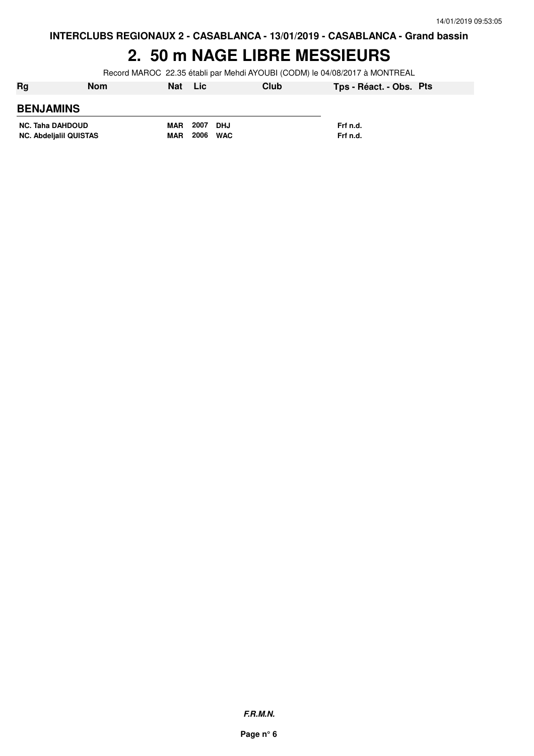**INTERCLUBS REGIONAUX 2 - CASABLANCA - 13/01/2019 - CASABLANCA - Grand bassin**

#### **2. 50 m NAGE LIBRE MESSIEURS**

Record MAROC 22.35 établi par Mehdi AYOUBI (CODM) le 04/08/2017 à MONTREAL

| <b>Rg</b>                                                | <b>Nom</b> | <b>Nat</b>               | <b>Lic</b>   |                   | Club | Tps - Réact. - Obs. Pts |  |
|----------------------------------------------------------|------------|--------------------------|--------------|-------------------|------|-------------------------|--|
| <b>BENJAMINS</b>                                         |            |                          |              |                   |      |                         |  |
| <b>NC. Taha DAHDOUD</b><br><b>NC. Abdeljalil QUISTAS</b> |            | <b>MAR</b><br><b>MAR</b> | 2007<br>2006 | DHJ<br><b>WAC</b> |      | Frf n.d.<br>Frf n.d.    |  |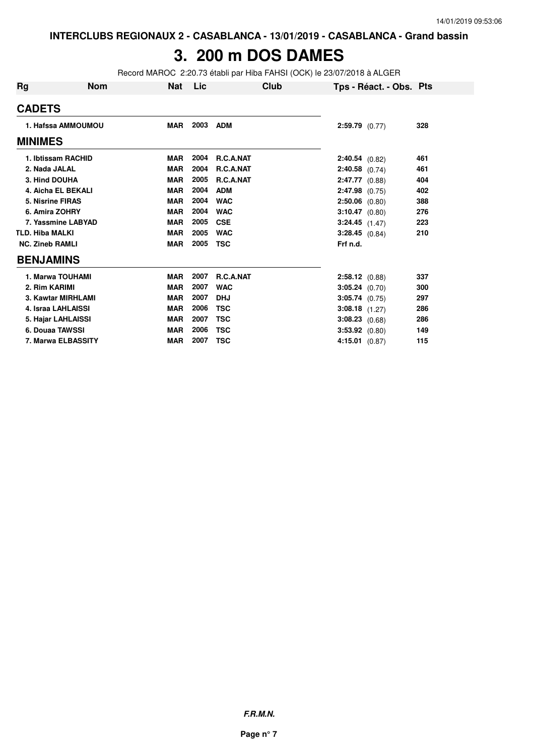### **3. 200 m DOS DAMES**

Record MAROC 2:20.73 établi par Hiba FAHSI (OCK) le 23/07/2018 à ALGER

| Rg                        | <b>Nom</b> | Nat        | Lic  | Club             | Tps - Réact. - Obs. Pts |     |
|---------------------------|------------|------------|------|------------------|-------------------------|-----|
| <b>CADETS</b>             |            |            |      |                  |                         |     |
| 1. Hafssa AMMOUMOU        |            | <b>MAR</b> | 2003 | <b>ADM</b>       | $2:59.79$ (0.77)        | 328 |
| <b>MINIMES</b>            |            |            |      |                  |                         |     |
| 1. Ibtissam RACHID        |            | <b>MAR</b> | 2004 | <b>R.C.A.NAT</b> | $2:40.54$ (0.82)        | 461 |
| 2. Nada JALAL             |            | <b>MAR</b> | 2004 | R.C.A.NAT        | $2:40.58$ (0.74)        | 461 |
| 3. Hind DOUHA             |            | <b>MAR</b> | 2005 | R.C.A.NAT        | $2:47.77$ (0.88)        | 404 |
| 4. Aicha EL BEKALI        |            | <b>MAR</b> | 2004 | <b>ADM</b>       | $2:47.98$ (0.75)        | 402 |
| <b>5. Nisrine FIRAS</b>   |            | <b>MAR</b> | 2004 | <b>WAC</b>       | $2:50.06$ (0.80)        | 388 |
| 6. Amira ZOHRY            |            | <b>MAR</b> | 2004 | <b>WAC</b>       | $3:10.47$ (0.80)        | 276 |
| 7. Yassmine LABYAD        |            | <b>MAR</b> | 2005 | <b>CSE</b>       | $3:24.45$ $(1.47)$      | 223 |
| <b>TLD. Hiba MALKI</b>    |            | <b>MAR</b> | 2005 | <b>WAC</b>       | $3:28.45$ (0.84)        | 210 |
| <b>NC. Zineb RAMLI</b>    |            | <b>MAR</b> | 2005 | <b>TSC</b>       | Frf n.d.                |     |
| <b>BENJAMINS</b>          |            |            |      |                  |                         |     |
| 1. Marwa TOUHAMI          |            | <b>MAR</b> | 2007 | R.C.A.NAT        | $2:58.12$ (0.88)        | 337 |
| 2. Rim KARIMI             |            | <b>MAR</b> | 2007 | <b>WAC</b>       | $3:05.24$ (0.70)        | 300 |
| 3. Kawtar MIRHLAMI        |            | <b>MAR</b> | 2007 | <b>DHJ</b>       | $3:05.74$ (0.75)        | 297 |
| 4. Israa LAHLAISSI        |            | <b>MAR</b> | 2006 | <b>TSC</b>       | $3:08.18$ $(1.27)$      | 286 |
| 5. Hajar LAHLAISSI        |            | <b>MAR</b> | 2007 | <b>TSC</b>       | $3:08.23$ (0.68)        | 286 |
| 6. Douaa TAWSSI           |            | <b>MAR</b> | 2006 | <b>TSC</b>       | $3:53.92$ $(0.80)$      | 149 |
| <b>7. Marwa ELBASSITY</b> |            | <b>MAR</b> | 2007 | <b>TSC</b>       | $4:15.01$ (0.87)        | 115 |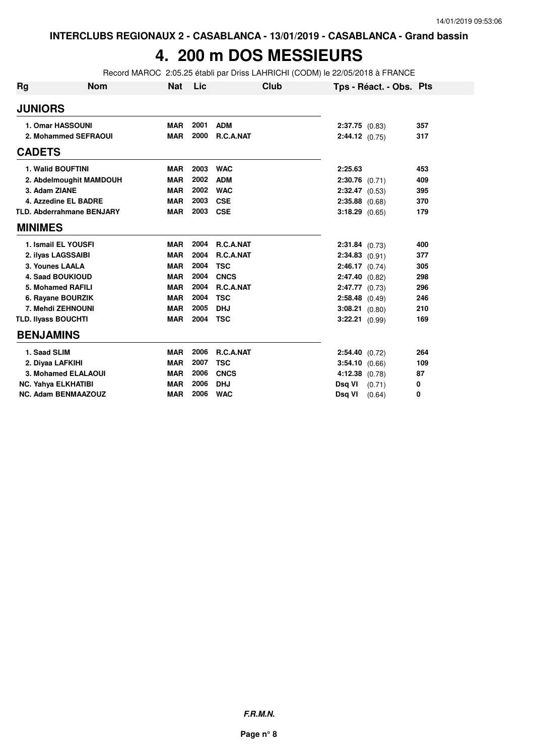# **4. 200 m DOS MESSIEURS**

Record MAROC 2:05.25 établi par Driss LAHRICHI (CODM) le 22/05/2018 à FRANCE

| Rg             | <b>Nom</b>                       | <b>Nat</b> | Lic  | Club             |                    | Tps - Réact. - Obs. Pts |     |
|----------------|----------------------------------|------------|------|------------------|--------------------|-------------------------|-----|
| <b>JUNIORS</b> |                                  |            |      |                  |                    |                         |     |
|                | 1. Omar HASSOUNI                 | <b>MAR</b> | 2001 | <b>ADM</b>       | $2:37.75$ (0.83)   |                         | 357 |
|                | 2. Mohammed SEFRAOUI             | <b>MAR</b> | 2000 | R.C.A.NAT        | 2:44.12 (0.75)     |                         | 317 |
| <b>CADETS</b>  |                                  |            |      |                  |                    |                         |     |
|                | 1. Walid BOUFTINI                | <b>MAR</b> | 2003 | <b>WAC</b>       | 2:25.63            |                         | 453 |
|                | 2. Abdelmoughit MAMDOUH          | <b>MAR</b> | 2002 | <b>ADM</b>       | $2:30.76$ (0.71)   |                         | 409 |
|                | 3. Adam ZIANE                    | <b>MAR</b> | 2002 | <b>WAC</b>       | $2:32.47$ (0.53)   |                         | 395 |
|                | 4. Azzedine EL BADRE             | <b>MAR</b> | 2003 | <b>CSE</b>       | $2:35.88$ (0.68)   |                         | 370 |
|                | <b>TLD. Abderrahmane BENJARY</b> | <b>MAR</b> | 2003 | <b>CSE</b>       | $3:18.29$ (0.65)   |                         | 179 |
| <b>MINIMES</b> |                                  |            |      |                  |                    |                         |     |
|                | 1. Ismail EL YOUSFI              | <b>MAR</b> | 2004 | R.C.A.NAT        | 2:31.84 (0.73)     |                         | 400 |
|                | 2. ilvas LAGSSAIBI               | <b>MAR</b> | 2004 | <b>R.C.A.NAT</b> | $2:34.83$ (0.91)   |                         | 377 |
|                | 3. Younes LAALA                  | <b>MAR</b> | 2004 | <b>TSC</b>       | 2:46.17(0.74)      |                         | 305 |
|                | <b>4. Saad BOUKIOUD</b>          | <b>MAR</b> | 2004 | <b>CNCS</b>      | 2:47.40 (0.82)     |                         | 298 |
|                | 5. Mohamed RAFILI                | <b>MAR</b> | 2004 | R.C.A.NAT        | $2:47.77$ (0.73)   |                         | 296 |
|                | 6. Rayane BOURZIK                | <b>MAR</b> | 2004 | <b>TSC</b>       | $2:58.48$ (0.49)   |                         | 246 |
|                | 7. Mehdi ZEHNOUNI                | <b>MAR</b> | 2005 | <b>DHJ</b>       | $3:08.21$ (0.80)   |                         | 210 |
|                | <b>TLD. Ilvass BOUCHTI</b>       | <b>MAR</b> | 2004 | <b>TSC</b>       | 3:22.21 (0.99)     |                         | 169 |
|                | <b>BENJAMINS</b>                 |            |      |                  |                    |                         |     |
|                | 1. Saad SLIM                     | <b>MAR</b> | 2006 | R.C.A.NAT        | 2:54.40 (0.72)     |                         | 264 |
|                | 2. Diyaa LAFKIHI                 | <b>MAR</b> | 2007 | <b>TSC</b>       | 3:54.10 (0.66)     |                         | 109 |
|                | 3. Mohamed ELALAOUI              | <b>MAR</b> | 2006 | <b>CNCS</b>      | $4:12.38$ $(0.78)$ |                         | 87  |
|                | <b>NC. Yahya ELKHATIBI</b>       | <b>MAR</b> | 2006 | <b>DHJ</b>       | Dsg VI             | (0.71)                  | 0   |
|                | <b>NC. Adam BENMAAZOUZ</b>       | <b>MAR</b> | 2006 | <b>WAC</b>       | Dsq VI             | (0.64)                  | 0   |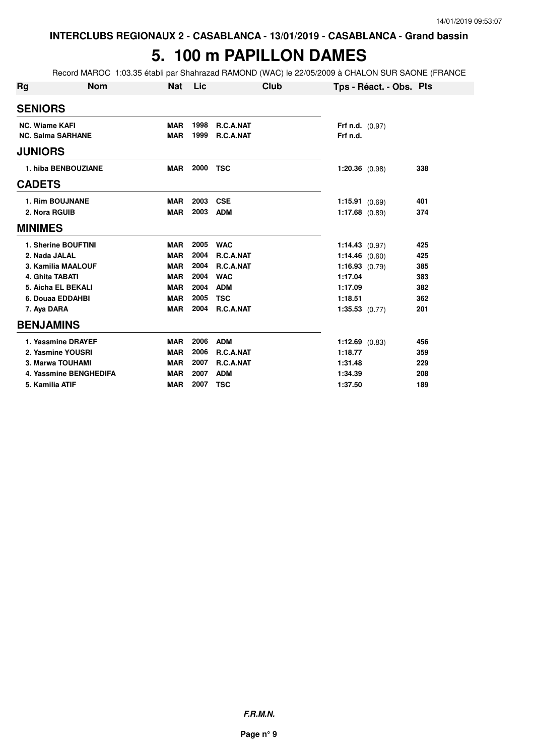### **5. 100 m PAPILLON DAMES**

Record MAROC 1:03.35 établi par Shahrazad RAMOND (WAC) le 22/05/2009 à CHALON SUR SAONE (FRANCE

| <b>Rg</b>                | <b>Nom</b>             | <b>Nat</b> | Lic  | Club       | Tps - Réact. - Obs. Pts  |     |
|--------------------------|------------------------|------------|------|------------|--------------------------|-----|
| <b>SENIORS</b>           |                        |            |      |            |                          |     |
| <b>NC. Wiame KAFI</b>    |                        | <b>MAR</b> | 1998 | R.C.A.NAT  | <b>Frf n.d.</b> $(0.97)$ |     |
| <b>NC. Salma SARHANE</b> |                        | <b>MAR</b> | 1999 | R.C.A.NAT  | Frf n.d.                 |     |
| <b>JUNIORS</b>           |                        |            |      |            |                          |     |
|                          | 1. hiba BENBOUZIANE    | <b>MAR</b> | 2000 | <b>TSC</b> | $1:20.36$ (0.98)         | 338 |
| <b>CADETS</b>            |                        |            |      |            |                          |     |
| <b>1. Rim BOUJNANE</b>   |                        | <b>MAR</b> | 2003 | <b>CSE</b> | 1:15.91(0.69)            | 401 |
| 2. Nora RGUIB            |                        | <b>MAR</b> | 2003 | <b>ADM</b> | $1:17.68$ (0.89)         | 374 |
| <b>MINIMES</b>           |                        |            |      |            |                          |     |
|                          | 1. Sherine BOUFTINI    | <b>MAR</b> | 2005 | <b>WAC</b> | 1:14.43(0.97)            | 425 |
| 2. Nada JALAL            |                        | <b>MAR</b> | 2004 | R.C.A.NAT  | 1:14.46(0.60)            | 425 |
|                          | 3. Kamilia MAALOUF     | <b>MAR</b> | 2004 | R.C.A.NAT  | 1:16.93(0.79)            | 385 |
| 4. Ghita TABATI          |                        | <b>MAR</b> | 2004 | <b>WAC</b> | 1:17.04                  | 383 |
|                          | 5. Aicha EL BEKALI     | <b>MAR</b> | 2004 | <b>ADM</b> | 1:17.09                  | 382 |
| 6. Douaa EDDAHBI         |                        | <b>MAR</b> | 2005 | <b>TSC</b> | 1:18.51                  | 362 |
| 7. Aya DARA              |                        | <b>MAR</b> | 2004 | R.C.A.NAT  | $1:35.53$ $(0.77)$       | 201 |
| <b>BENJAMINS</b>         |                        |            |      |            |                          |     |
|                          | 1. Yassmine DRAYEF     | <b>MAR</b> | 2006 | <b>ADM</b> | $1:12.69$ (0.83)         | 456 |
|                          | 2. Yasmine YOUSRI      | <b>MAR</b> | 2006 | R.C.A.NAT  | 1:18.77                  | 359 |
|                          | 3. Marwa TOUHAMI       | <b>MAR</b> | 2007 | R.C.A.NAT  | 1:31.48                  | 229 |
|                          | 4. Yassmine BENGHEDIFA | <b>MAR</b> | 2007 | <b>ADM</b> | 1:34.39                  | 208 |
| 5. Kamilia ATIF          |                        | <b>MAR</b> | 2007 | <b>TSC</b> | 1:37.50                  | 189 |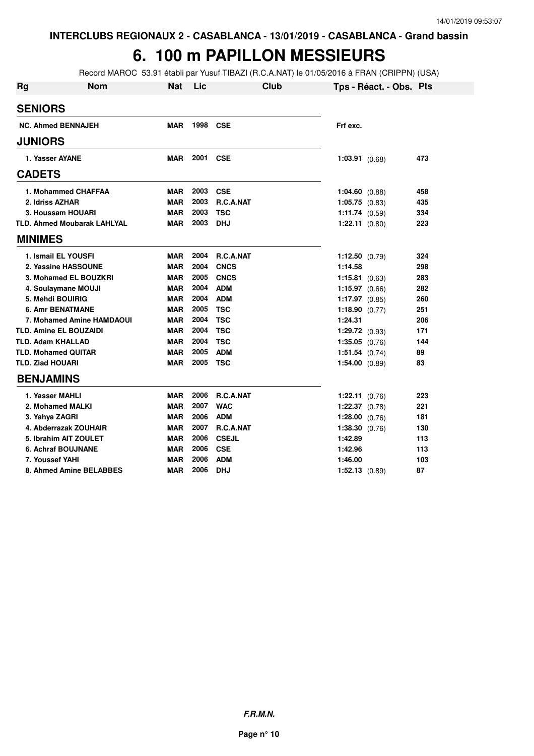# **6. 100 m PAPILLON MESSIEURS**

Record MAROC 53.91 établi par Yusuf TIBAZI (R.C.A.NAT) le 01/05/2016 à FRAN (CRIPPN) (USA)

| <b>Rg</b>                  | <b>Nom</b>                         | <b>Nat</b> | Lic      | <b>Club</b>      | Tps - Réact. - Obs. Pts |     |
|----------------------------|------------------------------------|------------|----------|------------------|-------------------------|-----|
| <b>SENIORS</b>             |                                    |            |          |                  |                         |     |
|                            | <b>NC. Ahmed BENNAJEH</b>          | <b>MAR</b> | 1998     | <b>CSE</b>       | Frf exc.                |     |
| <b>JUNIORS</b>             |                                    |            |          |                  |                         |     |
| 1. Yasser AYANE            |                                    | MAR        | 2001 CSE |                  | $1:03.91$ $(0.68)$      | 473 |
| <b>CADETS</b>              |                                    |            |          |                  |                         |     |
|                            | 1. Mohammed CHAFFAA                | MAR        | 2003     | <b>CSE</b>       | $1:04.60$ (0.88)        | 458 |
| 2. Idriss AZHAR            |                                    | <b>MAR</b> | 2003     | R.C.A.NAT        | $1:05.75$ $(0.83)$      | 435 |
|                            | 3. Houssam HOUARI                  | <b>MAR</b> | 2003     | <b>TSC</b>       | 1:11.74(0.59)           | 334 |
|                            | <b>TLD. Ahmed Moubarak LAHLYAL</b> | <b>MAR</b> | 2003     | <b>DHJ</b>       | $1:22.11$ (0.80)        | 223 |
| <b>MINIMES</b>             |                                    |            |          |                  |                         |     |
|                            | 1. Ismail EL YOUSFI                | <b>MAR</b> | 2004     | <b>R.C.A.NAT</b> | 1:12.50 $(0.79)$        | 324 |
|                            | 2. Yassine HASSOUNE                | <b>MAR</b> | 2004     | <b>CNCS</b>      | 1:14.58                 | 298 |
|                            | 3. Mohamed EL BOUZKRI              | <b>MAR</b> | 2005     | <b>CNCS</b>      | $1:15.81$ (0.63)        | 283 |
|                            | 4. Soulaymane MOUJI                | <b>MAR</b> | 2004     | <b>ADM</b>       | $1:15.97$ (0.66)        | 282 |
| 5. Mehdi BOUIRIG           |                                    | <b>MAR</b> | 2004     | <b>ADM</b>       | $1:17.97$ (0.85)        | 260 |
|                            | <b>6. Amr BENATMANE</b>            | <b>MAR</b> | 2005     | <b>TSC</b>       | 1:18.90 $(0.77)$        | 251 |
|                            | <b>7. Mohamed Amine HAMDAOUI</b>   | <b>MAR</b> | 2004     | <b>TSC</b>       | 1:24.31                 | 206 |
|                            | <b>TLD. Amine EL BOUZAIDI</b>      | <b>MAR</b> | 2004     | <b>TSC</b>       | $1:29.72$ (0.93)        | 171 |
| <b>TLD. Adam KHALLAD</b>   |                                    | <b>MAR</b> | 2004     | <b>TSC</b>       | $1:35.05$ (0.76)        | 144 |
| <b>TLD. Mohamed QUITAR</b> |                                    | <b>MAR</b> | 2005     | <b>ADM</b>       | $1:51.54$ (0.74)        | 89  |
| <b>TLD. Ziad HOUARI</b>    |                                    | <b>MAR</b> | 2005     | <b>TSC</b>       | $1:54.00$ (0.89)        | 83  |
| <b>BENJAMINS</b>           |                                    |            |          |                  |                         |     |
| 1. Yasser MAHLI            |                                    | <b>MAR</b> | 2006     | <b>R.C.A.NAT</b> | 1:22.11 (0.76)          | 223 |
|                            | 2. Mohamed MALKI                   | <b>MAR</b> | 2007     | <b>WAC</b>       | $1:22.37$ $(0.78)$      | 221 |
| 3. Yahya ZAGRI             |                                    | <b>MAR</b> | 2006     | <b>ADM</b>       | 1:28.00 $(0.76)$        | 181 |
|                            | 4. Abderrazak ZOUHAIR              | <b>MAR</b> | 2007     | <b>R.C.A.NAT</b> | 1:38.30 (0.76)          | 130 |
|                            | 5. Ibrahim AIT ZOULET              | <b>MAR</b> | 2006     | <b>CSEJL</b>     | 1:42.89                 | 113 |
|                            | <b>6. Achraf BOUJNANE</b>          | <b>MAR</b> | 2006     | <b>CSE</b>       | 1:42.96                 | 113 |
| 7. Youssef YAHI            |                                    | <b>MAR</b> | 2006     | <b>ADM</b>       | 1:46.00                 | 103 |
|                            | 8. Ahmed Amine BELABBES            | <b>MAR</b> | 2006     | <b>DHJ</b>       | $1:52.13$ $(0.89)$      | 87  |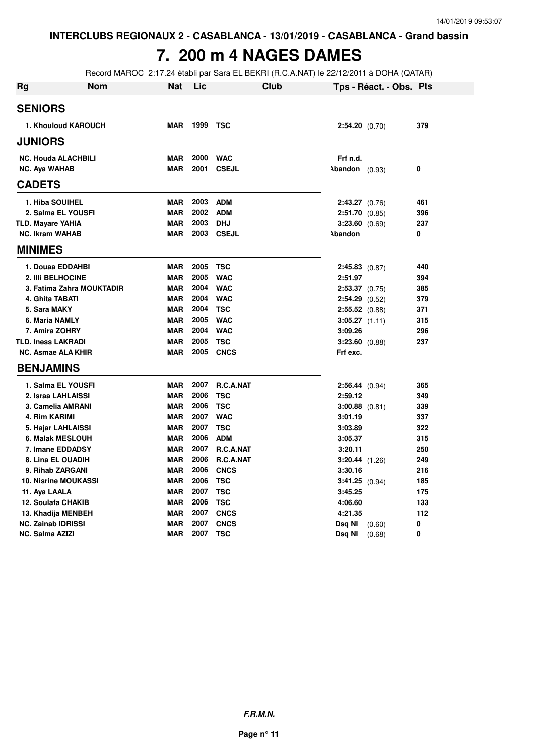# **7. 200 m 4 NAGES DAMES**

Record MAROC 2:17.24 établi par Sara EL BEKRI (R.C.A.NAT) le 22/12/2011 à DOHA (QATAR)

| <b>Rg</b> | Nom                         | Nat        | Lic  | Club         |                           | Tps - Réact. - Obs. Pts |     |
|-----------|-----------------------------|------------|------|--------------|---------------------------|-------------------------|-----|
|           | <b>SENIORS</b>              |            |      |              |                           |                         |     |
|           | 1. Khouloud KAROUCH         | <b>MAR</b> | 1999 | <b>TSC</b>   | 2:54.20 (0.70)            |                         | 379 |
|           | <b>JUNIORS</b>              |            |      |              |                           |                         |     |
|           | <b>NC. Houda ALACHBILI</b>  | <b>MAR</b> | 2000 | <b>WAC</b>   | Frf n.d.                  |                         |     |
|           | <b>NC. Aya WAHAB</b>        | <b>MAR</b> | 2001 | <b>CSEJL</b> | $\lambda$ bandon $(0.93)$ |                         | 0   |
|           | <b>CADETS</b>               |            |      |              |                           |                         |     |
|           | 1. Hiba SOUIHEL             | <b>MAR</b> | 2003 | <b>ADM</b>   | $2:43.27$ (0.76)          |                         | 461 |
|           | 2. Salma EL YOUSFI          | <b>MAR</b> | 2002 | <b>ADM</b>   | $2:51.70$ (0.85)          |                         | 396 |
|           | <b>TLD. Mayare YAHIA</b>    | <b>MAR</b> | 2003 | <b>DHJ</b>   | 3:23.60 (0.69)            |                         | 237 |
|           | <b>NC. Ikram WAHAB</b>      | <b>MAR</b> | 2003 | <b>CSEJL</b> | <b>\bandon</b>            |                         | 0   |
|           | <b>MINIMES</b>              |            |      |              |                           |                         |     |
|           | 1. Douaa EDDAHBI            | <b>MAR</b> | 2005 | <b>TSC</b>   | $2:45.83$ (0.87)          |                         | 440 |
|           | 2. IIIi BELHOCINE           | <b>MAR</b> | 2005 | <b>WAC</b>   | 2:51.97                   |                         | 394 |
|           | 3. Fatima Zahra MOUKTADIR   | <b>MAR</b> | 2004 | <b>WAC</b>   | $2:53.37$ $(0.75)$        |                         | 385 |
|           | 4. Ghita TABATI             | <b>MAR</b> | 2004 | <b>WAC</b>   | $2:54.29$ (0.52)          |                         | 379 |
|           | 5. Sara MAKY                | <b>MAR</b> | 2004 | <b>TSC</b>   | $2:55.52$ (0.88)          |                         | 371 |
|           | 6. Maria NAMLY              | <b>MAR</b> | 2005 | <b>WAC</b>   | $3:05.27$ (1.11)          |                         | 315 |
|           | 7. Amira ZOHRY              | <b>MAR</b> | 2004 | <b>WAC</b>   | 3:09.26                   |                         | 296 |
|           | <b>TLD. Iness LAKRADI</b>   | <b>MAR</b> | 2005 | <b>TSC</b>   | $3:23.60$ (0.88)          |                         | 237 |
|           | <b>NC. Asmae ALA KHIR</b>   | <b>MAR</b> | 2005 | <b>CNCS</b>  | Frf exc.                  |                         |     |
|           | <b>BENJAMINS</b>            |            |      |              |                           |                         |     |
|           | 1. Salma EL YOUSFI          | <b>MAR</b> | 2007 | R.C.A.NAT    | 2:56.44 (0.94)            |                         | 365 |
|           | 2. Israa LAHLAISSI          | <b>MAR</b> | 2006 | <b>TSC</b>   | 2:59.12                   |                         | 349 |
|           | 3. Camelia AMRANI           | <b>MAR</b> | 2006 | <b>TSC</b>   | $3:00.88$ (0.81)          |                         | 339 |
|           | 4. Rim KARIMI               | <b>MAR</b> | 2007 | <b>WAC</b>   | 3:01.19                   |                         | 337 |
|           | 5. Hajar LAHLAISSI          | <b>MAR</b> | 2007 | <b>TSC</b>   | 3:03.89                   |                         | 322 |
|           | 6. Malak MESLOUH            | <b>MAR</b> | 2006 | <b>ADM</b>   | 3:05.37                   |                         | 315 |
|           | 7. Imane EDDADSY            | <b>MAR</b> | 2007 | R.C.A.NAT    | 3:20.11                   |                         | 250 |
|           | 8. Lina EL OUADIH           | <b>MAR</b> | 2006 | R.C.A.NAT    | $3:20.44$ $(1.26)$        |                         | 249 |
|           | 9. Rihab ZARGANI            | <b>MAR</b> | 2006 | <b>CNCS</b>  | 3:30.16                   |                         | 216 |
|           | <b>10. Nisrine MOUKASSI</b> | <b>MAR</b> | 2006 | <b>TSC</b>   | $3:41.25$ (0.94)          |                         | 185 |
|           | 11. Aya LAALA               | <b>MAR</b> | 2007 | <b>TSC</b>   | 3:45.25                   |                         | 175 |
|           | 12. Soulafa CHAKIB          | <b>MAR</b> | 2006 | <b>TSC</b>   | 4:06.60                   |                         | 133 |
|           | 13. Khadija MENBEH          | <b>MAR</b> | 2007 | <b>CNCS</b>  | 4:21.35                   |                         | 112 |
|           | NC. Zainab IDRISSI          | <b>MAR</b> | 2007 | <b>CNCS</b>  | Dsq NI                    | (0.60)                  | 0   |
|           | NC. Salma AZIZI             | <b>MAR</b> | 2007 | <b>TSC</b>   | Dsq NI                    | (0.68)                  | 0   |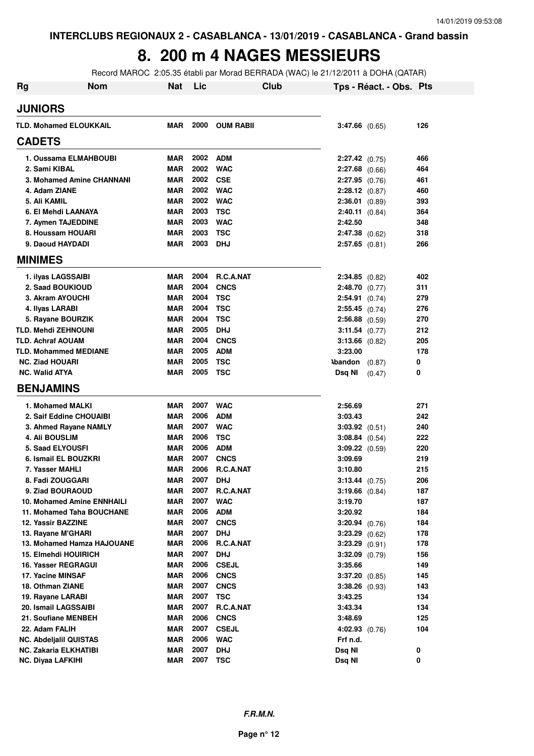#### **8. 200 m 4 NAGES MESSIEURS**

Record MAROC 2:05.35 établi par Morad BERRADA (WAC) le 21/12/2011 à DOHA (QATAR)

| Rg | <b>Nom</b>                                       | <b>Nat</b>        | Lic          |                         | Club |                                        | Tps - Réact. - Obs. Pts |            |
|----|--------------------------------------------------|-------------------|--------------|-------------------------|------|----------------------------------------|-------------------------|------------|
|    | <b>JUNIORS</b>                                   |                   |              |                         |      |                                        |                         |            |
|    | <b>TLD. Mohamed ELOUKKAIL</b>                    | <b>MAR</b>        | 2000         | <b>OUM RABIL</b>        |      | $3:47.66$ $(0.65)$                     |                         | 126        |
|    | <b>CADETS</b>                                    |                   |              |                         |      |                                        |                         |            |
|    | 1. Oussama ELMAHBOUBI                            | <b>MAR</b>        | 2002         | <b>ADM</b>              |      | 2:27.42 (0.75)                         |                         | 466        |
|    | 2. Sami KIBAL                                    | <b>MAR</b>        | 2002         | <b>WAC</b>              |      | $2:27.68$ (0.66)                       |                         | 464        |
|    | 3. Mohamed Amine CHANNANI                        | <b>MAR</b>        | 2002         | <b>CSE</b>              |      | $2:27.95$ (0.76)                       |                         | 461        |
|    | 4. Adam ZIANE                                    | <b>MAR</b>        | 2002         | <b>WAC</b>              |      | 2:28.12 (0.87)                         |                         | 460        |
|    | 5. Ali KAMIL                                     | <b>MAR</b>        | 2002         | <b>WAC</b>              |      | 2:36.01 (0.89)                         |                         | 393        |
|    | 6. El Mehdi LAANAYA                              | <b>MAR</b>        | 2003         | <b>TSC</b>              |      | $2:40.11$ (0.84)                       |                         | 364        |
|    | 7. Aymen TAJEDDINE                               | <b>MAR</b>        | 2003         | <b>WAC</b>              |      | 2:42.50                                |                         | 348        |
|    | 8. Houssam HOUARI                                | <b>MAR</b>        | 2003         | <b>TSC</b>              |      | $2:47.38$ (0.62)                       |                         | 318        |
|    | 9. Daoud HAYDADI                                 | <b>MAR</b>        | 2003         | <b>DHJ</b>              |      | $2:57.65$ $(0.81)$                     |                         | 266        |
|    | <b>MINIMES</b>                                   |                   |              |                         |      |                                        |                         |            |
|    | 1. ilyas LAGSSAIBI                               | <b>MAR</b>        | 2004         | <b>R.C.A.NAT</b>        |      | $2:34.85$ (0.82)                       |                         | 402        |
|    | 2. Saad BOUKIOUD                                 | <b>MAR</b>        | 2004         | <b>CNCS</b>             |      | 2:48.70(0.77)                          |                         | 311        |
|    | 3. Akram AYOUCHI                                 | <b>MAR</b>        | 2004         | <b>TSC</b>              |      | 2:54.91 (0.74)                         |                         | 279        |
|    | 4. Ilyas LARABI                                  | <b>MAR</b>        | 2004         | <b>TSC</b>              |      | $2:55.45$ (0.74)                       |                         | 276        |
|    | 5. Rayane BOURZIK                                | <b>MAR</b>        | 2004         | <b>TSC</b>              |      | $2:56.88$ (0.59)                       |                         | 270        |
|    | <b>TLD. Mehdi ZEHNOUNI</b>                       | <b>MAR</b>        | 2005         | <b>DHJ</b>              |      | 3:11.54 (0.77)                         |                         | 212        |
|    | <b>TLD. Achraf AOUAM</b>                         | <b>MAR</b>        | 2004         | <b>CNCS</b>             |      | $3:13.66$ (0.82)                       |                         | 205        |
|    | <b>TLD. Mohammed MEDIANE</b>                     | <b>MAR</b>        | 2005         | <b>ADM</b>              |      | 3:23.00                                |                         | 178        |
|    | <b>NC. Ziad HOUARI</b>                           | <b>MAR</b>        | 2005         | <b>TSC</b>              |      | $\lambda$ bandon $(0.87)$              |                         | 0          |
|    | <b>NC. Walid ATYA</b>                            | <b>MAR</b>        | 2005         | <b>TSC</b>              |      | Dsq NI                                 | (0.47)                  | 0          |
|    | <b>BENJAMINS</b>                                 |                   |              |                         |      |                                        |                         |            |
|    | 1. Mohamed MALKI                                 | MAR               | 2007         | <b>WAC</b>              |      | 2:56.69                                |                         | 271        |
|    | 2. Saif Eddine CHOUAIBI                          | <b>MAR</b>        | 2006         | <b>ADM</b>              |      | 3:03.43                                |                         | 242        |
|    | 3. Ahmed Rayane NAMLY                            | <b>MAR</b>        | 2007         | <b>WAC</b>              |      | $3:03.92$ (0.51)                       |                         | 240        |
|    | <b>4. Ali BOUSLIM</b>                            | <b>MAR</b>        | 2006         | <b>TSC</b>              |      | $3:08.84$ (0.54)                       |                         | 222        |
|    | <b>5. Saad ELYOUSFI</b>                          | <b>MAR</b>        | 2006         | <b>ADM</b>              |      | $3:09.22$ (0.59)                       |                         | 220        |
|    | 6. Ismail EL BOUZKRI                             | <b>MAR</b>        | 2007         | <b>CNCS</b>             |      | 3:09.69                                |                         | 219        |
|    | 7. Yasser MAHLI                                  | <b>MAR</b>        | 2006         | R.C.A.NAT               |      | 3:10.80                                |                         | 215        |
|    | 8. Fadi ZOUGGARI                                 | <b>MAR</b>        | 2007         | DHJ                     |      | $3:13.44$ (0.75)                       |                         | 206        |
|    | 9. Ziad BOURAOUD                                 | MAR               | 2007         | R.C.A.NAT               |      | $3:19.66$ $(0.84)$                     |                         | 187        |
|    | 10. Mohamed Amine ENNHAILI                       | <b>MAR</b>        | 2007         | <b>WAC</b>              |      | 3:19.70                                |                         | 187        |
|    | 11. Mohamed Taha BOUCHANE                        | <b>MAR</b>        | 2006         | <b>ADM</b>              |      | 3:20.92                                |                         | 184        |
|    | 12. Yassir BAZZINE                               | MAR               | 2007         | <b>CNCS</b>             |      | $3:20.94$ (0.76)                       |                         | 184        |
|    | 13. Rayane M'GHARI<br>13. Mohamed Hamza HAJOUANE | MAR<br><b>MAR</b> | 2007<br>2006 | <b>DHJ</b>              |      | $3:23.29$ $(0.62)$<br>$3:23.29$ (0.91) |                         | 178        |
|    | 15. Elmehdi HOUIRICH                             | <b>MAR</b>        | 2007         | R.C.A.NAT<br><b>DHJ</b> |      | $3:32.09$ $(0.79)$                     |                         | 178        |
|    | 16. Yasser REGRAGUI                              | <b>MAR</b>        | 2006         | <b>CSEJL</b>            |      | 3:35.66                                |                         | 156<br>149 |
|    | 17. Yacine MINSAF                                | <b>MAR</b>        | 2006         | <b>CNCS</b>             |      | 3:37.20 (0.85)                         |                         | 145        |
|    | 18. Othman ZIANE                                 | <b>MAR</b>        | 2007         | <b>CNCS</b>             |      | 3:38.26 (0.93)                         |                         | 143        |
|    | 19. Rayane LARABI                                | <b>MAR</b>        | 2007         | <b>TSC</b>              |      | 3:43.25                                |                         | 134        |
|    | 20. Ismail LAGSSAIBI                             | <b>MAR</b>        | 2007         | R.C.A.NAT               |      | 3:43.34                                |                         | 134        |
|    | 21. Soufiane MENBEH                              | <b>MAR</b>        | 2006         | <b>CNCS</b>             |      | 3:48.69                                |                         | 125        |
|    | 22. Adam FALIH                                   | <b>MAR</b>        | 2007         | <b>CSEJL</b>            |      | $4:02.93$ $(0.76)$                     |                         | 104        |
|    | <b>NC. Abdeljalil QUISTAS</b>                    | <b>MAR</b>        | 2006         | <b>WAC</b>              |      | Frf n.d.                               |                         |            |
|    | NC. Zakaria ELKHATIBI                            | <b>MAR</b>        | 2007         | DHJ                     |      | Dsq NI                                 |                         | 0          |
|    | NC. Diyaa LAFKIHI                                | <b>MAR</b>        | 2007         | <b>TSC</b>              |      | Dsq NI                                 |                         | 0          |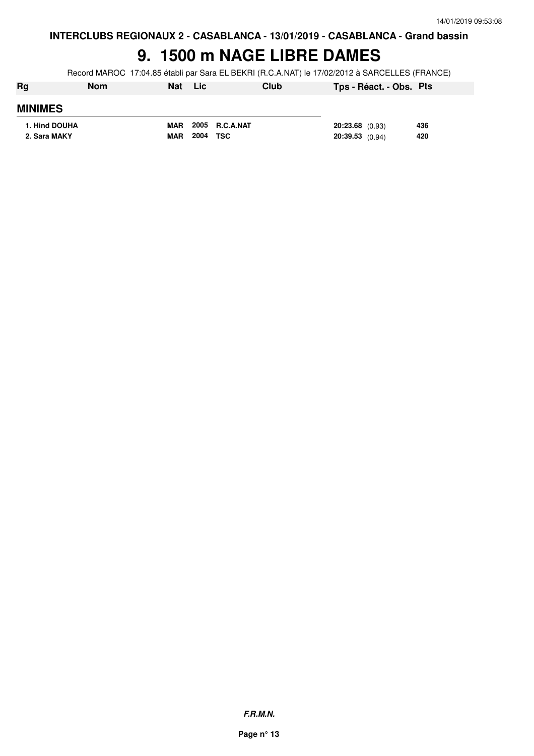### **9. 1500 m NAGE LIBRE DAMES**

Record MAROC 17:04.85 établi par Sara EL BEKRI (R.C.A.NAT) le 17/02/2012 à SARCELLES (FRANCE)

| Rg             | <b>Nom</b> | <b>Nat</b> | <b>Lic</b> |                | Club |                   | Tps - Réact. - Obs. Pts |     |
|----------------|------------|------------|------------|----------------|------|-------------------|-------------------------|-----|
| <b>MINIMES</b> |            |            |            |                |      |                   |                         |     |
| 1. Hind DOUHA  |            | <b>MAR</b> |            | 2005 R.C.A.NAT |      | $20:23.68$ (0.93) |                         | 436 |
| 2. Sara MAKY   |            | <b>MAR</b> | 2004       | TSC            |      | $20:39.53$ (0.94) |                         | 420 |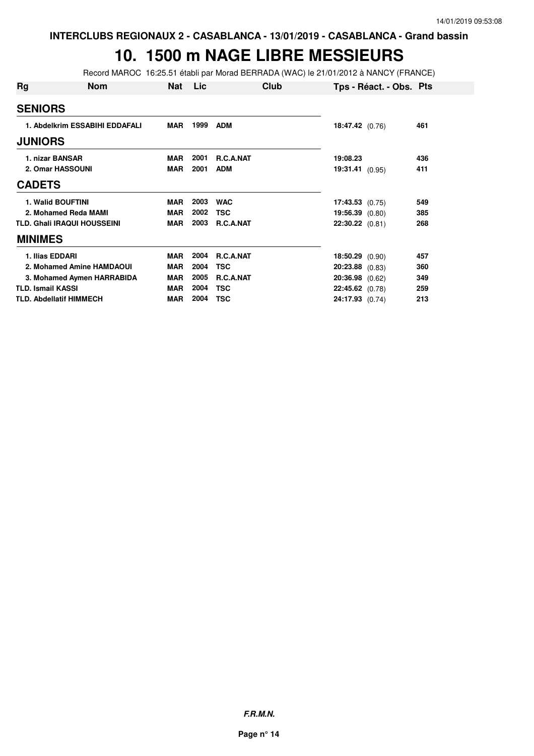#### **10. 1500 m NAGE LIBRE MESSIEURS**

Record MAROC 16:25.51 établi par Morad BERRADA (WAC) le 21/01/2012 à NANCY (FRANCE)

| Rg | Nom                                | Nat        | Lic  | Club             | Tps - Réact. - Obs. Pts |     |
|----|------------------------------------|------------|------|------------------|-------------------------|-----|
|    | <b>SENIORS</b>                     |            |      |                  |                         |     |
|    | 1. Abdelkrim ESSABIHI EDDAFALI     | <b>MAR</b> | 1999 | <b>ADM</b>       | 18:47.42(0.76)          | 461 |
|    | <b>JUNIORS</b>                     |            |      |                  |                         |     |
|    | 1. nizar BANSAR                    | <b>MAR</b> | 2001 | R.C.A.NAT        | 19:08.23                | 436 |
|    | 2. Omar HASSOUNI                   | <b>MAR</b> | 2001 | <b>ADM</b>       | 19:31.41 (0.95)         | 411 |
|    | <b>CADETS</b>                      |            |      |                  |                         |     |
|    | <b>1. Walid BOUFTINI</b>           | <b>MAR</b> | 2003 | <b>WAC</b>       | $17:43.53$ (0.75)       | 549 |
|    | 2. Mohamed Reda MAMI               | <b>MAR</b> | 2002 | <b>TSC</b>       | 19:56.39 (0.80)         | 385 |
|    | <b>TLD. Ghali IRAQUI HOUSSEINI</b> | <b>MAR</b> | 2003 | R.C.A.NAT        | 22:30.22 (0.81)         | 268 |
|    | <b>MINIMES</b>                     |            |      |                  |                         |     |
|    | 1. Ilias EDDARI                    | <b>MAR</b> | 2004 | <b>R.C.A.NAT</b> | $18:50.29$ (0.90)       | 457 |
|    | 2. Mohamed Amine HAMDAOUI          | <b>MAR</b> | 2004 | <b>TSC</b>       | 20:23.88 (0.83)         | 360 |
|    | 3. Mohamed Aymen HARRABIDA         | <b>MAR</b> | 2005 | <b>R.C.A.NAT</b> | 20:36.98 (0.62)         | 349 |
|    | <b>TLD. Ismail KASSI</b>           | <b>MAR</b> | 2004 | <b>TSC</b>       | 22:45.62 (0.78)         | 259 |
|    | <b>TLD. Abdellatif HIMMECH</b>     | MAR        | 2004 | <b>TSC</b>       | 24:17.93 (0.74)         | 213 |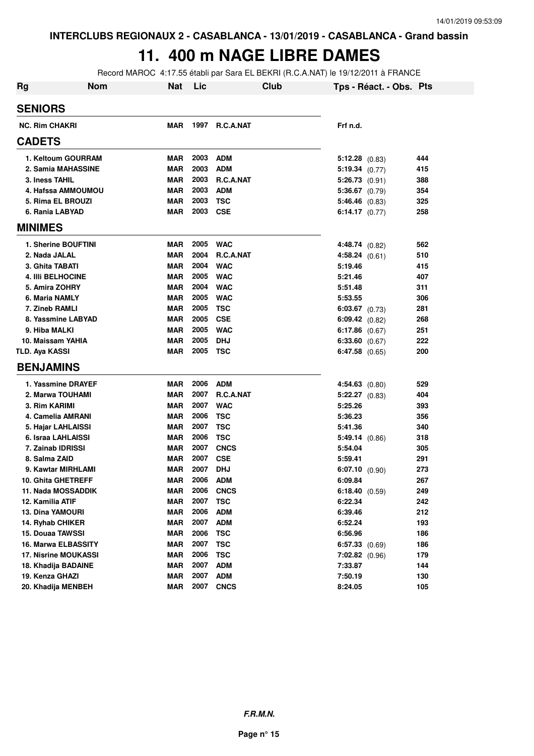### **11. 400 m NAGE LIBRE DAMES**

Record MAROC 4:17.55 établi par Sara EL BEKRI (R.C.A.NAT) le 19/12/2011 à FRANCE

| <b>Rg</b> | <b>Nom</b>                  | <b>Nat</b> | Lic  | <b>Club</b>      | Tps - Réact. - Obs. Pts |     |
|-----------|-----------------------------|------------|------|------------------|-------------------------|-----|
|           | <b>SENIORS</b>              |            |      |                  |                         |     |
|           | <b>NC. Rim CHAKRI</b>       | <b>MAR</b> |      | 1997 R.C.A.NAT   | Frf n.d.                |     |
|           | <b>CADETS</b>               |            |      |                  |                         |     |
|           | 1. Keltoum GOURRAM          | MAR        | 2003 | ADM              | $5:12.28$ (0.83)        | 444 |
|           | 2. Samia MAHASSINE          | <b>MAR</b> | 2003 | <b>ADM</b>       | 5:19.34(0.77)           | 415 |
|           | 3. Iness TAHIL              | <b>MAR</b> | 2003 | R.C.A.NAT        | $5:26.73$ (0.91)        | 388 |
|           | 4. Hafssa AMMOUMOU          | <b>MAR</b> | 2003 | <b>ADM</b>       | $5:36.67$ (0.79)        | 354 |
|           | 5. Rima EL BROUZI           | <b>MAR</b> | 2003 | TSC              | $5:46.46$ (0.83)        | 325 |
|           | 6. Rania LABYAD             | <b>MAR</b> | 2003 | <b>CSE</b>       | 6:14.17 $(0.77)$        | 258 |
|           | <b>MINIMES</b>              |            |      |                  |                         |     |
|           | 1. Sherine BOUFTINI         | <b>MAR</b> |      | 2005 WAC         | 4:48.74(0.82)           | 562 |
|           | 2. Nada JALAL               | <b>MAR</b> | 2004 | <b>R.C.A.NAT</b> | 4:58.24 (0.61)          | 510 |
|           | 3. Ghita TABATI             | <b>MAR</b> | 2004 | <b>WAC</b>       | 5:19.46                 | 415 |
|           | <b>4. IIII BELHOCINE</b>    | <b>MAR</b> | 2005 | <b>WAC</b>       | 5:21.46                 | 407 |
|           | 5. Amira ZOHRY              | <b>MAR</b> | 2004 | <b>WAC</b>       | 5:51.48                 | 311 |
|           | 6. Maria NAMLY              | <b>MAR</b> | 2005 | <b>WAC</b>       | 5:53.55                 | 306 |
|           | 7. Zineb RAMLI              | <b>MAR</b> | 2005 | TSC              | $6:03.67$ $(0.73)$      | 281 |
|           | 8. Yassmine LABYAD          | <b>MAR</b> | 2005 | <b>CSE</b>       | $6:09.42$ (0.82)        | 268 |
|           | 9. Hiba MALKI               | <b>MAR</b> | 2005 | <b>WAC</b>       | 6:17.86 $(0.67)$        | 251 |
|           | 10. Maissam YAHIA           | <b>MAR</b> | 2005 | <b>DHJ</b>       | 6:33.60 (0.67)          | 222 |
|           | <b>TLD. Aya KASSI</b>       | <b>MAR</b> | 2005 | TSC              | $6:47.58$ $(0.65)$      | 200 |
|           | <b>BENJAMINS</b>            |            |      |                  |                         |     |
|           | 1. Yassmine DRAYEF          | <b>MAR</b> | 2006 | <b>ADM</b>       | $4:54.63$ (0.80)        | 529 |
|           | 2. Marwa TOUHAMI            | <b>MAR</b> | 2007 | <b>R.C.A.NAT</b> | $5:22.27$ $(0.83)$      | 404 |
|           | 3. Rim KARIMI               | <b>MAR</b> | 2007 | <b>WAC</b>       | 5:25.26                 | 393 |
|           | 4. Camelia AMRANI           | <b>MAR</b> | 2006 | <b>TSC</b>       | 5:36.23                 | 356 |
|           | 5. Hajar LAHLAISSI          | <b>MAR</b> | 2007 | <b>TSC</b>       | 5:41.36                 | 340 |
|           | 6. Israa LAHLAISSI          | <b>MAR</b> | 2006 | <b>TSC</b>       | 5:49.14(0.86)           | 318 |
|           | 7. Zainab IDRISSI           | <b>MAR</b> | 2007 | <b>CNCS</b>      | 5:54.04                 | 305 |
|           | 8. Salma ZAID               | <b>MAR</b> | 2007 | <b>CSE</b>       | 5:59.41                 | 291 |
|           | 9. Kawtar MIRHLAMI          | <b>MAR</b> | 2007 | <b>DHJ</b>       | $6:07.10$ $(0.90)$      | 273 |
|           | 10. Ghita GHETREFF          | <b>MAR</b> | 2006 | <b>ADM</b>       | 6:09.84                 | 267 |
|           | 11. Nada MOSSADDIK          | MAR        |      | <b>2006 CNCS</b> | 6:18.40 $(0.59)$        | 249 |
|           | 12. Kamilia ATIF            | <b>MAR</b> | 2007 | <b>TSC</b>       | 6:22.34                 | 242 |
|           | <b>13. Dina YAMOURI</b>     | <b>MAR</b> | 2006 | <b>ADM</b>       | 6:39.46                 | 212 |
|           | 14. Ryhab CHIKER            | <b>MAR</b> | 2007 | <b>ADM</b>       | 6:52.24                 | 193 |
|           | 15. Douaa TAWSSI            | <b>MAR</b> | 2006 | <b>TSC</b>       | 6:56.96                 | 186 |
|           | 16. Marwa ELBASSITY         | <b>MAR</b> | 2007 | <b>TSC</b>       | $6:57.33$ $(0.69)$      | 186 |
|           | <b>17. Nisrine MOUKASSI</b> | <b>MAR</b> | 2006 | <b>TSC</b>       | $7:02.82$ (0.96)        | 179 |
|           | 18. Khadija BADAINE         | <b>MAR</b> | 2007 | <b>ADM</b>       | 7:33.87                 | 144 |
|           | 19. Kenza GHAZI             | <b>MAR</b> | 2007 | <b>ADM</b>       | 7:50.19                 | 130 |
|           | 20. Khadija MENBEH          | <b>MAR</b> | 2007 | <b>CNCS</b>      | 8:24.05                 | 105 |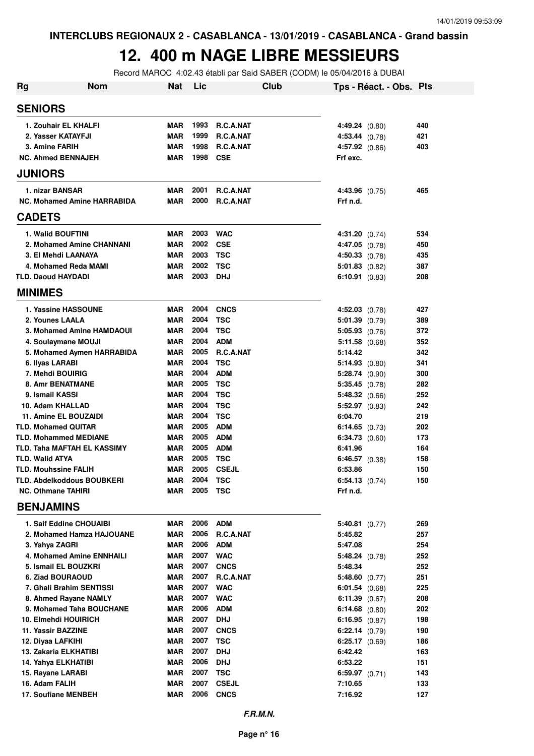#### **12. 400 m NAGE LIBRE MESSIEURS**

Record MAROC 4:02.43 établi par Said SABER (CODM) le 05/04/2016 à DUBAI

| Rg                                  | <b>Nom</b>                 | <b>Nat</b>               | Lic          |                     | Club |                             | Tps - Réact. - Obs. Pts |            |
|-------------------------------------|----------------------------|--------------------------|--------------|---------------------|------|-----------------------------|-------------------------|------------|
| <b>SENIORS</b>                      |                            |                          |              |                     |      |                             |                         |            |
| 1. Zouhair EL KHALFI                |                            | <b>MAR</b>               | 1993         | R.C.A.NAT           |      | 4:49.24(0.80)               |                         | 440        |
| 2. Yasser KATAYFJI                  |                            | <b>MAR</b>               | 1999         | R.C.A.NAT           |      | 4:53.44 (0.78)              |                         | 421        |
| <b>3. Amine FARIH</b>               |                            | <b>MAR</b>               | 1998         | R.C.A.NAT           |      | $4:57.92$ (0.86)            |                         | 403        |
| <b>NC. Ahmed BENNAJEH</b>           |                            | <b>MAR</b>               | 1998         | <b>CSE</b>          |      | Frf exc.                    |                         |            |
| <b>JUNIORS</b>                      |                            |                          |              |                     |      |                             |                         |            |
| 1. nizar BANSAR                     |                            | MAR                      | 2001         | R.C.A.NAT           |      | 4:43.96 (0.75)              |                         | 465        |
| <b>NC. Mohamed Amine HARRABIDA</b>  |                            | <b>MAR</b>               | 2000         | R.C.A.NAT           |      | Frf n.d.                    |                         |            |
| <b>CADETS</b>                       |                            |                          |              |                     |      |                             |                         |            |
| 1. Walid BOUFTINI                   |                            | <b>MAR</b>               | 2003         | <b>WAC</b>          |      | 4:31.20 (0.74)              |                         | 534        |
|                                     | 2. Mohamed Amine CHANNANI  | <b>MAR</b>               | 2002         | <b>CSE</b>          |      | $4:47.05$ $(0.78)$          |                         | 450        |
| 3. El Mehdi LAANAYA                 |                            | <b>MAR</b>               | 2003         | <b>TSC</b>          |      | $4:50.33$ $(0.78)$          |                         | 435        |
| 4. Mohamed Reda MAMI                |                            | <b>MAR</b>               | 2002         | TSC                 |      | $5:01.83$ (0.82)            |                         | 387        |
| <b>TLD. Daoud HAYDADI</b>           |                            | <b>MAR</b>               | 2003         | <b>DHJ</b>          |      | $6:10.91$ $(0.83)$          |                         | 208        |
| <b>MINIMES</b>                      |                            |                          |              |                     |      |                             |                         |            |
| 1. Yassine HASSOUNE                 |                            | <b>MAR</b>               | 2004         | <b>CNCS</b>         |      | $4:52.03$ $(0.78)$          |                         | 427        |
| 2. Younes LAALA                     |                            | <b>MAR</b>               | 2004         | TSC                 |      | $5:01.39$ $(0.79)$          |                         | 389        |
|                                     | 3. Mohamed Amine HAMDAOUI  | <b>MAR</b>               | 2004         | <b>TSC</b>          |      | $5:05.93$ $(0.76)$          |                         | 372        |
| 4. Soulaymane MOUJI                 |                            | <b>MAR</b>               | 2004         | <b>ADM</b>          |      | $5:11.58$ (0.68)            |                         | 352        |
|                                     | 5. Mohamed Aymen HARRABIDA | <b>MAR</b>               | 2005         | R.C.A.NAT           |      | 5:14.42                     |                         | 342        |
| 6. Ilyas LARABI                     |                            | <b>MAR</b>               | 2004         | <b>TSC</b>          |      | 5:14.93(0.80)               |                         | 341        |
| 7. Mehdi BOUIRIG                    |                            | <b>MAR</b>               | 2004         | <b>ADM</b>          |      | 5:28.74 (0.90)              |                         | 300        |
| <b>8. Amr BENATMANE</b>             |                            | <b>MAR</b>               | 2005         | TSC                 |      | $5:35.45$ (0.78)            |                         | 282        |
| 9. Ismail KASSI                     |                            | <b>MAR</b>               | 2004         | TSC                 |      | 5:48.32(0.66)               |                         | 252        |
| 10. Adam KHALLAD                    |                            | <b>MAR</b>               | 2004         | <b>TSC</b>          |      | $5:52.97$ (0.83)            |                         | 242        |
| 11. Amine EL BOUZAIDI               |                            | <b>MAR</b>               | 2004         | <b>TSC</b>          |      | 6:04.70                     |                         | 219        |
| <b>TLD. Mohamed QUITAR</b>          |                            | <b>MAR</b>               | 2005         | <b>ADM</b>          |      | 6:14.65 $(0.73)$            |                         | 202        |
| <b>TLD. Mohammed MEDIANE</b>        |                            | <b>MAR</b>               | 2005         | <b>ADM</b>          |      | $6:34.73$ $(0.60)$          |                         | 173        |
| <b>TLD. Taha MAFTAH EL KASSIMY</b>  |                            | <b>MAR</b>               | 2005         | <b>ADM</b>          |      | 6:41.96                     |                         | 164        |
| <b>TLD. Walid ATYA</b>              |                            | <b>MAR</b>               | 2005         | TSC                 |      | $6:46.57$ $(0.38)$          |                         | 158        |
| <b>TLD. Mouhssine FALIH</b>         |                            | <b>MAR</b>               | 2005         | <b>CSEJL</b>        |      | 6:53.86                     |                         | 150        |
| TLD. Abdelkoddous BOUBKERI          |                            | <b>MAR</b>               | 2004         | TSC                 |      | $6:54.13$ $(0.74)$          |                         | 150        |
| <b>NC. Othmane TAHIRI</b>           |                            | MAR                      | 2005         | TSC                 |      | Frf n.d.                    |                         |            |
| <b>BENJAMINS</b>                    |                            |                          |              |                     |      |                             |                         |            |
| 1. Saif Eddine CHOUAIBI             |                            | MAR                      | 2006         | <b>ADM</b>          |      | $5:40.81$ (0.77)            |                         | 269        |
|                                     | 2. Mohamed Hamza HAJOUANE  | <b>MAR</b>               | 2006         | R.C.A.NAT           |      | 5:45.82                     |                         | 257        |
| 3. Yahya ZAGRI                      |                            | MAR                      | 2006         | <b>ADM</b>          |      | 5:47.08                     |                         | 254        |
| 4. Mohamed Amine ENNHAILI           |                            | <b>MAR</b>               | 2007         | <b>WAC</b>          |      | 5:48.24(0.78)               |                         | 252        |
| 5. Ismail EL BOUZKRI                |                            | <b>MAR</b>               | 2007         | <b>CNCS</b>         |      | 5:48.34                     |                         | 252        |
| 6. Ziad BOURAOUD                    |                            | MAR                      | 2007         | R.C.A.NAT           |      | 5:48.60 (0.77)              |                         | 251        |
| 7. Ghali Brahim SENTISSI            |                            | MAR                      | 2007         | <b>WAC</b>          |      | $6:01.54$ $(0.68)$          |                         | 225        |
| 8. Ahmed Rayane NAMLY               |                            | MAR                      | 2007         | <b>WAC</b>          |      | 6:11.39 $(0.67)$            |                         | 208        |
| 9. Mohamed Taha BOUCHANE            |                            | <b>MAR</b>               | 2006         | ADM                 |      | 6:14.68 $(0.80)$            |                         | 202        |
| 10. Elmehdi HOUIRICH                |                            | <b>MAR</b>               | 2007         | <b>DHJ</b>          |      | 6:16.95 $(0.87)$            |                         | 198        |
| 11. Yassir BAZZINE                  |                            | <b>MAR</b>               | 2007         | <b>CNCS</b>         |      | 6:22.14 (0.79)              |                         | 190        |
| 12. Diyaa LAFKIHI                   |                            | <b>MAR</b>               | 2007         | TSC                 |      | $6:25.17$ $(0.69)$          |                         | 186        |
| 13. Zakaria ELKHATIBI               |                            | <b>MAR</b>               | 2007         | <b>DHJ</b>          |      | 6:42.42                     |                         | 163        |
| 14. Yahya ELKHATIBI                 |                            | <b>MAR</b><br><b>MAR</b> | 2006<br>2007 | <b>DHJ</b>          |      | 6:53.22                     |                         | 151        |
| 15. Rayane LARABI<br>16. Adam FALIH |                            | <b>MAR</b>               | 2007         | TSC<br><b>CSEJL</b> |      | 6:59.97 $(0.71)$<br>7:10.65 |                         | 143<br>133 |
| 17. Soufiane MENBEH                 |                            | MAR                      | 2006         | <b>CNCS</b>         |      |                             |                         | 127        |
|                                     |                            |                          |              |                     |      | 7:16.92                     |                         |            |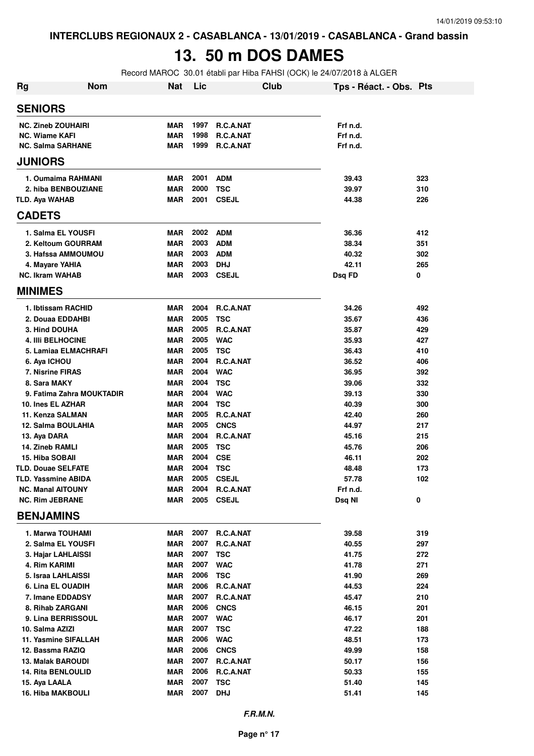# **13. 50 m DOS DAMES**

Record MAROC 30.01 établi par Hiba FAHSI (OCK) le 24/07/2018 à ALGER

| <b>Rg</b>              | <b>Nom</b>                             | Nat                      | Lic          |                          | Club | Tps - Réact. - Obs. Pts |            |
|------------------------|----------------------------------------|--------------------------|--------------|--------------------------|------|-------------------------|------------|
| <b>SENIORS</b>         |                                        |                          |              |                          |      |                         |            |
|                        | <b>NC. Zineb ZOUHAIRI</b>              | <b>MAR</b>               | 1997         | <b>R.C.A.NAT</b>         |      | Frf n.d.                |            |
| <b>NC. Wiame KAFI</b>  |                                        | MAR                      | 1998         | R.C.A.NAT                |      | Frf n.d.                |            |
|                        | <b>NC. Salma SARHANE</b>               | MAR                      | 1999         | R.C.A.NAT                |      | Frf n.d.                |            |
| <b>JUNIORS</b>         |                                        |                          |              |                          |      |                         |            |
|                        | 1. Oumaima RAHMANI                     | <b>MAR</b>               | 2001         | <b>ADM</b>               |      | 39.43                   | 323        |
|                        | 2. hiba BENBOUZIANE                    | MAR                      | 2000         | <b>TSC</b>               |      | 39.97                   | 310        |
| <b>TLD. Aya WAHAB</b>  |                                        | MAR                      | 2001         | <b>CSEJL</b>             |      | 44.38                   | 226        |
| <b>CADETS</b>          |                                        |                          |              |                          |      |                         |            |
|                        | 1. Salma EL YOUSFI                     | MAR                      | 2002         | <b>ADM</b>               |      | 36.36                   | 412        |
|                        | 2. Keltoum GOURRAM                     | MAR                      | 2003         | <b>ADM</b>               |      | 38.34                   | 351        |
|                        | 3. Hafssa AMMOUMOU                     | <b>MAR</b>               | 2003         | <b>ADM</b>               |      | 40.32                   | 302        |
|                        | 4. Mayare YAHIA                        | MAR                      | 2003         | <b>DHJ</b>               |      | 42.11                   | 265        |
| <b>NC. Ikram WAHAB</b> |                                        | MAR                      | 2003         | <b>CSEJL</b>             |      | Dsq FD                  | 0          |
| <b>MINIMES</b>         |                                        |                          |              |                          |      |                         |            |
|                        | 1. Ibtissam RACHID                     | MAR                      | 2004         | R.C.A.NAT                |      | 34.26                   | 492        |
|                        | 2. Douaa EDDAHBI                       | <b>MAR</b>               | 2005         | <b>TSC</b>               |      | 35.67                   | 436        |
|                        | 3. Hind DOUHA                          | <b>MAR</b>               | 2005         | R.C.A.NAT                |      | 35.87                   | 429        |
|                        | <b>4. IIIi BELHOCINE</b>               | <b>MAR</b>               | 2005         | <b>WAC</b>               |      | 35.93                   | 427        |
|                        | 5. Lamiaa ELMACHRAFI                   | <b>MAR</b>               | 2005         | <b>TSC</b>               |      | 36.43                   | 410        |
| 6. Aya ICHOU           |                                        | MAR                      | 2004         | R.C.A.NAT                |      | 36.52                   | 406        |
|                        | 7. Nisrine FIRAS                       | MAR                      | 2004         | <b>WAC</b>               |      | 36.95                   | 392        |
| 8. Sara MAKY           |                                        | MAR                      | 2004         | <b>TSC</b>               |      | 39.06                   | 332        |
|                        | 9. Fatima Zahra MOUKTADIR              | MAR                      | 2004         | <b>WAC</b>               |      | 39.13                   | 330        |
|                        | 10. Ines EL AZHAR                      | <b>MAR</b>               | 2004<br>2005 | <b>TSC</b>               |      | 40.39                   | 300        |
|                        | 11. Kenza SALMAN<br>12. Salma BOULAHIA | <b>MAR</b><br>MAR        | 2005         | R.C.A.NAT<br><b>CNCS</b> |      | 42.40<br>44.97          | 260<br>217 |
| 13. Aya DARA           |                                        | MAR                      | 2004         | R.C.A.NAT                |      | 45.16                   | 215        |
| 14. Zineb RAMLI        |                                        | MAR                      | 2005         | <b>TSC</b>               |      | 45.76                   | 206        |
| 15. Hiba SOBAII        |                                        | MAR                      | 2004         | <b>CSE</b>               |      | 46.11                   | 202        |
|                        | TLD. Douae SELFATE                     | MAR                      | 2004         | <b>TSC</b>               |      | 48.48                   | 173        |
|                        | <b>TLD. Yassmine ABIDA</b>             | MAR                      | 2005         | <b>CSEJL</b>             |      | 57.78                   | 102        |
|                        | <b>NC. Manal AITOUNY</b>               | MAR                      | 2004         | R.C.A.NAT                |      | Frf n.d.                |            |
|                        | <b>NC. Rim JEBRANE</b>                 | <b>MAR</b>               | 2005         | <b>CSEJL</b>             |      | Dsq NI                  | 0          |
| <b>BENJAMINS</b>       |                                        |                          |              |                          |      |                         |            |
|                        | 1. Marwa TOUHAMI                       | MAR                      | 2007         | R.C.A.NAT                |      | 39.58                   | 319        |
|                        | 2. Salma EL YOUSFI                     | MAR                      | 2007         | R.C.A.NAT                |      | 40.55                   | 297        |
|                        | 3. Hajar LAHLAISSI                     | <b>MAR</b>               | 2007         | <b>TSC</b>               |      | 41.75                   | 272        |
| 4. Rim KARIMI          |                                        | <b>MAR</b>               | 2007         | <b>WAC</b>               |      | 41.78                   | 271        |
|                        | 5. Israa LAHLAISSI                     | MAR                      | 2006         | <b>TSC</b>               |      | 41.90                   | 269        |
|                        | 6. Lina EL OUADIH                      | <b>MAR</b>               | 2006         | R.C.A.NAT                |      | 44.53                   | 224        |
|                        | 7. Imane EDDADSY                       | MAR                      | 2007         | R.C.A.NAT                |      | 45.47                   | 210        |
|                        | 8. Rihab ZARGANI                       | MAR                      | 2006         | <b>CNCS</b>              |      | 46.15                   | 201        |
|                        | 9. Lina BERRISSOUL                     | <b>MAR</b>               | 2007         | <b>WAC</b>               |      | 46.17                   | 201        |
| 10. Salma AZIZI        |                                        | <b>MAR</b>               | 2007         | <b>TSC</b>               |      | 47.22                   | 188        |
|                        | 11. Yasmine SIFALLAH                   | <b>MAR</b>               | 2006         | <b>WAC</b>               |      | 48.51                   | 173        |
|                        | 12. Bassma RAZIQ                       | <b>MAR</b>               | 2006         | <b>CNCS</b>              |      | 49.99                   | 158        |
|                        | <b>13. Malak BAROUDI</b>               | <b>MAR</b>               | 2007         | R.C.A.NAT                |      | 50.17                   | 156        |
|                        | <b>14. Rita BENLOULID</b>              | MAR                      | 2006<br>2007 | R.C.A.NAT                |      | 50.33                   | 155        |
| 15. Aya LAALA          | 16. Hiba MAKBOULI                      | <b>MAR</b><br><b>MAR</b> | 2007         | <b>TSC</b><br><b>DHJ</b> |      | 51.40<br>51.41          | 145<br>145 |
|                        |                                        |                          |              |                          |      |                         |            |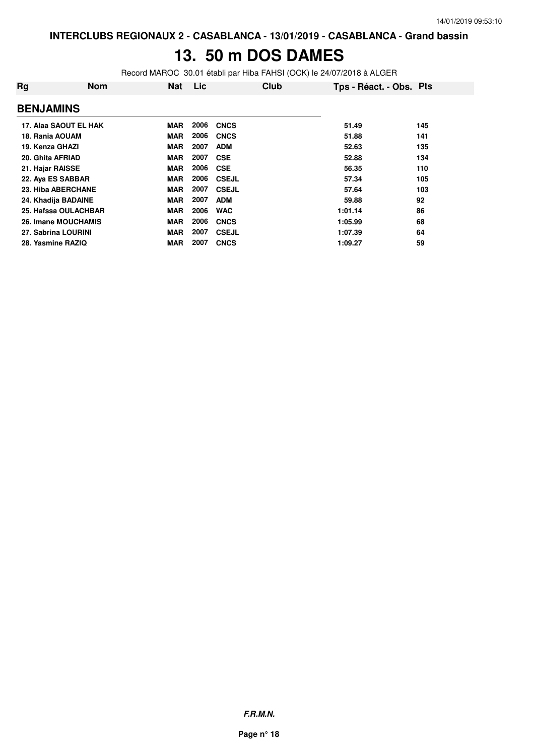# **13. 50 m DOS DAMES**

Record MAROC 30.01 établi par Hiba FAHSI (OCK) le 24/07/2018 à ALGER

| Rg                  | <b>Nom</b>            | <b>Nat</b> | Lic  | Club         | Tps - Réact. - Obs. Pts |     |
|---------------------|-----------------------|------------|------|--------------|-------------------------|-----|
| <b>BENJAMINS</b>    |                       |            |      |              |                         |     |
|                     | 17. Alaa SAOUT EL HAK | <b>MAR</b> | 2006 | <b>CNCS</b>  | 51.49                   | 145 |
| 18. Rania AOUAM     |                       | <b>MAR</b> | 2006 | <b>CNCS</b>  | 51.88                   | 141 |
| 19. Kenza GHAZI     |                       | MAR        | 2007 | <b>ADM</b>   | 52.63                   | 135 |
| 20. Ghita AFRIAD    |                       | <b>MAR</b> | 2007 | <b>CSE</b>   | 52.88                   | 134 |
| 21. Hajar RAISSE    |                       | <b>MAR</b> | 2006 | <b>CSE</b>   | 56.35                   | 110 |
| 22. Aya ES SABBAR   |                       | <b>MAR</b> | 2006 | <b>CSEJL</b> | 57.34                   | 105 |
| 23. Hiba ABERCHANE  |                       | MAR        | 2007 | <b>CSEJL</b> | 57.64                   | 103 |
| 24. Khadija BADAINE |                       | <b>MAR</b> | 2007 | <b>ADM</b>   | 59.88                   | 92  |
|                     | 25. Hafssa OULACHBAR  | <b>MAR</b> | 2006 | <b>WAC</b>   | 1:01.14                 | 86  |
|                     | 26. Imane MOUCHAMIS   | <b>MAR</b> | 2006 | <b>CNCS</b>  | 1:05.99                 | 68  |
| 27. Sabrina LOURINI |                       | <b>MAR</b> | 2007 | <b>CSEJL</b> | 1:07.39                 | 64  |
| 28. Yasmine RAZIQ   |                       | <b>MAR</b> | 2007 | <b>CNCS</b>  | 1:09.27                 | 59  |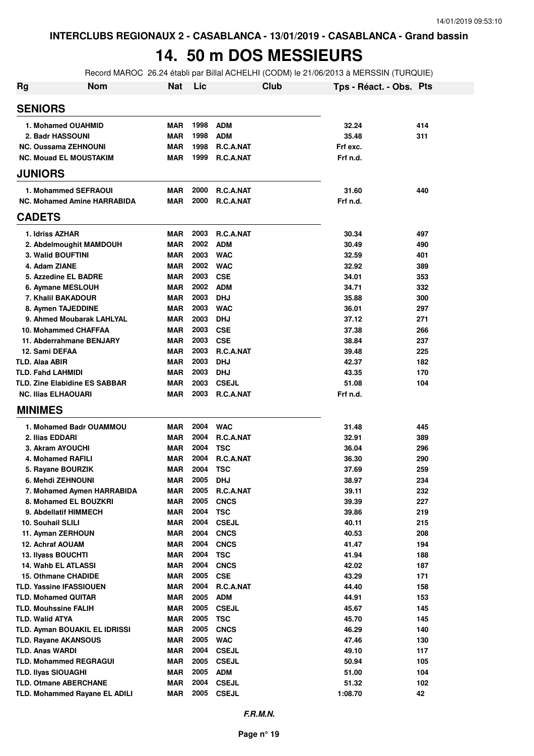### **14. 50 m DOS MESSIEURS**

Record MAROC 26.24 établi par Billal ACHELHI (CODM) le 21/06/2013 à MERSSIN (TURQUIE)

| <b>Rg</b> | <b>Nom</b>                                            | <b>Nat</b>               | Lic          | <b>Club</b>                | Tps - Réact. - Obs. Pts |            |
|-----------|-------------------------------------------------------|--------------------------|--------------|----------------------------|-------------------------|------------|
|           | <b>SENIORS</b>                                        |                          |              |                            |                         |            |
|           | 1. Mohamed OUAHMID                                    | <b>MAR</b>               | 1998         | <b>ADM</b>                 | 32.24                   | 414        |
|           | 2. Badr HASSOUNI                                      | <b>MAR</b>               | 1998         | <b>ADM</b>                 | 35.48                   | 311        |
|           | <b>NC. Oussama ZEHNOUNI</b>                           | <b>MAR</b>               | 1998         | R.C.A.NAT                  | Frf exc.                |            |
|           | <b>NC. Mouad EL MOUSTAKIM</b>                         | <b>MAR</b>               | 1999         | R.C.A.NAT                  | Frf n.d.                |            |
|           | <b>JUNIORS</b>                                        |                          |              |                            |                         |            |
|           | 1. Mohammed SEFRAOUI                                  | <b>MAR</b>               | 2000         | R.C.A.NAT                  | 31.60                   | 440        |
|           | <b>NC. Mohamed Amine HARRABIDA</b>                    | <b>MAR</b>               | 2000         | <b>R.C.A.NAT</b>           | Frf n.d.                |            |
|           | <b>CADETS</b>                                         |                          |              |                            |                         |            |
|           | 1. Idriss AZHAR                                       | <b>MAR</b>               | 2003         | <b>R.C.A.NAT</b>           | 30.34                   | 497        |
|           | 2. Abdelmoughit MAMDOUH                               | <b>MAR</b>               | 2002         | <b>ADM</b>                 | 30.49                   | 490        |
|           | <b>3. Walid BOUFTINI</b>                              | <b>MAR</b>               | 2003         | <b>WAC</b>                 | 32.59                   | 401        |
|           | 4. Adam ZIANE                                         | <b>MAR</b>               | 2002         | <b>WAC</b>                 | 32.92                   | 389        |
|           | 5. Azzedine EL BADRE                                  | <b>MAR</b>               | 2003         | <b>CSE</b>                 | 34.01                   | 353        |
|           | 6. Aymane MESLOUH                                     | <b>MAR</b>               | 2002         | <b>ADM</b>                 | 34.71                   | 332        |
|           | 7. Khalil BAKADOUR                                    | <b>MAR</b>               | 2003         | <b>DHJ</b>                 | 35.88                   | 300        |
|           | 8. Aymen TAJEDDINE                                    | <b>MAR</b>               | 2003         | <b>WAC</b>                 | 36.01                   | 297        |
|           | 9. Ahmed Moubarak LAHLYAL                             | <b>MAR</b>               | 2003         | <b>DHJ</b>                 | 37.12                   | 271        |
|           | 10. Mohammed CHAFFAA                                  | <b>MAR</b>               | 2003         | <b>CSE</b>                 | 37.38                   | 266        |
|           | 11. Abderrahmane BENJARY                              | <b>MAR</b>               | 2003         | <b>CSE</b>                 | 38.84                   | 237        |
|           | 12. Sami DEFAA                                        | <b>MAR</b>               | 2003<br>2003 | R.C.A.NAT                  | 39.48                   | 225        |
|           | <b>TLD. Alaa ABIR</b><br><b>TLD. Fahd LAHMIDI</b>     | <b>MAR</b><br><b>MAR</b> | 2003         | <b>DHJ</b><br><b>DHJ</b>   | 42.37<br>43.35          | 182<br>170 |
|           | <b>TLD. Zine Elabidine ES SABBAR</b>                  | <b>MAR</b>               | 2003         | <b>CSEJL</b>               | 51.08                   | 104        |
|           | <b>NC. Ilias ELHAOUARI</b>                            | <b>MAR</b>               | 2003         | R.C.A.NAT                  | Frf n.d.                |            |
|           | <b>MINIMES</b>                                        |                          |              |                            |                         |            |
|           | 1. Mohamed Badr OUAMMOU                               | <b>MAR</b>               | 2004         | <b>WAC</b>                 | 31.48                   | 445        |
|           | 2. Ilias EDDARI                                       | <b>MAR</b>               | 2004         | R.C.A.NAT                  | 32.91                   | 389        |
|           | 3. Akram AYOUCHI                                      | <b>MAR</b>               | 2004         | <b>TSC</b>                 | 36.04                   | 296        |
|           | 4. Mohamed RAFILI                                     | <b>MAR</b>               | 2004         | R.C.A.NAT                  | 36.30                   | 290        |
|           | 5. Rayane BOURZIK                                     | <b>MAR</b>               | 2004         | <b>TSC</b>                 | 37.69                   | 259        |
|           | 6. Mehdi ZEHNOUNI                                     | <b>MAR</b>               | 2005         | <b>DHJ</b>                 | 38.97                   | 234        |
|           | 7. Mohamed Aymen HARRABIDA                            | MAR                      | 2005         | R.C.A.NAT                  | 39.11                   | 232        |
|           | 8. Mohamed EL BOUZKRI                                 | <b>MAR</b>               | 2005         | <b>CNCS</b>                | 39.39                   | 227        |
|           | 9. Abdellatif HIMMECH                                 | <b>MAR</b>               | 2004         | <b>TSC</b>                 | 39.86                   | 219        |
|           | 10. Souhail SLILI                                     | <b>MAR</b>               | 2004         | <b>CSEJL</b>               | 40.11                   | 215        |
|           | 11. Ayman ZERHOUN                                     | <b>MAR</b>               | 2004         | <b>CNCS</b>                | 40.53                   | 208        |
|           | 12. Achraf AOUAM                                      | <b>MAR</b>               | 2004         | <b>CNCS</b>                | 41.47                   | 194        |
|           | 13. Ilyass BOUCHTI                                    | <b>MAR</b>               | 2004         | <b>TSC</b>                 | 41.94                   | 188        |
|           | 14. Wahb EL ATLASSI                                   | <b>MAR</b>               | 2004         | <b>CNCS</b>                | 42.02                   | 187        |
|           | <b>15. Othmane CHADIDE</b>                            | <b>MAR</b>               | 2005         | <b>CSE</b>                 | 43.29                   | 171        |
|           | <b>TLD. Yassine IFASSIOUEN</b>                        | <b>MAR</b>               | 2004         | R.C.A.NAT                  | 44.40                   | 158        |
|           | <b>TLD. Mohamed QUITAR</b>                            | <b>MAR</b>               | 2005         | <b>ADM</b>                 | 44.91                   | 153        |
|           | <b>TLD. Mouhssine FALIH</b>                           | <b>MAR</b>               | 2005         | <b>CSEJL</b>               | 45.67                   | 145        |
|           | <b>TLD. Walid ATYA</b>                                | <b>MAR</b>               | 2005         | <b>TSC</b>                 | 45.70                   | 145        |
|           | TLD. Ayman BOUAKIL EL IDRISSI                         | <b>MAR</b><br><b>MAR</b> | 2005<br>2005 | <b>CNCS</b>                | 46.29                   | 140        |
|           | <b>TLD. Rayane AKANSOUS</b><br><b>TLD. Anas WARDI</b> | <b>MAR</b>               | 2004         | <b>WAC</b><br><b>CSEJL</b> | 47.46<br>49.10          | 130<br>117 |
|           | <b>TLD. Mohammed REGRAGUI</b>                         | <b>MAR</b>               | 2005         | <b>CSEJL</b>               | 50.94                   | 105        |
|           | <b>TLD. Ilyas SIOUAGHI</b>                            | <b>MAR</b>               | 2005         | <b>ADM</b>                 | 51.00                   | 104        |
|           | <b>TLD. Otmane ABERCHANE</b>                          | <b>MAR</b>               | 2004         | <b>CSEJL</b>               | 51.32                   | 102        |
|           | TLD. Mohammed Rayane EL ADILI                         | <b>MAR</b>               | 2005         | <b>CSEJL</b>               | 1:08.70                 | 42         |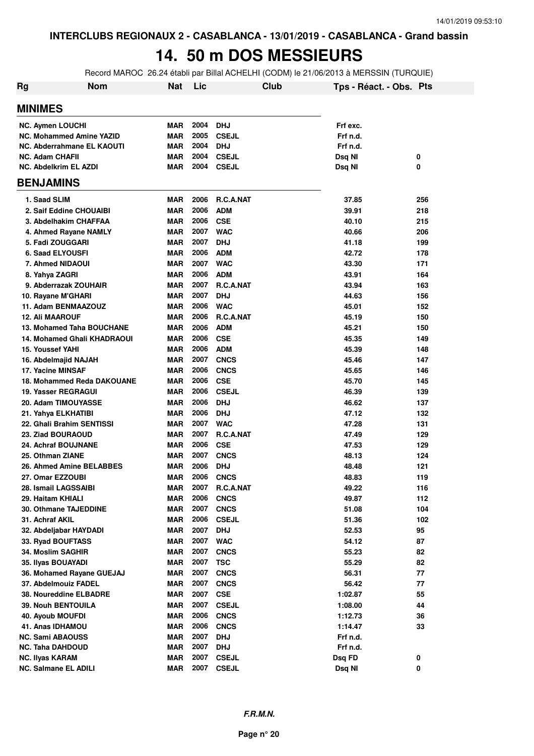### **14. 50 m DOS MESSIEURS**

Record MAROC 26.24 établi par Billal ACHELHI (CODM) le 21/06/2013 à MERSSIN (TURQUIE)

| Rg<br><b>Nom</b>                   | <b>Nat</b> | Lic  |                  | Club | Tps - Réact. - Obs. Pts |     |
|------------------------------------|------------|------|------------------|------|-------------------------|-----|
| <b>MINIMES</b>                     |            |      |                  |      |                         |     |
| <b>NC. Aymen LOUCHI</b>            | <b>MAR</b> | 2004 | <b>DHJ</b>       |      | Frf exc.                |     |
| <b>NC. Mohammed Amine YAZID</b>    | <b>MAR</b> | 2005 | <b>CSEJL</b>     |      | Frf n.d.                |     |
| NC. Abderrahmane EL KAOUTI         | <b>MAR</b> | 2004 | <b>DHJ</b>       |      | Frf n.d.                |     |
| <b>NC. Adam CHAFII</b>             | <b>MAR</b> | 2004 | <b>CSEJL</b>     |      | Dsq NI                  | 0   |
| <b>NC. Abdelkrim EL AZDI</b>       | <b>MAR</b> | 2004 | <b>CSEJL</b>     |      | Dsq NI                  | 0   |
| <b>BENJAMINS</b>                   |            |      |                  |      |                         |     |
| 1. Saad SLIM                       | <b>MAR</b> | 2006 | R.C.A.NAT        |      | 37.85                   | 256 |
| 2. Saif Eddine CHOUAIBI            | <b>MAR</b> | 2006 | <b>ADM</b>       |      | 39.91                   | 218 |
| 3. Abdelhakim CHAFFAA              | <b>MAR</b> | 2006 | <b>CSE</b>       |      | 40.10                   | 215 |
| 4. Ahmed Rayane NAMLY              | <b>MAR</b> | 2007 | <b>WAC</b>       |      | 40.66                   | 206 |
| 5. Fadi ZOUGGARI                   | <b>MAR</b> | 2007 | <b>DHJ</b>       |      | 41.18                   | 199 |
| <b>6. Saad ELYOUSFI</b>            | <b>MAR</b> | 2006 | <b>ADM</b>       |      | 42.72                   | 178 |
| 7. Ahmed NIDAOUI                   | <b>MAR</b> | 2007 | <b>WAC</b>       |      | 43.30                   | 171 |
| 8. Yahya ZAGRI                     | <b>MAR</b> | 2006 | <b>ADM</b>       |      | 43.91                   | 164 |
| 9. Abderrazak ZOUHAIR              | <b>MAR</b> | 2007 | R.C.A.NAT        |      | 43.94                   | 163 |
| 10. Rayane M'GHARI                 | <b>MAR</b> | 2007 | <b>DHJ</b>       |      | 44.63                   | 156 |
| 11. Adam BENMAAZOUZ                | <b>MAR</b> | 2006 | <b>WAC</b>       |      | 45.01                   | 152 |
| <b>12. Ali MAAROUF</b>             | <b>MAR</b> | 2006 | R.C.A.NAT        |      | 45.19                   | 150 |
| 13. Mohamed Taha BOUCHANE          | <b>MAR</b> | 2006 | <b>ADM</b>       |      | 45.21                   | 150 |
| <b>14. Mohamed Ghali KHADRAOUI</b> | <b>MAR</b> | 2006 | <b>CSE</b>       |      | 45.35                   | 149 |
| 15. Youssef YAHI                   | <b>MAR</b> | 2006 | <b>ADM</b>       |      | 45.39                   | 148 |
| 16. Abdelmajid NAJAH               | <b>MAR</b> | 2007 | <b>CNCS</b>      |      | 45.46                   | 147 |
| 17. Yacine MINSAF                  | <b>MAR</b> | 2006 | <b>CNCS</b>      |      | 45.65                   | 146 |
| 18. Mohammed Reda DAKOUANE         | <b>MAR</b> | 2006 | <b>CSE</b>       |      | 45.70                   | 145 |
| 19. Yasser REGRAGUI                | <b>MAR</b> | 2006 | <b>CSEJL</b>     |      | 46.39                   | 139 |
| 20. Adam TIMOUYASSE                | <b>MAR</b> | 2006 | <b>DHJ</b>       |      | 46.62                   | 137 |
| 21. Yahya ELKHATIBI                | <b>MAR</b> | 2006 | <b>DHJ</b>       |      | 47.12                   | 132 |
| 22. Ghali Brahim SENTISSI          | <b>MAR</b> | 2007 | <b>WAC</b>       |      | 47.28                   | 131 |
| 23. Ziad BOURAOUD                  | <b>MAR</b> | 2007 | <b>R.C.A.NAT</b> |      | 47.49                   | 129 |
| 24. Achraf BOUJNANE                | <b>MAR</b> | 2006 | <b>CSE</b>       |      | 47.53                   | 129 |
| 25. Othman ZIANE                   | <b>MAR</b> | 2007 | <b>CNCS</b>      |      | 48.13                   | 124 |
| 26. Ahmed Amine BELABBES           | <b>MAR</b> | 2006 | <b>DHJ</b>       |      | 48.48                   | 121 |
| 27. Omar EZZOUBI                   | <b>MAR</b> | 2006 | <b>CNCS</b>      |      | 48.83                   | 119 |
| 28. Ismail LAGSSAIBI               | MAR        | 2007 | R.C.A.NAT        |      | 49.22                   | 116 |
| 29. Haitam KHIALI                  | <b>MAR</b> | 2006 | <b>CNCS</b>      |      | 49.87                   | 112 |
| <b>30. Othmane TAJEDDINE</b>       | <b>MAR</b> | 2007 | <b>CNCS</b>      |      | 51.08                   | 104 |
| 31. Achraf AKIL                    | <b>MAR</b> | 2006 | <b>CSEJL</b>     |      | 51.36                   | 102 |
| 32. Abdeljabar HAYDADI             | <b>MAR</b> | 2007 | <b>DHJ</b>       |      | 52.53                   | 95  |
| 33. Ryad BOUFTASS                  | <b>MAR</b> | 2007 | <b>WAC</b>       |      | 54.12                   | 87  |
| 34. Moslim SAGHIR                  | <b>MAR</b> | 2007 | <b>CNCS</b>      |      | 55.23                   | 82  |
| 35. Ilyas BOUAYADI                 | <b>MAR</b> | 2007 | <b>TSC</b>       |      | 55.29                   | 82  |
| 36. Mohamed Rayane GUEJAJ          | <b>MAR</b> | 2007 | <b>CNCS</b>      |      | 56.31                   | 77  |
| 37. Abdelmouiz FADEL               | <b>MAR</b> | 2007 | <b>CNCS</b>      |      | 56.42                   | 77  |
| 38. Noureddine ELBADRE             | <b>MAR</b> | 2007 | <b>CSE</b>       |      | 1:02.87                 | 55  |
| <b>39. Nouh BENTOUILA</b>          | <b>MAR</b> | 2007 | <b>CSEJL</b>     |      | 1:08.00                 | 44  |
| <b>40. Ayoub MOUFDI</b>            | <b>MAR</b> | 2006 | <b>CNCS</b>      |      | 1:12.73                 | 36  |
| 41. Anas IDHAMOU                   | <b>MAR</b> | 2006 | <b>CNCS</b>      |      | 1:14.47                 | 33  |
| <b>NC. Sami ABAOUSS</b>            | <b>MAR</b> | 2007 | <b>DHJ</b>       |      | Frf n.d.                |     |
| <b>NC. Taha DAHDOUD</b>            | <b>MAR</b> | 2007 | <b>DHJ</b>       |      | Frf n.d.                |     |
| <b>NC. Ilyas KARAM</b>             | <b>MAR</b> | 2007 | <b>CSEJL</b>     |      | Dsq FD                  | 0   |
| <b>NC. Salmane EL ADILI</b>        | <b>MAR</b> | 2007 | <b>CSEJL</b>     |      | Dsq NI                  | 0   |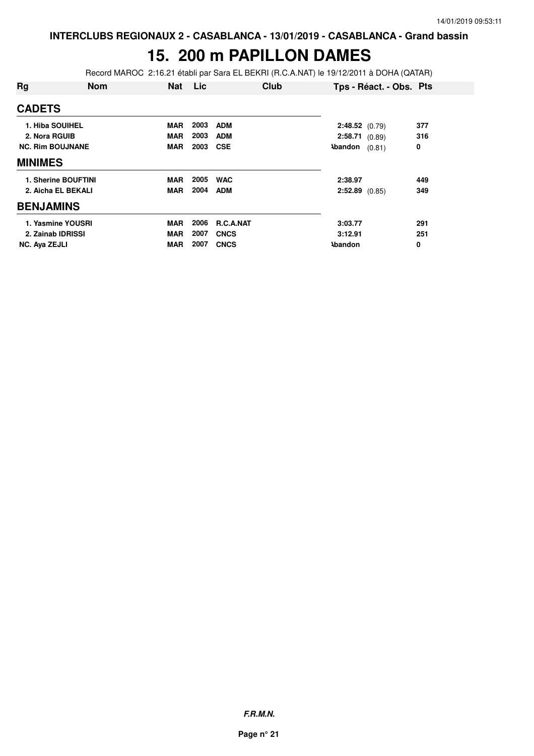# **15. 200 m PAPILLON DAMES**

Record MAROC 2:16.21 établi par Sara EL BEKRI (R.C.A.NAT) le 19/12/2011 à DOHA (QATAR)

| Rg                      | <b>Nom</b>          | <b>Nat</b> | Lic  | Club        |                  | Tps - Réact. - Obs. Pts |     |
|-------------------------|---------------------|------------|------|-------------|------------------|-------------------------|-----|
| <b>CADETS</b>           |                     |            |      |             |                  |                         |     |
| 1. Hiba SOUIHEL         |                     | MAR        | 2003 | <b>ADM</b>  | 2:48.52(0.79)    |                         | 377 |
| 2. Nora RGUIB           |                     | <b>MAR</b> | 2003 | <b>ADM</b>  | 2:58.71(0.89)    |                         | 316 |
| <b>NC. Rim BOUJNANE</b> |                     | <b>MAR</b> | 2003 | <b>CSE</b>  | <b>Abandon</b>   | (0.81)                  | 0   |
| <b>MINIMES</b>          |                     |            |      |             |                  |                         |     |
|                         | 1. Sherine BOUFTINI | MAR        | 2005 | <b>WAC</b>  | 2:38.97          |                         | 449 |
|                         | 2. Aicha EL BEKALI  | <b>MAR</b> | 2004 | <b>ADM</b>  | $2:52.89$ (0.85) |                         | 349 |
| <b>BENJAMINS</b>        |                     |            |      |             |                  |                         |     |
|                         | 1. Yasmine YOUSRI   | <b>MAR</b> | 2006 | R.C.A.NAT   | 3:03.77          |                         | 291 |
| 2. Zainab IDRISSI       |                     | <b>MAR</b> | 2007 | <b>CNCS</b> | 3:12.91          |                         | 251 |
| <b>NC. Ava ZEJLI</b>    |                     | <b>MAR</b> | 2007 | <b>CNCS</b> | <b>\bandon</b>   |                         | 0   |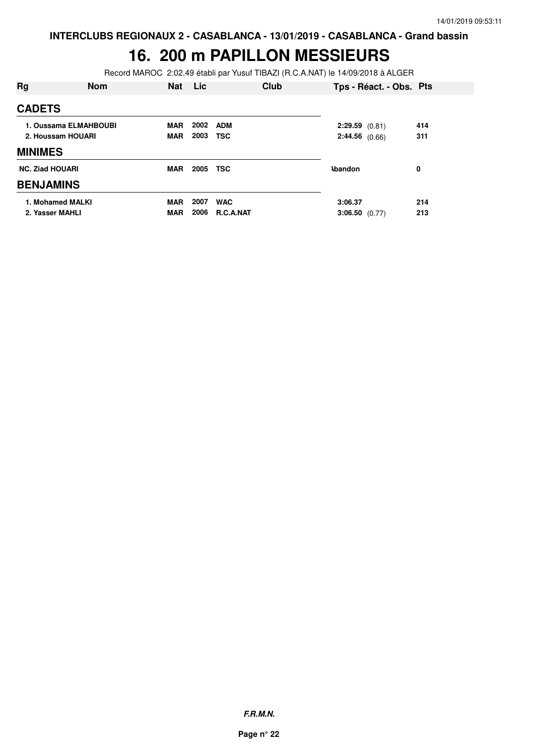### **16. 200 m PAPILLON MESSIEURS**

Record MAROC 2:02.49 établi par Yusuf TIBAZI (R.C.A.NAT) le 14/09/2018 à ALGER

| Rg                     | <b>Nom</b>            | <b>Nat</b> | Lic  | <b>Club</b> | Tps - Réact. - Obs. Pts |     |
|------------------------|-----------------------|------------|------|-------------|-------------------------|-----|
| <b>CADETS</b>          |                       |            |      |             |                         |     |
|                        | 1. Oussama ELMAHBOUBI | <b>MAR</b> | 2002 | <b>ADM</b>  | 2:29.59(0.81)           | 414 |
|                        | 2. Houssam HOUARI     | <b>MAR</b> | 2003 | <b>TSC</b>  | 2:44.56(0.66)           | 311 |
| <b>MINIMES</b>         |                       |            |      |             |                         |     |
| <b>NC. Ziad HOUARI</b> |                       | <b>MAR</b> | 2005 | <b>TSC</b>  | <b>Abandon</b>          | 0   |
| <b>BENJAMINS</b>       |                       |            |      |             |                         |     |
| 1. Mohamed MALKI       |                       | <b>MAR</b> | 2007 | <b>WAC</b>  | 3:06.37                 | 214 |
| 2. Yasser MAHLI        |                       | <b>MAR</b> | 2006 | R.C.A.NAT   | $3:06.50$ (0.77)        | 213 |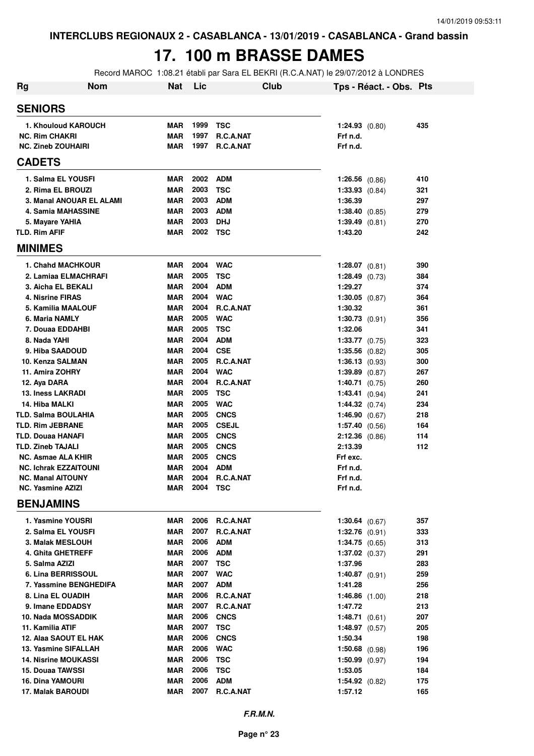### **17. 100 m BRASSE DAMES**

Record MAROC 1:08.21 établi par Sara EL BEKRI (R.C.A.NAT) le 29/07/2012 à LONDRES

| Rg                                            | <b>Nom</b> | <b>Nat</b>               | Lic          |                           | Club |                                      | Tps - Réact. - Obs. Pts |            |
|-----------------------------------------------|------------|--------------------------|--------------|---------------------------|------|--------------------------------------|-------------------------|------------|
| <b>SENIORS</b>                                |            |                          |              |                           |      |                                      |                         |            |
| 1. Khouloud KAROUCH                           |            | <b>MAR</b>               | 1999 TSC     |                           |      | $1:24.93$ (0.80)                     |                         | 435        |
| <b>NC. Rim CHAKRI</b>                         |            | <b>MAR</b>               | 1997         | R.C.A.NAT                 |      | Frf n.d.                             |                         |            |
| <b>NC. Zineb ZOUHAIRI</b>                     |            | <b>MAR</b>               | 1997         | R.C.A.NAT                 |      | Frf n.d.                             |                         |            |
| <b>CADETS</b>                                 |            |                          |              |                           |      |                                      |                         |            |
| 1. Salma EL YOUSFI                            |            | <b>MAR</b>               |              | 2002 ADM                  |      | $1:26.56$ $(0.86)$                   |                         | 410        |
| 2. Rima EL BROUZI                             |            | <b>MAR</b>               | 2003         | <b>TSC</b>                |      | $1:33.93$ $(0.84)$                   |                         | 321        |
| 3. Manal ANOUAR EL ALAMI                      |            | <b>MAR</b>               | 2003         | <b>ADM</b>                |      | 1:36.39                              |                         | 297        |
| 4. Samia MAHASSINE                            |            | <b>MAR</b>               | 2003         | ADM                       |      | 1:38.40 (0.85)                       |                         | 279        |
| 5. Mayare YAHIA                               |            | <b>MAR</b>               | 2003         | <b>DHJ</b>                |      | 1:39.49(0.81)                        |                         | 270        |
| <b>TLD. Rim AFIF</b>                          |            | <b>MAR</b>               | 2002 TSC     |                           |      | 1:43.20                              |                         | 242        |
| <b>MINIMES</b>                                |            |                          |              |                           |      |                                      |                         |            |
| <b>1. Chahd MACHKOUR</b>                      |            | <b>MAR</b>               |              | 2004 WAC                  |      | $1:28.07$ (0.81)                     |                         | 390        |
| 2. Lamiaa ELMACHRAFI                          |            | <b>MAR</b>               | 2005         | <b>TSC</b>                |      | $1:28.49$ (0.73)                     |                         | 384        |
| 3. Aicha EL BEKALI                            |            | <b>MAR</b>               | 2004         | <b>ADM</b>                |      | 1:29.27                              |                         | 374        |
| 4. Nisrine FIRAS                              |            | <b>MAR</b>               | 2004         | <b>WAC</b>                |      | 1:30.05 $(0.87)$                     |                         | 364        |
| 5. Kamilia MAALOUF                            |            | <b>MAR</b>               | 2004         | R.C.A.NAT                 |      | 1:30.32                              |                         | 361        |
| 6. Maria NAMLY                                |            | <b>MAR</b>               | 2005         | <b>WAC</b>                |      | $1:30.73$ $(0.91)$                   |                         | 356        |
| 7. Douaa EDDAHBI                              |            | <b>MAR</b>               | 2005         | TSC                       |      | 1:32.06                              |                         | 341        |
| 8. Nada YAHI                                  |            | <b>MAR</b>               | 2004         | <b>ADM</b>                |      | $1:33.77$ $(0.75)$                   |                         | 323        |
| 9. Hiba SAADOUD                               |            | <b>MAR</b><br><b>MAR</b> | 2004<br>2005 | <b>CSE</b><br>R.C.A.NAT   |      | $1:35.56$ $(0.82)$                   |                         | 305        |
| 10. Kenza SALMAN<br>11. Amira ZOHRY           |            | <b>MAR</b>               | 2004         | <b>WAC</b>                |      | 1:36.13(0.93)<br>$1:39.89$ $(0.87)$  |                         | 300<br>267 |
| 12. Aya DARA                                  |            | <b>MAR</b>               | 2004         | R.C.A.NAT                 |      | $1:40.71$ (0.75)                     |                         | 260        |
| <b>13. Iness LAKRADI</b>                      |            | <b>MAR</b>               | 2005         | <b>TSC</b>                |      | 1:43.41 (0.94)                       |                         | 241        |
| 14. Hiba MALKI                                |            | <b>MAR</b>               | 2005         | <b>WAC</b>                |      | $1:44.32$ (0.74)                     |                         | 234        |
| <b>TLD. Salma BOULAHIA</b>                    |            | <b>MAR</b>               | 2005         | <b>CNCS</b>               |      | 1:46.90(0.67)                        |                         | 218        |
| <b>TLD. Rim JEBRANE</b>                       |            | <b>MAR</b>               | 2005         | <b>CSEJL</b>              |      | 1:57.40 (0.56)                       |                         | 164        |
| TLD. Douaa HANAFI                             |            | <b>MAR</b>               | 2005         | <b>CNCS</b>               |      | $2:12.36$ (0.86)                     |                         | 114        |
| TLD. Zineb TAJALI                             |            | <b>MAR</b>               | 2005         | <b>CNCS</b>               |      | 2:13.39                              |                         | 112        |
| NC. Asmae ALA KHIR                            |            | <b>MAR</b>               | 2005         | <b>CNCS</b>               |      | Frf exc.                             |                         |            |
| <b>NC. Ichrak EZZAITOUNI</b>                  |            | <b>MAR</b>               | 2004         | <b>ADM</b>                |      | Frf n.d.                             |                         |            |
| <b>NC. Manal AITOUNY</b>                      |            | <b>MAR</b>               | 2004         | R.C.A.NAT                 |      | Frf n.d.                             |                         |            |
| NC. Yasmine AZIZI                             |            | MAR                      | 2004         | TSC                       |      | Frf n.d.                             |                         |            |
| <b>BENJAMINS</b>                              |            |                          |              |                           |      |                                      |                         |            |
| 1. Yasmine YOUSRI                             |            | <b>MAR</b>               | 2006         | R.C.A.NAT                 |      | $1:30.64$ (0.67)                     |                         | 357        |
| 2. Salma EL YOUSFI                            |            | <b>MAR</b>               | 2007         | R.C.A.NAT                 |      | $1:32.76$ (0.91)                     |                         | 333        |
| 3. Malak MESLOUH                              |            | <b>MAR</b>               | 2006         | <b>ADM</b>                |      | $1:34.75$ (0.65)                     |                         | 313        |
| 4. Ghita GHETREFF                             |            | <b>MAR</b>               | 2006         | <b>ADM</b>                |      | $1:37.02$ (0.37)                     |                         | 291        |
| 5. Salma AZIZI                                |            | <b>MAR</b>               | 2007         | <b>TSC</b>                |      | 1:37.96                              |                         | 283        |
| 6. Lina BERRISSOUL                            |            | <b>MAR</b>               | 2007         | <b>WAC</b>                |      | $1:40.87$ (0.91)                     |                         | 259        |
| 7. Yassmine BENGHEDIFA                        |            | <b>MAR</b>               | 2007         | <b>ADM</b>                |      | 1:41.28                              |                         | 256        |
| 8. Lina EL OUADIH                             |            | <b>MAR</b>               | 2006         | R.C.A.NAT                 |      | 1:46.86 $(1.00)$                     |                         | 218        |
| 9. Imane EDDADSY                              |            | <b>MAR</b>               | 2007         | R.C.A.NAT                 |      | 1:47.72                              |                         | 213        |
| 10. Nada MOSSADDIK                            |            | <b>MAR</b>               | 2006         | <b>CNCS</b>               |      | 1:48.71(0.61)                        |                         | 207        |
| 11. Kamilia ATIF                              |            | <b>MAR</b>               | 2007<br>2006 | <b>TSC</b>                |      | <b>1:48.97</b> $(0.57)$              |                         | 205        |
| 12. Alaa SAOUT EL HAK<br>13. Yasmine SIFALLAH |            | <b>MAR</b><br><b>MAR</b> | 2006         | <b>CNCS</b><br><b>WAC</b> |      | 1:50.34                              |                         | 198<br>196 |
| <b>14. Nisrine MOUKASSI</b>                   |            | <b>MAR</b>               | 2006         | <b>TSC</b>                |      | $1:50.68$ (0.98)<br>$1:50.99$ (0.97) |                         | 194        |
| 15. Douaa TAWSSI                              |            | MAR                      | 2006         | <b>TSC</b>                |      | 1:53.05                              |                         | 184        |
| <b>16. Dina YAMOURI</b>                       |            | MAR                      | 2006         | <b>ADM</b>                |      | $1:54.92$ (0.82)                     |                         | 175        |
| <b>17. Malak BAROUDI</b>                      |            | <b>MAR</b>               | 2007         | R.C.A.NAT                 |      | 1:57.12                              |                         | 165        |
|                                               |            |                          |              |                           |      |                                      |                         |            |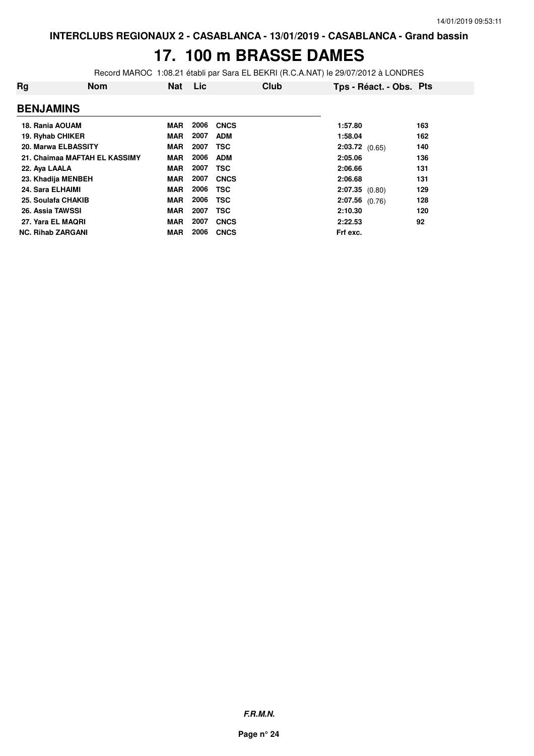### **17. 100 m BRASSE DAMES**

Record MAROC 1:08.21 établi par Sara EL BEKRI (R.C.A.NAT) le 29/07/2012 à LONDRES

| Rg                       | <b>Nom</b>                    | <b>Nat</b> | Lic  | Club        | Tps - Réact. - Obs. Pts |     |
|--------------------------|-------------------------------|------------|------|-------------|-------------------------|-----|
| <b>BENJAMINS</b>         |                               |            |      |             |                         |     |
| 18. Rania AOUAM          |                               | <b>MAR</b> | 2006 | <b>CNCS</b> | 1:57.80                 | 163 |
| 19. Ryhab CHIKER         |                               | <b>MAR</b> | 2007 | <b>ADM</b>  | 1:58.04                 | 162 |
| 20. Marwa ELBASSITY      |                               | <b>MAR</b> | 2007 | <b>TSC</b>  | $2:03.72$ (0.65)        | 140 |
|                          | 21. Chaimaa MAFTAH EL KASSIMY | <b>MAR</b> | 2006 | <b>ADM</b>  | 2:05.06                 | 136 |
| 22. Aya LAALA            |                               | <b>MAR</b> | 2007 | <b>TSC</b>  | 2:06.66                 | 131 |
| 23. Khadija MENBEH       |                               | <b>MAR</b> | 2007 | <b>CNCS</b> | 2:06.68                 | 131 |
| 24. Sara ELHAIMI         |                               | <b>MAR</b> | 2006 | <b>TSC</b>  | $2:07.35$ (0.80)        | 129 |
| 25. Soulafa CHAKIB       |                               | <b>MAR</b> | 2006 | <b>TSC</b>  | $2:07.56$ (0.76)        | 128 |
| <b>26. Assia TAWSSI</b>  |                               | <b>MAR</b> | 2007 | <b>TSC</b>  | 2:10.30                 | 120 |
| 27. Yara EL MAQRI        |                               | <b>MAR</b> | 2007 | <b>CNCS</b> | 2:22.53                 | 92  |
| <b>NC. Rihab ZARGANI</b> |                               | <b>MAR</b> | 2006 | <b>CNCS</b> | Frf exc.                |     |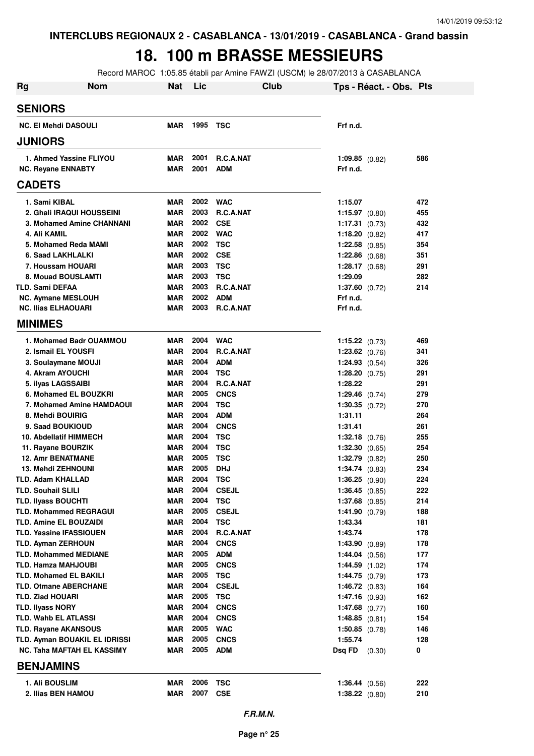# **18. 100 m BRASSE MESSIEURS**

Record MAROC 1:05.85 établi par Amine FAWZI (USCM) le 28/07/2013 à CASABLANCA

| <b>Rg</b><br>Nom                              | <b>Nat</b> | Lic          | Club                     |                             | Tps - Réact. - Obs. Pts |            |
|-----------------------------------------------|------------|--------------|--------------------------|-----------------------------|-------------------------|------------|
| <b>SENIORS</b>                                |            |              |                          |                             |                         |            |
| <b>NC. El Mehdi DASOULI</b>                   | <b>MAR</b> | 1995         | TSC                      | Frf n.d.                    |                         |            |
| <b>JUNIORS</b>                                |            |              |                          |                             |                         |            |
| 1. Ahmed Yassine FLIYOU                       | MAR        | 2001         | <b>R.C.A.NAT</b>         | $1:09.85$ (0.82)            |                         | 586        |
| <b>NC. Reyane ENNABTY</b>                     | <b>MAR</b> | 2001         | <b>ADM</b>               | Frf n.d.                    |                         |            |
| <b>CADETS</b>                                 |            |              |                          |                             |                         |            |
| 1. Sami KIBAL                                 | <b>MAR</b> | 2002         | <b>WAC</b>               | 1:15.07                     |                         | 472        |
| 2. Ghali IRAQUI HOUSSEINI                     | <b>MAR</b> | 2003         | <b>R.C.A.NAT</b>         | $1:15.97$ (0.80)            |                         | 455        |
| 3. Mohamed Amine CHANNANI                     | MAR        | 2002         | <b>CSE</b>               | <b>1:17.31</b> $(0.73)$     |                         | 432        |
| 4. Ali KAMIL                                  | <b>MAR</b> | 2002         | <b>WAC</b>               | 1:18.20 $(0.82)$            |                         | 417        |
| 5. Mohamed Reda MAMI                          | <b>MAR</b> | 2002         | <b>TSC</b>               | 1:22.58 $(0.85)$            |                         | 354        |
| 6. Saad LAKHLALKI                             | <b>MAR</b> | 2002         | <b>CSE</b>               | $1:22.86$ (0.68)            |                         | 351        |
| 7. Houssam HOUARI                             | <b>MAR</b> | 2003         | <b>TSC</b>               | 1:28.17 $(0.68)$            |                         | 291        |
| 8. Mouad BOUSLAMTI                            | <b>MAR</b> | 2003         | <b>TSC</b>               | 1:29.09                     |                         | 282        |
| <b>TLD. Sami DEFAA</b>                        | <b>MAR</b> | 2003         | R.C.A.NAT                | $1:37.60$ (0.72)            |                         | 214        |
| <b>NC. Aymane MESLOUH</b>                     | <b>MAR</b> | 2002         | <b>ADM</b>               | Frf n.d.                    |                         |            |
| <b>NC. Ilias ELHAOUARI</b>                    | <b>MAR</b> | 2003         | R.C.A.NAT                | Frf n.d.                    |                         |            |
| <b>MINIMES</b>                                |            |              |                          |                             |                         |            |
| 1. Mohamed Badr OUAMMOU                       | MAR        | 2004         | <b>WAC</b>               | $1:15.22$ (0.73)            |                         | 469        |
| 2. Ismail EL YOUSFI                           | MAR        | 2004         | <b>R.C.A.NAT</b>         | $1:23.62$ (0.76)            |                         | 341        |
| 3. Soulaymane MOUJI                           | <b>MAR</b> | 2004         | <b>ADM</b>               | $1:24.93$ (0.54)            |                         | 326        |
| 4. Akram AYOUCHI                              | MAR        | 2004         | <b>TSC</b>               | 1:28.20 $(0.75)$            |                         | 291        |
| 5. ilyas LAGSSAIBI                            | <b>MAR</b> | 2004         | <b>R.C.A.NAT</b>         | 1:28.22                     |                         | 291        |
| 6. Mohamed EL BOUZKRI                         | MAR        | 2005<br>2004 | <b>CNCS</b>              | 1:29.46 $(0.74)$            |                         | 279        |
| 7. Mohamed Amine HAMDAOUI<br>8. Mehdi BOUIRIG | MAR<br>MAR | 2004         | <b>TSC</b><br><b>ADM</b> | $1:30.35$ (0.72)<br>1:31.11 |                         | 270<br>264 |
| 9. Saad BOUKIOUD                              | MAR        | 2004         | <b>CNCS</b>              | 1:31.41                     |                         | 261        |
| <b>10. Abdellatif HIMMECH</b>                 | MAR        | 2004         | <b>TSC</b>               | $1:32.18$ (0.76)            |                         | 255        |
| 11. Rayane BOURZIK                            | MAR        | 2004         | <b>TSC</b>               | 1:32.30 $(0.65)$            |                         | 254        |
| <b>12. Amr BENATMANE</b>                      | MAR        | 2005         | <b>TSC</b>               | $1:32.79$ $(0.82)$          |                         | 250        |
| <b>13. Mehdi ZEHNOUNI</b>                     | MAR        | 2005         | <b>DHJ</b>               | $1:34.74$ $(0.83)$          |                         | 234        |
| TLD. Adam KHALLAD                             | MAR        | 2004         | <b>TSC</b>               | 1:36.25(0.90)               |                         | 224        |
| <b>TLD. Souhail SLILI</b>                     | MAR        | 2004         | <b>CSEJL</b>             | $1:36.45$ (0.85)            |                         | 222        |
| <b>TLD. Ilyass BOUCHTI</b>                    | MAR        | 2004         | <b>TSC</b>               | $1:37.68$ (0.85)            |                         | 214        |
| <b>TLD. Mohammed REGRAGUI</b>                 | MAR        | 2005         | <b>CSEJL</b>             | 1:41.90 $(0.79)$            |                         | 188        |
| <b>TLD. Amine EL BOUZAIDI</b>                 | MAR        | 2004         | <b>TSC</b>               | 1:43.34                     |                         | 181        |
| <b>TLD. Yassine IFASSIOUEN</b>                | MAR        | 2004         | R.C.A.NAT                | 1:43.74                     |                         | 178        |
| <b>TLD. Ayman ZERHOUN</b>                     | MAR        | 2004         | <b>CNCS</b>              | 1:43.90(0.89)               |                         | 178        |
| <b>TLD. Mohammed MEDIANE</b>                  | MAR        | 2005         | <b>ADM</b>               | 1:44.04 $(0.56)$            |                         | 177        |
| TLD. Hamza MAHJOUBI                           | <b>MAR</b> | 2005         | <b>CNCS</b>              | $1:44.59$ $(1.02)$          |                         | 174        |
| <b>TLD. Mohamed EL BAKILI</b>                 | <b>MAR</b> | 2005         | <b>TSC</b>               | 1:44.75(0.79)               |                         | 173        |
| <b>TLD. Otmane ABERCHANE</b>                  | <b>MAR</b> | 2004         | <b>CSEJL</b>             | 1:46.72(0.83)               |                         | 164        |
| <b>TLD. Ziad HOUARI</b>                       | <b>MAR</b> | 2005         | <b>TSC</b>               | $1:47.16$ (0.93)            |                         | 162        |
| <b>TLD. Ilyass NORY</b>                       | MAR        | 2004         | <b>CNCS</b>              | $1:47.68$ (0.77)            |                         | 160        |
| TLD. Wahb EL ATLASSI                          | MAR        | 2004         | <b>CNCS</b>              | 1:48.85(0.81)               |                         | 154        |
| TLD. Rayane AKANSOUS                          | <b>MAR</b> | 2005         | <b>WAC</b>               | $1:50.85$ (0.78)            |                         | 146        |
| TLD. Ayman BOUAKIL EL IDRISSI                 | <b>MAR</b> | 2005         | <b>CNCS</b>              | 1:55.74                     |                         | 128        |
| NC. Taha MAFTAH EL KASSIMY                    | MAR        | 2005         | <b>ADM</b>               | Dsq FD                      | (0.30)                  | 0          |
| <b>BENJAMINS</b>                              |            |              |                          |                             |                         |            |
| 1. Ali BOUSLIM                                | <b>MAR</b> | 2006         | <b>TSC</b>               | 1:36.44 (0.56)              |                         | 222        |
| 2. Ilias BEN HAMOU                            | <b>MAR</b> | 2007         | <b>CSE</b>               | $1:38.22$ (0.80)            |                         | 210        |
|                                               |            |              |                          |                             |                         |            |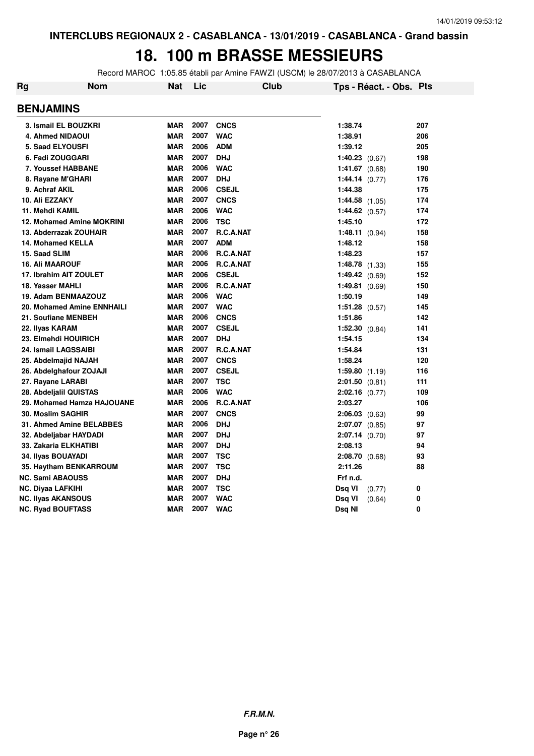#### **18. 100 m BRASSE MESSIEURS**

Record MAROC 1:05.85 établi par Amine FAWZI (USCM) le 28/07/2013 à CASABLANCA

| Rg                        | Nom                        | <b>Nat</b> | Lic  | Club             | Tps - Réact. - Obs. Pts |     |
|---------------------------|----------------------------|------------|------|------------------|-------------------------|-----|
| <b>BENJAMINS</b>          |                            |            |      |                  |                         |     |
|                           | 3. Ismail EL BOUZKRI       | <b>MAR</b> | 2007 | <b>CNCS</b>      | 1:38.74                 | 207 |
|                           | 4. Ahmed NIDAOUI           | <b>MAR</b> | 2007 | <b>WAC</b>       | 1:38.91                 | 206 |
|                           | <b>5. Saad ELYOUSFI</b>    | <b>MAR</b> | 2006 | <b>ADM</b>       | 1:39.12                 | 205 |
|                           | 6. Fadi ZOUGGARI           | <b>MAR</b> | 2007 | <b>DHJ</b>       | $1:40.23$ (0.67)        | 198 |
|                           | 7. Youssef HABBANE         | <b>MAR</b> | 2006 | <b>WAC</b>       | $1:41.67$ (0.68)        | 190 |
|                           | 8. Rayane M'GHARI          | <b>MAR</b> | 2007 | <b>DHJ</b>       | 1:44.14 (0.77)          | 176 |
| 9. Achraf AKIL            |                            | <b>MAR</b> | 2006 | <b>CSEJL</b>     | 1:44.38                 | 175 |
| 10. Ali EZZAKY            |                            | <b>MAR</b> | 2007 | <b>CNCS</b>      | $1:44.58$ $(1.05)$      | 174 |
| 11. Mehdi KAMIL           |                            | <b>MAR</b> | 2006 | <b>WAC</b>       | 1:44.62 $(0.57)$        | 174 |
|                           | 12. Mohamed Amine MOKRINI  | <b>MAR</b> | 2006 | <b>TSC</b>       | 1:45.10                 | 172 |
|                           | 13. Abderrazak ZOUHAIR     | <b>MAR</b> | 2007 | R.C.A.NAT        | 1:48.11 $(0.94)$        | 158 |
|                           | 14. Mohamed KELLA          | <b>MAR</b> | 2007 | <b>ADM</b>       | 1:48.12                 | 158 |
| 15. Saad SLIM             |                            | <b>MAR</b> | 2006 | <b>R.C.A.NAT</b> | 1:48.23                 | 157 |
| <b>16. Ali MAAROUF</b>    |                            | <b>MAR</b> | 2006 | R.C.A.NAT        | 1:48.78(1.33)           | 155 |
|                           | 17. Ibrahim AIT ZOULET     | <b>MAR</b> | 2006 | <b>CSEJL</b>     | 1:49.42 $(0.69)$        | 152 |
| 18. Yasser MAHLI          |                            | <b>MAR</b> | 2006 | R.C.A.NAT        | <b>1:49.81</b> $(0.69)$ | 150 |
|                           | 19. Adam BENMAAZOUZ        | <b>MAR</b> | 2006 | <b>WAC</b>       | 1:50.19                 | 149 |
|                           | 20. Mohamed Amine ENNHAILI | <b>MAR</b> | 2007 | <b>WAC</b>       | $1:51.28$ (0.57)        | 145 |
|                           | 21. Soufiane MENBEH        | <b>MAR</b> | 2006 | <b>CNCS</b>      | 1:51.86                 | 142 |
| 22. Ilyas KARAM           |                            | <b>MAR</b> | 2007 | <b>CSEJL</b>     | $1:52.30$ $(0.84)$      | 141 |
|                           | 23. Elmehdi HOUIRICH       | <b>MAR</b> | 2007 | <b>DHJ</b>       | 1:54.15                 | 134 |
|                           | 24. Ismail LAGSSAIBI       | <b>MAR</b> | 2007 | <b>R.C.A.NAT</b> | 1:54.84                 | 131 |
|                           | 25. Abdelmajid NAJAH       | <b>MAR</b> | 2007 | <b>CNCS</b>      | 1:58.24                 | 120 |
|                           | 26. Abdelghafour ZOJAJI    | <b>MAR</b> | 2007 | <b>CSEJL</b>     | 1:59.80(1.19)           | 116 |
| 27. Rayane LARABI         |                            | <b>MAR</b> | 2007 | <b>TSC</b>       | $2:01.50$ $(0.81)$      | 111 |
|                           | 28. Abdeljalil QUISTAS     | <b>MAR</b> | 2006 | <b>WAC</b>       | $2:02.16$ (0.77)        | 109 |
|                           | 29. Mohamed Hamza HAJOUANE | <b>MAR</b> | 2006 | R.C.A.NAT        | 2:03.27                 | 106 |
| <b>30. Moslim SAGHIR</b>  |                            | <b>MAR</b> | 2007 | <b>CNCS</b>      | $2:06.03$ (0.63)        | 99  |
|                           | 31. Ahmed Amine BELABBES   | <b>MAR</b> | 2006 | <b>DHJ</b>       | $2:07.07$ (0.85)        | 97  |
|                           | 32. Abdeljabar HAYDADI     | <b>MAR</b> | 2007 | <b>DHJ</b>       | $2:07.14$ (0.70)        | 97  |
|                           | 33. Zakaria ELKHATIBI      | <b>MAR</b> | 2007 | <b>DHJ</b>       | 2:08.13                 | 94  |
| 34. Ilyas BOUAYADI        |                            | <b>MAR</b> | 2007 | <b>TSC</b>       | $2:08.70$ (0.68)        | 93  |
|                           | 35. Haytham BENKARROUM     | <b>MAR</b> | 2007 | <b>TSC</b>       | 2:11.26                 | 88  |
| <b>NC. Sami ABAOUSS</b>   |                            | <b>MAR</b> | 2007 | <b>DHJ</b>       | Frf n.d.                |     |
| <b>NC. Diyaa LAFKIHI</b>  |                            | <b>MAR</b> | 2007 | <b>TSC</b>       | Dsq VI<br>(0.77)        | 0   |
| <b>NC. Ilyas AKANSOUS</b> |                            | <b>MAR</b> | 2007 | <b>WAC</b>       | Dsq VI<br>(0.64)        | 0   |
| <b>NC. Ryad BOUFTASS</b>  |                            | <b>MAR</b> | 2007 | <b>WAC</b>       | Dsq NI                  | 0   |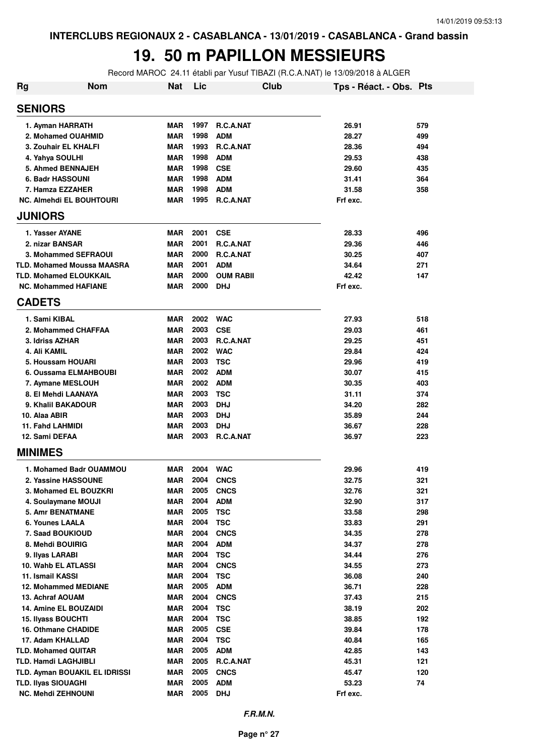### **19. 50 m PAPILLON MESSIEURS**

Record MAROC 24.11 établi par Yusuf TIBAZI (R.C.A.NAT) le 13/09/2018 à ALGER

| <b>Nom</b><br>Rg                               | Nat                      | Lic          |                            | Club | Tps - Réact. - Obs. Pts |            |
|------------------------------------------------|--------------------------|--------------|----------------------------|------|-------------------------|------------|
| <b>SENIORS</b>                                 |                          |              |                            |      |                         |            |
| 1. Ayman HARRATH                               | <b>MAR</b>               | 1997         | <b>R.C.A.NAT</b>           |      | 26.91                   | 579        |
| 2. Mohamed OUAHMID                             | <b>MAR</b>               | 1998         | <b>ADM</b>                 |      | 28.27                   | 499        |
| 3. Zouhair EL KHALFI                           | <b>MAR</b>               | 1993         | <b>R.C.A.NAT</b>           |      | 28.36                   | 494        |
| 4. Yahya SOULHI                                | <b>MAR</b>               | 1998         | <b>ADM</b>                 |      | 29.53                   | 438        |
| 5. Ahmed BENNAJEH                              | <b>MAR</b>               | 1998         | <b>CSE</b>                 |      | 29.60                   | 435        |
| 6. Badr HASSOUNI                               | <b>MAR</b>               | 1998         | <b>ADM</b>                 |      | 31.41                   | 364        |
| 7. Hamza EZZAHER                               | <b>MAR</b>               | 1998         | <b>ADM</b>                 |      | 31.58                   | 358        |
| <b>NC. Almehdi EL BOUHTOURI</b>                | <b>MAR</b>               | 1995         | R.C.A.NAT                  |      | Frf exc.                |            |
| <b>JUNIORS</b>                                 |                          |              |                            |      |                         |            |
| 1. Yasser AYANE                                | <b>MAR</b>               | 2001         | <b>CSE</b>                 |      | 28.33                   | 496        |
| 2. nizar BANSAR                                | <b>MAR</b>               | 2001         | R.C.A.NAT                  |      | 29.36                   | 446        |
| 3. Mohammed SEFRAOUI                           | <b>MAR</b>               | 2000         | R.C.A.NAT                  |      | 30.25                   | 407        |
| <b>TLD. Mohamed Moussa MAASRA</b>              | <b>MAR</b>               | 2001         | <b>ADM</b>                 |      | 34.64                   | 271        |
| <b>TLD. Mohamed ELOUKKAIL</b>                  | <b>MAR</b>               | 2000         | <b>OUM RABII</b>           |      | 42.42                   | 147        |
| <b>NC. Mohammed HAFIANE</b>                    | <b>MAR</b>               | 2000         | DHJ                        |      | Frf exc.                |            |
| <b>CADETS</b>                                  |                          |              |                            |      |                         |            |
| 1. Sami KIBAL                                  | <b>MAR</b>               | 2002         | <b>WAC</b>                 |      | 27.93                   | 518        |
| 2. Mohammed CHAFFAA                            | <b>MAR</b>               | 2003         | <b>CSE</b>                 |      | 29.03                   | 461        |
| 3. Idriss AZHAR                                | <b>MAR</b>               | 2003         | R.C.A.NAT                  |      | 29.25                   | 451        |
| 4. Ali KAMIL                                   | <b>MAR</b>               | 2002         | <b>WAC</b>                 |      | 29.84                   | 424        |
| 5. Houssam HOUARI                              | <b>MAR</b>               | 2003         | <b>TSC</b>                 |      | 29.96                   | 419        |
| 6. Oussama ELMAHBOUBI                          | <b>MAR</b>               | 2002         | <b>ADM</b>                 |      | 30.07                   | 415        |
| 7. Aymane MESLOUH                              | <b>MAR</b>               | 2002         | <b>ADM</b>                 |      | 30.35                   | 403        |
| 8. El Mehdi LAANAYA                            | <b>MAR</b>               | 2003         | <b>TSC</b>                 |      | 31.11                   | 374        |
| 9. Khalil BAKADOUR                             | <b>MAR</b>               | 2003         | <b>DHJ</b>                 |      | 34.20                   | 282        |
| 10. Alaa ABIR                                  | <b>MAR</b>               | 2003         | <b>DHJ</b>                 |      | 35.89                   | 244        |
| 11. Fahd LAHMIDI                               | <b>MAR</b>               | 2003         | <b>DHJ</b>                 |      | 36.67                   | 228        |
| 12. Sami DEFAA                                 | <b>MAR</b>               | 2003         | R.C.A.NAT                  |      | 36.97                   | 223        |
| <b>MINIMES</b>                                 |                          |              |                            |      |                         |            |
|                                                |                          |              |                            |      |                         |            |
| 1. Mohamed Badr OUAMMOU                        | <b>MAR</b>               | 2004<br>2004 | <b>WAC</b>                 |      | 29.96                   | 419        |
| 2. Yassine HASSOUNE                            | <b>MAR</b>               |              | <b>CNCS</b><br><b>CNCS</b> |      | 32.75                   | 321        |
| 3. Mohamed EL BOUZKRI                          | <b>MAR</b><br><b>MAR</b> | 2005<br>2004 |                            |      | 32.76                   | 321        |
| 4. Soulaymane MOUJI<br><b>5. Amr BENATMANE</b> | <b>MAR</b>               | 2005         | <b>ADM</b>                 |      | 32.90                   | 317        |
| 6. Younes LAALA                                | <b>MAR</b>               | 2004         | <b>TSC</b><br><b>TSC</b>   |      | 33.58<br>33.83          | 298<br>291 |
| 7. Saad BOUKIOUD                               | <b>MAR</b>               | 2004         | <b>CNCS</b>                |      | 34.35                   | 278        |
| 8. Mehdi BOUIRIG                               | <b>MAR</b>               | 2004         | <b>ADM</b>                 |      | 34.37                   | 278        |
| 9. Ilyas LARABI                                | <b>MAR</b>               | 2004         | <b>TSC</b>                 |      | 34.44                   | 276        |
| 10. Wahb EL ATLASSI                            | <b>MAR</b>               | 2004         | <b>CNCS</b>                |      | 34.55                   | 273        |
| 11. Ismail KASSI                               | <b>MAR</b>               | 2004         | <b>TSC</b>                 |      | 36.08                   | 240        |
| <b>12. Mohammed MEDIANE</b>                    | <b>MAR</b>               | 2005         | <b>ADM</b>                 |      | 36.71                   | 228        |
| 13. Achraf AOUAM                               | <b>MAR</b>               | 2004         | <b>CNCS</b>                |      | 37.43                   | 215        |
| <b>14. Amine EL BOUZAIDI</b>                   | <b>MAR</b>               | 2004         | <b>TSC</b>                 |      | 38.19                   | 202        |
| <b>15. Ilyass BOUCHTI</b>                      | <b>MAR</b>               | 2004         | <b>TSC</b>                 |      | 38.85                   | 192        |
| 16. Othmane CHADIDE                            | <b>MAR</b>               | 2005         | <b>CSE</b>                 |      | 39.84                   | 178        |
| 17. Adam KHALLAD                               | <b>MAR</b>               | 2004         | <b>TSC</b>                 |      | 40.84                   | 165        |
| <b>TLD. Mohamed QUITAR</b>                     | <b>MAR</b>               | 2005         | <b>ADM</b>                 |      | 42.85                   | 143        |
| <b>TLD. Hamdi LAGHJIBLI</b>                    | <b>MAR</b>               | 2005         | R.C.A.NAT                  |      | 45.31                   | 121        |
| TLD. Ayman BOUAKIL EL IDRISSI                  | <b>MAR</b>               | 2005         | <b>CNCS</b>                |      | 45.47                   | 120        |
| <b>TLD. Ilyas SIOUAGHI</b>                     | <b>MAR</b>               | 2005         | <b>ADM</b>                 |      | 53.23                   | 74         |
| <b>NC. Mehdi ZEHNOUNI</b>                      | <b>MAR</b>               | 2005         | <b>DHJ</b>                 |      | Frf exc.                |            |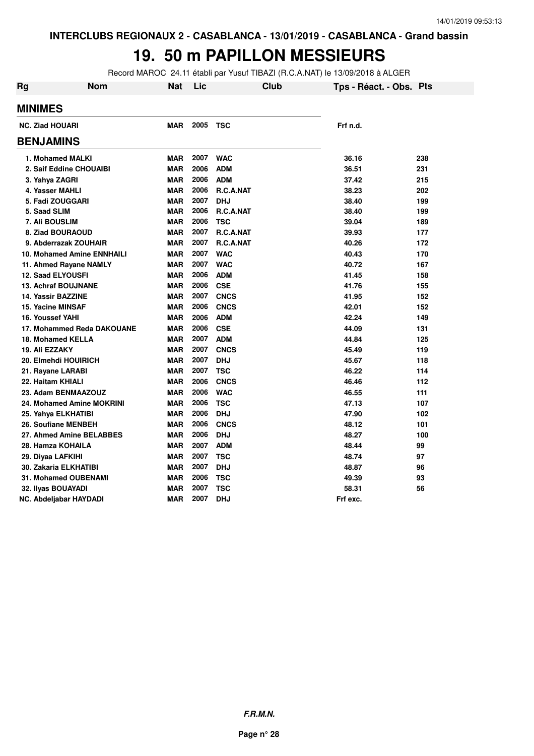### **19. 50 m PAPILLON MESSIEURS**

Record MAROC 24.11 établi par Yusuf TIBAZI (R.C.A.NAT) le 13/09/2018 à ALGER

| Rg                                | <b>Nom</b> | Nat        | Lic  |             | <b>Club</b> | Tps - Réact. - Obs. Pts |     |
|-----------------------------------|------------|------------|------|-------------|-------------|-------------------------|-----|
| <b>MINIMES</b>                    |            |            |      |             |             |                         |     |
| <b>NC. Ziad HOUARI</b>            |            | <b>MAR</b> | 2005 | TSC         |             | Frf n.d.                |     |
| <b>BENJAMINS</b>                  |            |            |      |             |             |                         |     |
| 1. Mohamed MALKI                  |            | <b>MAR</b> | 2007 | <b>WAC</b>  |             | 36.16                   | 238 |
| 2. Saif Eddine CHOUAIBI           |            | <b>MAR</b> | 2006 | <b>ADM</b>  |             | 36.51                   | 231 |
| 3. Yahya ZAGRI                    |            | <b>MAR</b> | 2006 | <b>ADM</b>  |             | 37.42                   | 215 |
| 4. Yasser MAHLI                   |            | <b>MAR</b> | 2006 | R.C.A.NAT   |             | 38.23                   | 202 |
| 5. Fadi ZOUGGARI                  |            | <b>MAR</b> | 2007 | <b>DHJ</b>  |             | 38.40                   | 199 |
| 5. Saad SLIM                      |            | <b>MAR</b> | 2006 | R.C.A.NAT   |             | 38.40                   | 199 |
| 7. Ali BOUSLIM                    |            | <b>MAR</b> | 2006 | <b>TSC</b>  |             | 39.04                   | 189 |
| 8. Ziad BOURAOUD                  |            | <b>MAR</b> | 2007 | R.C.A.NAT   |             | 39.93                   | 177 |
| 9. Abderrazak ZOUHAIR             |            | <b>MAR</b> | 2007 | R.C.A.NAT   |             | 40.26                   | 172 |
| <b>10. Mohamed Amine ENNHAILI</b> |            | <b>MAR</b> | 2007 | <b>WAC</b>  |             | 40.43                   | 170 |
| 11. Ahmed Rayane NAMLY            |            | <b>MAR</b> | 2007 | <b>WAC</b>  |             | 40.72                   | 167 |
| <b>12. Saad ELYOUSFI</b>          |            | <b>MAR</b> | 2006 | <b>ADM</b>  |             | 41.45                   | 158 |
| <b>13. Achraf BOUJNANE</b>        |            | <b>MAR</b> | 2006 | <b>CSE</b>  |             | 41.76                   | 155 |
| 14. Yassir BAZZINE                |            | <b>MAR</b> | 2007 | <b>CNCS</b> |             | 41.95                   | 152 |
| 15. Yacine MINSAF                 |            | <b>MAR</b> | 2006 | <b>CNCS</b> |             | 42.01                   | 152 |
| 16. Youssef YAHI                  |            | <b>MAR</b> | 2006 | <b>ADM</b>  |             | 42.24                   | 149 |
| 17. Mohammed Reda DAKOUANE        |            | <b>MAR</b> | 2006 | <b>CSE</b>  |             | 44.09                   | 131 |
| 18. Mohamed KELLA                 |            | <b>MAR</b> | 2007 | <b>ADM</b>  |             | 44.84                   | 125 |
| 19. Ali EZZAKY                    |            | <b>MAR</b> | 2007 | <b>CNCS</b> |             | 45.49                   | 119 |
| 20. Elmehdi HOUIRICH              |            | <b>MAR</b> | 2007 | <b>DHJ</b>  |             | 45.67                   | 118 |
| 21. Rayane LARABI                 |            | <b>MAR</b> | 2007 | <b>TSC</b>  |             | 46.22                   | 114 |
| 22. Haitam KHIALI                 |            | <b>MAR</b> | 2006 | <b>CNCS</b> |             | 46.46                   | 112 |
| 23. Adam BENMAAZOUZ               |            | <b>MAR</b> | 2006 | <b>WAC</b>  |             | 46.55                   | 111 |
| 24. Mohamed Amine MOKRINI         |            | <b>MAR</b> | 2006 | <b>TSC</b>  |             | 47.13                   | 107 |
| 25. Yahya ELKHATIBI               |            | <b>MAR</b> | 2006 | <b>DHJ</b>  |             | 47.90                   | 102 |
| 26. Soufiane MENBEH               |            | <b>MAR</b> | 2006 | <b>CNCS</b> |             | 48.12                   | 101 |
| 27. Ahmed Amine BELABBES          |            | <b>MAR</b> | 2006 | <b>DHJ</b>  |             | 48.27                   | 100 |
| 28. Hamza KOHAILA                 |            | <b>MAR</b> | 2007 | <b>ADM</b>  |             | 48.44                   | 99  |
| 29. Diyaa LAFKIHI                 |            | <b>MAR</b> | 2007 | <b>TSC</b>  |             | 48.74                   | 97  |
| <b>30. Zakaria ELKHATIBI</b>      |            | <b>MAR</b> | 2007 | <b>DHJ</b>  |             | 48.87                   | 96  |
| <b>31. Mohamed OUBENAMI</b>       |            | <b>MAR</b> | 2006 | <b>TSC</b>  |             | 49.39                   | 93  |
| 32. Ilyas BOUAYADI                |            | <b>MAR</b> | 2007 | <b>TSC</b>  |             | 58.31                   | 56  |
| NC. Abdeljabar HAYDADI            |            | <b>MAR</b> | 2007 | <b>DHJ</b>  |             | Frf exc.                |     |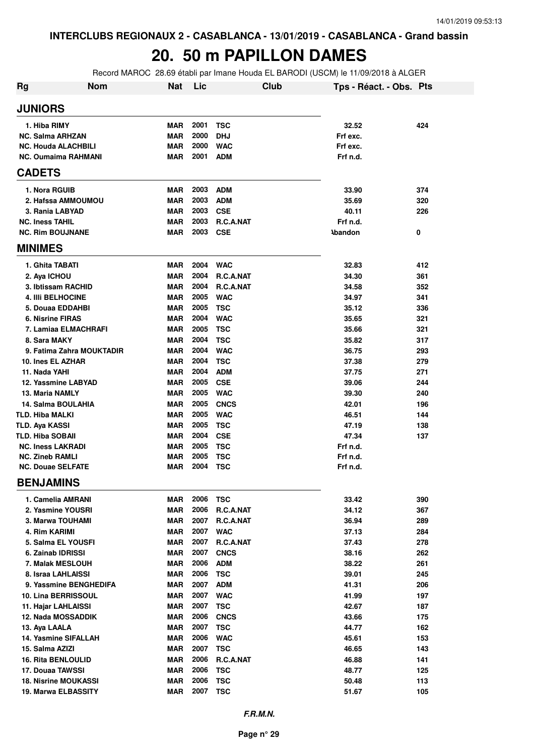#### **20. 50 m PAPILLON DAMES**

Record MAROC 28.69 établi par Imane Houda EL BARODI (USCM) le 11/09/2018 à ALGER

| <b>Rg</b> | <b>Nom</b>                                         | <b>Nat</b>               | Lic          | Club                     | Tps - Réact. - Obs. Pts |            |
|-----------|----------------------------------------------------|--------------------------|--------------|--------------------------|-------------------------|------------|
|           | <b>JUNIORS</b>                                     |                          |              |                          |                         |            |
|           | 1. Hiba RIMY                                       | <b>MAR</b>               | 2001         | <b>TSC</b>               | 32.52                   | 424        |
|           | <b>NC. Salma ARHZAN</b>                            | <b>MAR</b>               | 2000         | <b>DHJ</b>               | Frf exc.                |            |
|           | <b>NC. Houda ALACHBILI</b>                         | MAR                      | 2000         | <b>WAC</b>               | Frf exc.                |            |
|           | <b>NC. Oumaima RAHMANI</b>                         | MAR                      | 2001         | <b>ADM</b>               | Frf n.d.                |            |
|           | <b>CADETS</b>                                      |                          |              |                          |                         |            |
|           | 1. Nora RGUIB                                      | <b>MAR</b>               | 2003         | <b>ADM</b>               | 33.90                   | 374        |
|           | 2. Hafssa AMMOUMOU                                 | MAR                      | 2003         | <b>ADM</b>               | 35.69                   | 320        |
|           | 3. Rania LABYAD                                    | MAR                      | 2003         | <b>CSE</b>               | 40.11                   | 226        |
|           | <b>NC. Iness TAHIL</b>                             | MAR                      | 2003         | R.C.A.NAT                | Frf n.d.                |            |
|           | <b>NC. Rim BOUJNANE</b>                            | MAR                      | 2003         | <b>CSE</b>               | <b>Abandon</b>          | 0          |
|           | <b>MINIMES</b>                                     |                          |              |                          |                         |            |
|           | 1. Ghita TABATI                                    | <b>MAR</b>               | 2004         | <b>WAC</b>               | 32.83                   | 412        |
|           | 2. Aya ICHOU                                       | <b>MAR</b>               | 2004         | R.C.A.NAT                | 34.30                   | 361        |
|           | 3. Ibtissam RACHID                                 | <b>MAR</b>               | 2004         | R.C.A.NAT                | 34.58                   | 352        |
|           | <b>4. IIII BELHOCINE</b>                           | MAR                      | 2005         | <b>WAC</b>               | 34.97                   | 341        |
|           | 5. Douaa EDDAHBI                                   | MAR                      | 2005         | <b>TSC</b>               | 35.12                   | 336        |
|           | 6. Nisrine FIRAS                                   | MAR                      | 2004         | <b>WAC</b>               | 35.65                   | 321        |
|           | 7. Lamiaa ELMACHRAFI                               | MAR                      | 2005         | <b>TSC</b>               | 35.66                   | 321        |
|           | 8. Sara MAKY                                       | MAR                      | 2004         | <b>TSC</b>               | 35.82                   | 317        |
|           | 9. Fatima Zahra MOUKTADIR                          | MAR                      | 2004         | <b>WAC</b>               | 36.75                   | 293        |
|           | 10. Ines EL AZHAR                                  | <b>MAR</b>               | 2004         | <b>TSC</b>               | 37.38                   | 279        |
|           | 11. Nada YAHI                                      | MAR                      | 2004         | <b>ADM</b>               | 37.75                   | 271        |
|           | 12. Yassmine LABYAD                                | MAR                      | 2005         | <b>CSE</b>               | 39.06                   | 244        |
|           | 13. Maria NAMLY                                    | <b>MAR</b>               | 2005         | <b>WAC</b>               | 39.30                   | 240        |
|           | 14. Salma BOULAHIA                                 | <b>MAR</b>               | 2005         | <b>CNCS</b>              | 42.01                   | 196        |
|           | <b>TLD. Hiba MALKI</b>                             | <b>MAR</b>               | 2005         | <b>WAC</b>               | 46.51                   | 144        |
|           | <b>TLD. Aya KASSI</b>                              | <b>MAR</b>               | 2005         | <b>TSC</b>               | 47.19                   | 138        |
|           | TLD. Hiba SOBAII                                   | <b>MAR</b>               | 2004         | <b>CSE</b>               | 47.34                   | 137        |
|           | <b>NC. Iness LAKRADI</b>                           | <b>MAR</b>               | 2005         | <b>TSC</b>               | Frf n.d.                |            |
|           | <b>NC. Zineb RAMLI</b><br><b>NC. Douae SELFATE</b> | <b>MAR</b><br>MAR        | 2005<br>2004 | <b>TSC</b><br><b>TSC</b> | Frf n.d.<br>Frf n.d.    |            |
|           |                                                    |                          |              |                          |                         |            |
|           | <b>BENJAMINS</b>                                   |                          |              |                          |                         |            |
|           | 1. Camelia AMRANI                                  | MAR                      | 2006         | TSC                      | 33.42                   | 390        |
|           | 2. Yasmine YOUSRI                                  | <b>MAR</b>               | 2006         | R.C.A.NAT                | 34.12                   | 367        |
|           | 3. Marwa TOUHAMI<br>4. Rim KARIMI                  | <b>MAR</b><br><b>MAR</b> | 2007<br>2007 | R.C.A.NAT                | 36.94                   | 289        |
|           |                                                    |                          | 2007         | <b>WAC</b>               | 37.13                   | 284        |
|           | 5. Salma EL YOUSFI                                 | MAR<br><b>MAR</b>        | 2007         | R.C.A.NAT<br><b>CNCS</b> | 37.43                   | 278        |
|           | 6. Zainab IDRISSI<br>7. Malak MESLOUH              | MAR                      | 2006         | <b>ADM</b>               | 38.16<br>38.22          | 262<br>261 |
|           | 8. Israa LAHLAISSI                                 | <b>MAR</b>               | 2006         | <b>TSC</b>               | 39.01                   | 245        |
|           | 9. Yassmine BENGHEDIFA                             | <b>MAR</b>               | 2007         | <b>ADM</b>               | 41.31                   | 206        |
|           | <b>10. Lina BERRISSOUL</b>                         | MAR                      | 2007         | <b>WAC</b>               | 41.99                   | 197        |
|           | 11. Hajar LAHLAISSI                                | <b>MAR</b>               | 2007         | <b>TSC</b>               | 42.67                   | 187        |
|           | <b>12. Nada MOSSADDIK</b>                          | <b>MAR</b>               | 2006         | <b>CNCS</b>              | 43.66                   | 175        |
|           | 13. Aya LAALA                                      | <b>MAR</b>               | 2007         | <b>TSC</b>               | 44.77                   | 162        |
|           | 14. Yasmine SIFALLAH                               | MAR                      | 2006         | <b>WAC</b>               | 45.61                   | 153        |
|           | 15. Salma AZIZI                                    | MAR                      | 2007         | <b>TSC</b>               | 46.65                   | 143        |
|           | <b>16. Rita BENLOULID</b>                          | MAR                      | 2006         | R.C.A.NAT                | 46.88                   | 141        |
|           | 17. Douaa TAWSSI                                   | MAR                      | 2006         | <b>TSC</b>               | 48.77                   | 125        |
|           | <b>18. Nisrine MOUKASSI</b>                        | MAR                      | 2006         | <b>TSC</b>               | 50.48                   | 113        |
|           | 19. Marwa ELBASSITY                                | <b>MAR</b>               | 2007         | <b>TSC</b>               | 51.67                   | 105        |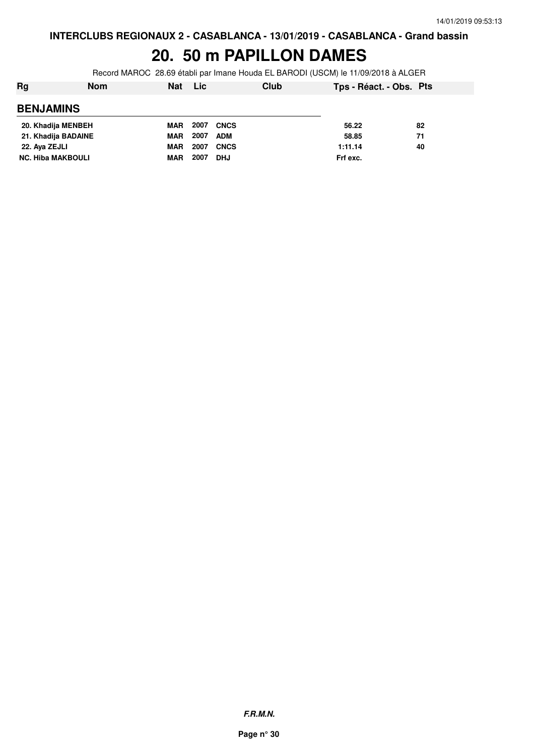### **20. 50 m PAPILLON DAMES**

Record MAROC 28.69 établi par Imane Houda EL BARODI (USCM) le 11/09/2018 à ALGER

| Rg                       | Nom | Nat | <b>Lic</b>         | Club        | Tps - Réact. - Obs. Pts |    |
|--------------------------|-----|-----|--------------------|-------------|-------------------------|----|
| <b>BENJAMINS</b>         |     |     |                    |             |                         |    |
| 20. Khadija MENBEH       |     | MAR | 2007               | <b>CNCS</b> | 56.22                   | 82 |
| 21. Khadija BADAINE      |     | MAR | 2007<br><b>ADM</b> |             | 58.85                   | 71 |
| 22. Aya ZEJLI            |     | MAR | 2007               | <b>CNCS</b> | 1:11.14                 | 40 |
| <b>NC. Hiba MAKBOULI</b> |     | MAR | 2007<br><b>DHJ</b> |             | Frf exc.                |    |
|                          |     |     |                    |             |                         |    |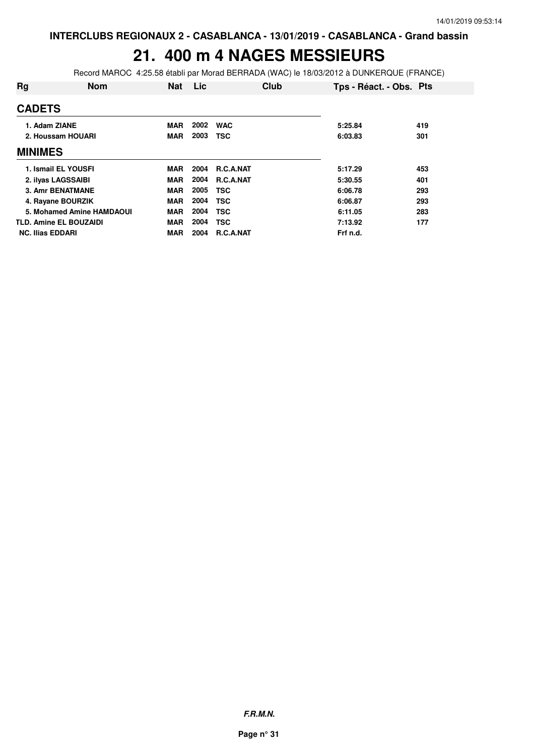### **21. 400 m 4 NAGES MESSIEURS**

Record MAROC 4:25.58 établi par Morad BERRADA (WAC) le 18/03/2012 à DUNKERQUE (FRANCE)

| Rg                            | <b>Nom</b> | <b>Nat</b> | Lic  |            | Club | Tps - Réact. - Obs. Pts |     |
|-------------------------------|------------|------------|------|------------|------|-------------------------|-----|
| <b>CADETS</b>                 |            |            |      |            |      |                         |     |
| 1. Adam ZIANE                 |            | <b>MAR</b> | 2002 | <b>WAC</b> |      | 5:25.84                 | 419 |
| 2. Houssam HOUARI             |            | <b>MAR</b> | 2003 | <b>TSC</b> |      | 6:03.83                 | 301 |
| <b>MINIMES</b>                |            |            |      |            |      |                         |     |
| 1. Ismail EL YOUSFI           |            | <b>MAR</b> | 2004 | R.C.A.NAT  |      | 5:17.29                 | 453 |
| 2. ilyas LAGSSAIBI            |            | <b>MAR</b> | 2004 | R.C.A.NAT  |      | 5:30.55                 | 401 |
| <b>3. Amr BENATMANE</b>       |            | <b>MAR</b> | 2005 | <b>TSC</b> |      | 6:06.78                 | 293 |
| 4. Rayane BOURZIK             |            | <b>MAR</b> | 2004 | <b>TSC</b> |      | 6:06.87                 | 293 |
| 5. Mohamed Amine HAMDAOUI     |            | <b>MAR</b> | 2004 | <b>TSC</b> |      | 6:11.05                 | 283 |
| <b>TLD. Amine EL BOUZAIDI</b> |            | <b>MAR</b> | 2004 | <b>TSC</b> |      | 7:13.92                 | 177 |
| <b>NC. Ilias EDDARI</b>       |            | <b>MAR</b> | 2004 | R.C.A.NAT  |      | Frf n.d.                |     |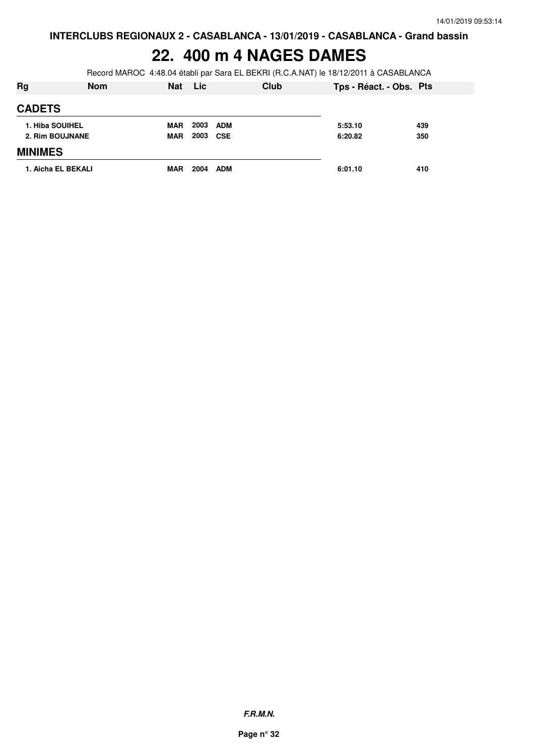### **22. 400 m 4 NAGES DAMES**

Record MAROC 4:48.04 établi par Sara EL BEKRI (R.C.A.NAT) le 18/12/2011 à CASABLANCA

| Rg                 | <b>Nom</b> | <b>Nat</b> | <b>Lic</b> |            | Club | Tps - Réact. - Obs. Pts |     |
|--------------------|------------|------------|------------|------------|------|-------------------------|-----|
| <b>CADETS</b>      |            |            |            |            |      |                         |     |
| 1. Hiba SOUIHEL    |            | <b>MAR</b> | 2003       | <b>ADM</b> |      | 5:53.10                 | 439 |
| 2. Rim BOUJNANE    |            | <b>MAR</b> | 2003 CSE   |            |      | 6:20.82                 | 350 |
| <b>MINIMES</b>     |            |            |            |            |      |                         |     |
| 1. Aicha EL BEKALI |            | <b>MAR</b> | 2004       | <b>ADM</b> |      | 6:01.10                 | 410 |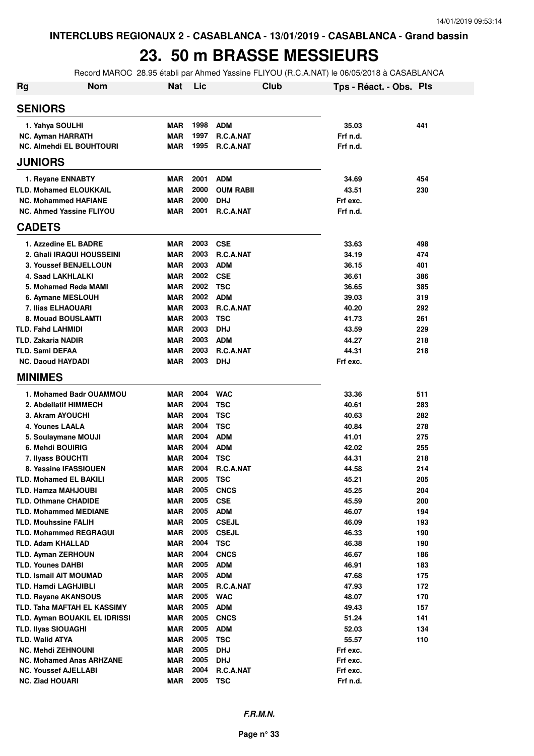# **23. 50 m BRASSE MESSIEURS**

Record MAROC 28.95 établi par Ahmed Yassine FLIYOU (R.C.A.NAT) le 06/05/2018 à CASABLANCA

| Rg | <b>Nom</b>                                             | <b>Nat</b>               | Lic          | Club                      | Tps - Réact. - Obs. Pts |            |
|----|--------------------------------------------------------|--------------------------|--------------|---------------------------|-------------------------|------------|
|    | <b>SENIORS</b>                                         |                          |              |                           |                         |            |
|    | 1. Yahya SOULHI                                        | <b>MAR</b>               | 1998         | <b>ADM</b>                | 35.03                   | 441        |
|    | <b>NC. Ayman HARRATH</b>                               | <b>MAR</b>               | 1997         | R.C.A.NAT                 | Frf n.d.                |            |
|    | <b>NC. Almehdi EL BOUHTOURI</b>                        | <b>MAR</b>               | 1995         | R.C.A.NAT                 | Frf n.d.                |            |
|    | <b>JUNIORS</b>                                         |                          |              |                           |                         |            |
|    | 1. Reyane ENNABTY                                      | <b>MAR</b>               | 2001         | <b>ADM</b>                | 34.69                   | 454        |
|    | <b>TLD. Mohamed ELOUKKAIL</b>                          | <b>MAR</b>               | 2000         | <b>OUM RABII</b>          | 43.51                   | 230        |
|    | <b>NC. Mohammed HAFIANE</b>                            | <b>MAR</b>               | 2000         | <b>DHJ</b>                | Frf exc.                |            |
|    | NC. Ahmed Yassine FLIYOU                               | <b>MAR</b>               | 2001         | <b>R.C.A.NAT</b>          | Frf n.d.                |            |
|    | <b>CADETS</b>                                          |                          |              |                           |                         |            |
|    | 1. Azzedine EL BADRE                                   | <b>MAR</b>               | 2003         | <b>CSE</b>                | 33.63                   | 498        |
|    | 2. Ghali IRAQUI HOUSSEINI                              | <b>MAR</b>               | 2003         | R.C.A.NAT                 | 34.19                   | 474        |
|    | <b>3. Youssef BENJELLOUN</b>                           | <b>MAR</b>               | 2003         | <b>ADM</b>                | 36.15                   | 401        |
|    | 4. Saad LAKHLALKI                                      | <b>MAR</b>               | 2002         | <b>CSE</b>                | 36.61                   | 386        |
|    | 5. Mohamed Reda MAMI                                   | <b>MAR</b>               | 2002         | <b>TSC</b>                | 36.65                   | 385        |
|    | 6. Aymane MESLOUH                                      | <b>MAR</b>               | 2002         | <b>ADM</b>                | 39.03                   | 319        |
|    | 7. Ilias ELHAOUARI                                     | <b>MAR</b>               | 2003         | R.C.A.NAT                 | 40.20                   | 292        |
|    | 8. Mouad BOUSLAMTI                                     | <b>MAR</b>               | 2003         | <b>TSC</b>                | 41.73                   | 261        |
|    | <b>TLD. Fahd LAHMIDI</b>                               | <b>MAR</b>               | 2003         | <b>DHJ</b>                | 43.59                   | 229        |
|    | <b>TLD. Zakaria NADIR</b>                              | <b>MAR</b>               | 2003         | <b>ADM</b>                | 44.27                   | 218        |
|    | <b>TLD. Sami DEFAA</b>                                 | <b>MAR</b><br><b>MAR</b> | 2003<br>2003 | R.C.A.NAT<br><b>DHJ</b>   | 44.31<br>Frf exc.       | 218        |
|    | <b>NC. Daoud HAYDADI</b><br><b>MINIMES</b>             |                          |              |                           |                         |            |
|    |                                                        |                          |              |                           |                         |            |
|    | 1. Mohamed Badr OUAMMOU                                | <b>MAR</b>               | 2004         | <b>WAC</b>                | 33.36                   | 511        |
|    | 2. Abdellatif HIMMECH                                  | <b>MAR</b>               | 2004         | <b>TSC</b>                | 40.61                   | 283        |
|    | 3. Akram AYOUCHI                                       | <b>MAR</b>               | 2004         | <b>TSC</b>                | 40.63                   | 282        |
|    | 4. Younes LAALA                                        | <b>MAR</b>               | 2004         | <b>TSC</b>                | 40.84                   | 278        |
|    | 5. Soulaymane MOUJI                                    | <b>MAR</b>               | 2004         | <b>ADM</b>                | 41.01                   | 275        |
|    | 6. Mehdi BOUIRIG                                       | <b>MAR</b>               | 2004         | <b>ADM</b>                | 42.02                   | 255        |
|    | 7. Ilyass BOUCHTI                                      | <b>MAR</b>               | 2004         | <b>TSC</b>                | 44.31                   | 218        |
|    | 8. Yassine IFASSIOUEN<br><b>TLD. Mohamed EL BAKILI</b> | <b>MAR</b><br><b>MAR</b> | 2004<br>2005 | R.C.A.NAT                 | 44.58                   | 214        |
|    | TLD. Hamza MAHJOUBI                                    | <b>MAR</b>               | 2005         | <b>TSC</b><br><b>CNCS</b> | 45.21<br>45.25          | 205<br>204 |
|    | <b>TLD. Othmane CHADIDE</b>                            | <b>MAR</b>               | 2005         | <b>CSE</b>                | 45.59                   | 200        |
|    | <b>TLD. Mohammed MEDIANE</b>                           | MAR                      | 2005         | <b>ADM</b>                | 46.07                   | 194        |
|    | <b>TLD. Mouhssine FALIH</b>                            | MAR                      | 2005         | <b>CSEJL</b>              | 46.09                   | 193        |
|    | <b>TLD. Mohammed REGRAGUI</b>                          | MAR                      | 2005         | <b>CSEJL</b>              | 46.33                   | 190        |
|    | <b>TLD. Adam KHALLAD</b>                               | MAR                      | 2004         | <b>TSC</b>                | 46.38                   | 190        |
|    | <b>TLD. Ayman ZERHOUN</b>                              | <b>MAR</b>               | 2004         | <b>CNCS</b>               | 46.67                   | 186        |
|    | <b>TLD. Younes DAHBI</b>                               | MAR                      | 2005         | <b>ADM</b>                | 46.91                   | 183        |
|    | <b>TLD. Ismail AIT MOUMAD</b>                          | MAR                      | 2005         | <b>ADM</b>                | 47.68                   | 175        |
|    | <b>TLD. Hamdi LAGHJIBLI</b>                            | MAR                      | 2005         | R.C.A.NAT                 | 47.93                   | 172        |
|    | <b>TLD. Rayane AKANSOUS</b>                            | MAR                      | 2005         | <b>WAC</b>                | 48.07                   | 170        |
|    | TLD. Taha MAFTAH EL KASSIMY                            | MAR                      | 2005         | <b>ADM</b>                | 49.43                   | 157        |
|    | TLD. Ayman BOUAKIL EL IDRISSI                          | MAR                      | 2005         | <b>CNCS</b>               | 51.24                   | 141        |
|    | <b>TLD. Ilyas SIOUAGHI</b>                             | MAR                      | 2005         | <b>ADM</b>                | 52.03                   | 134        |
|    | <b>TLD. Walid ATYA</b>                                 | MAR                      | 2005         | <b>TSC</b>                | 55.57                   | 110        |
|    | <b>NC. Mehdi ZEHNOUNI</b>                              | MAR                      | 2005         | <b>DHJ</b>                | Frf exc.                |            |
|    | <b>NC. Mohamed Anas ARHZANE</b>                        | <b>MAR</b>               | 2005         | <b>DHJ</b>                | Frf exc.                |            |
|    | <b>NC. Youssef AJELLABI</b>                            | <b>MAR</b>               | 2004         | R.C.A.NAT                 | Frf exc.                |            |
|    | <b>NC. Ziad HOUARI</b>                                 | <b>MAR</b>               | 2005         | <b>TSC</b>                | Frf n.d.                |            |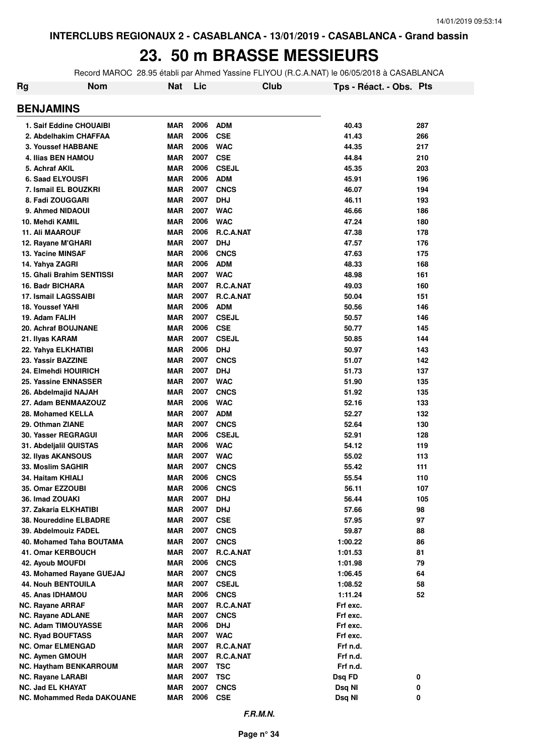### **23. 50 m BRASSE MESSIEURS**

Record MAROC 28.95 établi par Ahmed Yassine FLIYOU (R.C.A.NAT) le 06/05/2018 à CASABLANCA

| Rg                                                   | <b>Nom</b> | Nat                      | Lic          |                          | Club | Tps - Réact. - Obs. Pts |        |
|------------------------------------------------------|------------|--------------------------|--------------|--------------------------|------|-------------------------|--------|
| <b>BENJAMINS</b>                                     |            |                          |              |                          |      |                         |        |
| 1. Saif Eddine CHOUAIBI                              |            | <b>MAR</b>               | 2006         | <b>ADM</b>               |      | 40.43                   | 287    |
| 2. Abdelhakim CHAFFAA                                |            | <b>MAR</b>               | 2006         | <b>CSE</b>               |      | 41.43                   | 266    |
| 3. Youssef HABBANE                                   |            | <b>MAR</b>               | 2006         | <b>WAC</b>               |      | 44.35                   | 217    |
| 4. Ilias BEN HAMOU                                   |            | <b>MAR</b>               | 2007         | <b>CSE</b>               |      | 44.84                   | 210    |
| 5. Achraf AKIL                                       |            | <b>MAR</b>               | 2006         | <b>CSEJL</b>             |      | 45.35                   | 203    |
| <b>6. Saad ELYOUSFI</b>                              |            | <b>MAR</b>               | 2006         | <b>ADM</b>               |      | 45.91                   | 196    |
| 7. Ismail EL BOUZKRI                                 |            | <b>MAR</b>               | 2007         | <b>CNCS</b>              |      | 46.07                   | 194    |
| 8. Fadi ZOUGGARI                                     |            | <b>MAR</b>               | 2007         | <b>DHJ</b>               |      | 46.11                   | 193    |
| 9. Ahmed NIDAOUI                                     |            | <b>MAR</b>               | 2007         | <b>WAC</b>               |      | 46.66                   | 186    |
| 10. Mehdi KAMIL                                      |            | <b>MAR</b>               | 2006         | <b>WAC</b>               |      | 47.24                   | 180    |
| <b>11. Ali MAAROUF</b>                               |            | <b>MAR</b>               | 2006         | R.C.A.NAT                |      | 47.38                   | 178    |
| 12. Rayane M'GHARI                                   |            | <b>MAR</b>               | 2007         | <b>DHJ</b>               |      | 47.57                   | 176    |
| 13. Yacine MINSAF                                    |            | <b>MAR</b>               | 2006         | <b>CNCS</b>              |      | 47.63                   | 175    |
| 14. Yahya ZAGRI                                      |            | <b>MAR</b>               | 2006         | <b>ADM</b>               |      | 48.33                   | 168    |
| <b>15. Ghali Brahim SENTISSI</b>                     |            | <b>MAR</b>               | 2007         | <b>WAC</b>               |      | 48.98                   | 161    |
| 16. Badr BICHARA                                     |            | <b>MAR</b>               | 2007         | R.C.A.NAT                |      | 49.03                   | 160    |
| <b>17. Ismail LAGSSAIBI</b>                          |            | <b>MAR</b>               | 2007         | R.C.A.NAT                |      | 50.04                   | 151    |
| 18. Youssef YAHI                                     |            | <b>MAR</b>               | 2006         | <b>ADM</b>               |      | 50.56                   | 146    |
| 19. Adam FALIH                                       |            | <b>MAR</b>               | 2007         | <b>CSEJL</b>             |      | 50.57                   | 146    |
| <b>20. Achraf BOUJNANE</b>                           |            | <b>MAR</b>               | 2006         | <b>CSE</b>               |      | 50.77                   | 145    |
| 21. Ilyas KARAM                                      |            | <b>MAR</b>               | 2007         | <b>CSEJL</b>             |      | 50.85                   | 144    |
| 22. Yahya ELKHATIBI                                  |            | <b>MAR</b>               | 2006         | <b>DHJ</b>               |      | 50.97                   | 143    |
| 23. Yassir BAZZINE                                   |            | <b>MAR</b>               | 2007         | <b>CNCS</b>              |      | 51.07                   | 142    |
| 24. Elmehdi HOUIRICH                                 |            | <b>MAR</b>               | 2007         | <b>DHJ</b>               |      | 51.73                   | 137    |
| 25. Yassine ENNASSER                                 |            | <b>MAR</b>               | 2007         | <b>WAC</b>               |      | 51.90                   | 135    |
| 26. Abdelmajid NAJAH                                 |            | <b>MAR</b>               | 2007         | <b>CNCS</b>              |      | 51.92                   | 135    |
| 27. Adam BENMAAZOUZ                                  |            | <b>MAR</b>               | 2006         | <b>WAC</b>               |      | 52.16                   | 133    |
| 28. Mohamed KELLA                                    |            | <b>MAR</b>               | 2007         | <b>ADM</b>               |      | 52.27                   | 132    |
| 29. Othman ZIANE                                     |            | <b>MAR</b>               | 2007         | <b>CNCS</b>              |      | 52.64                   | 130    |
| 30. Yasser REGRAGUI                                  |            | <b>MAR</b>               | 2006         | <b>CSEJL</b>             |      | 52.91                   | 128    |
| 31. Abdeljalil QUISTAS                               |            | <b>MAR</b>               | 2006         | <b>WAC</b>               |      | 54.12                   | 119    |
| 32. Ilyas AKANSOUS                                   |            | <b>MAR</b>               | 2007         | <b>WAC</b>               |      | 55.02                   | 113    |
| 33. Moslim SAGHIR                                    |            | <b>MAR</b>               | 2007         | <b>CNCS</b>              |      | 55.42                   | 111    |
| 34. Haitam KHIALI                                    |            | <b>MAR</b>               | 2006         | <b>CNCS</b>              |      | 55.54                   | 110    |
| <b>35. Omar EZZOUBI</b>                              |            | MAR                      | 2006         | <b>CNCS</b>              |      | 56.11                   | 107    |
| 36. Imad ZOUAKI                                      |            | <b>MAR</b>               | 2007         | <b>DHJ</b>               |      | 56.44                   | 105    |
| 37. Zakaria ELKHATIBI                                |            | <b>MAR</b>               | 2007         | <b>DHJ</b>               |      | 57.66                   | 98     |
| 38. Noureddine ELBADRE                               |            | <b>MAR</b>               | 2007         | <b>CSE</b>               |      | 57.95                   | 97     |
| 39. Abdelmouiz FADEL                                 |            | <b>MAR</b>               | 2007         | <b>CNCS</b>              |      | 59.87                   | 88     |
| 40. Mohamed Taha BOUTAMA                             |            | <b>MAR</b>               | 2007         | <b>CNCS</b>              |      | 1:00.22                 | 86     |
| 41. Omar KERBOUCH                                    |            | <b>MAR</b>               | 2007         | R.C.A.NAT                |      | 1:01.53                 | 81     |
| 42. Ayoub MOUFDI                                     |            | <b>MAR</b>               | 2006         | <b>CNCS</b>              |      | 1:01.98                 | 79     |
| 43. Mohamed Rayane GUEJAJ                            |            | <b>MAR</b>               | 2007         | <b>CNCS</b>              |      | 1:06.45                 | 64     |
| <b>44. Nouh BENTOUILA</b>                            |            | <b>MAR</b>               | 2007         | <b>CSEJL</b>             |      | 1:08.52                 | 58     |
| 45. Anas IDHAMOU                                     |            | <b>MAR</b>               | 2006         | <b>CNCS</b>              |      | 1:11.24                 | 52     |
| <b>NC. Rayane ARRAF</b>                              |            | <b>MAR</b>               | 2007         | R.C.A.NAT                |      | Frf exc.                |        |
| <b>NC. Rayane ADLANE</b>                             |            | <b>MAR</b>               | 2007         | <b>CNCS</b>              |      | Frf exc.                |        |
| <b>NC. Adam TIMOUYASSE</b>                           |            | <b>MAR</b>               | 2006         | <b>DHJ</b>               |      | Frf exc.                |        |
| <b>NC. Ryad BOUFTASS</b>                             |            | <b>MAR</b>               | 2007         | <b>WAC</b>               |      | Frf exc.                |        |
| <b>NC. Omar ELMENGAD</b>                             |            | <b>MAR</b>               | 2007         | R.C.A.NAT                |      | Frf n.d.                |        |
| <b>NC. Aymen GMOUH</b>                               |            | <b>MAR</b>               | 2007         | R.C.A.NAT                |      | Frf n.d.                |        |
| <b>NC. Haytham BENKARROUM</b>                        |            | <b>MAR</b><br><b>MAR</b> | 2007<br>2007 | <b>TSC</b><br><b>TSC</b> |      | Frf n.d.                |        |
| <b>NC. Rayane LARABI</b><br><b>NC. Jad EL KHAYAT</b> |            | <b>MAR</b>               | 2007         | <b>CNCS</b>              |      | Dsq FD                  | 0<br>0 |
| <b>NC. Mohammed Reda DAKOUANE</b>                    |            | <b>MAR</b>               | 2006         | <b>CSE</b>               |      | Dsq NI<br>Dsq NI        | 0      |
|                                                      |            |                          |              |                          |      |                         |        |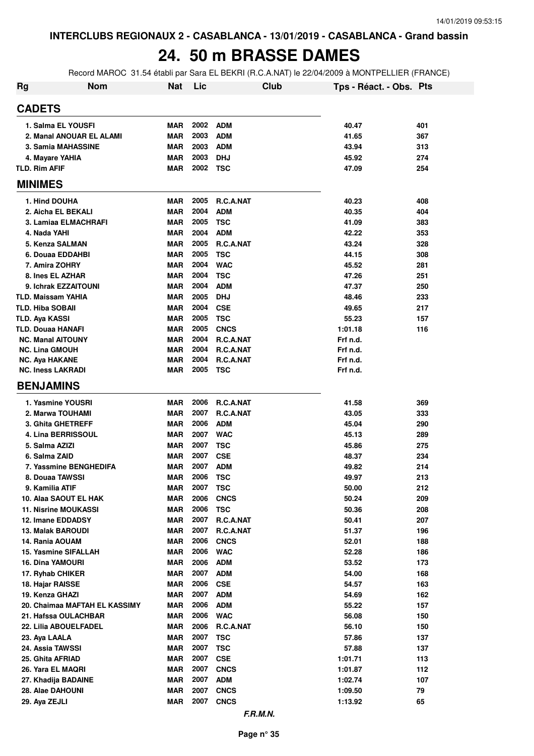### **24. 50 m BRASSE DAMES**

Record MAROC 31.54 établi par Sara EL BEKRI (R.C.A.NAT) le 22/04/2009 à MONTPELLIER (FRANCE)

| <b>Rg</b> | <b>Nom</b>                                     | <b>Nat</b>               | Lic          |                           | <b>Club</b> | Tps - Réact. - Obs. Pts |            |
|-----------|------------------------------------------------|--------------------------|--------------|---------------------------|-------------|-------------------------|------------|
|           | <b>CADETS</b>                                  |                          |              |                           |             |                         |            |
|           | 1. Salma EL YOUSFI                             | <b>MAR</b>               | 2002         | <b>ADM</b>                |             | 40.47                   | 401        |
|           | 2. Manal ANOUAR EL ALAMI                       | <b>MAR</b>               | 2003         | <b>ADM</b>                |             | 41.65                   | 367        |
|           | 3. Samia MAHASSINE                             | <b>MAR</b>               | 2003         | <b>ADM</b>                |             | 43.94                   | 313        |
|           | 4. Mayare YAHIA                                | <b>MAR</b>               | 2003         | <b>DHJ</b>                |             | 45.92                   | 274        |
|           | <b>TLD. Rim AFIF</b>                           | <b>MAR</b>               | 2002         | <b>TSC</b>                |             | 47.09                   | 254        |
|           | <b>MINIMES</b>                                 |                          |              |                           |             |                         |            |
|           | 1. Hind DOUHA                                  | <b>MAR</b>               | 2005         | <b>R.C.A.NAT</b>          |             | 40.23                   | 408        |
|           | 2. Aicha EL BEKALI                             | <b>MAR</b>               | 2004         | <b>ADM</b>                |             | 40.35                   | 404        |
|           | 3. Lamiaa ELMACHRAFI                           | <b>MAR</b>               | 2005         | <b>TSC</b>                |             | 41.09                   | 383        |
|           | 4. Nada YAHI                                   | <b>MAR</b>               | 2004         | <b>ADM</b>                |             | 42.22                   | 353        |
|           | 5. Kenza SALMAN                                | <b>MAR</b>               | 2005         | R.C.A.NAT                 |             | 43.24                   | 328        |
|           | 6. Douaa EDDAHBI                               | <b>MAR</b>               | 2005         | <b>TSC</b>                |             | 44.15                   | 308        |
|           | 7. Amira ZOHRY                                 | <b>MAR</b>               | 2004         | <b>WAC</b>                |             | 45.52                   | 281        |
|           | 8. Ines EL AZHAR                               | <b>MAR</b>               | 2004         | <b>TSC</b>                |             | 47.26                   | 251        |
|           | 9. Ichrak EZZAITOUNI                           | <b>MAR</b>               | 2004         | <b>ADM</b>                |             | 47.37                   | 250        |
|           | <b>TLD. Maissam YAHIA</b>                      | <b>MAR</b>               | 2005         | <b>DHJ</b>                |             | 48.46                   | 233        |
|           | <b>TLD. Hiba SOBAII</b>                        | <b>MAR</b>               | 2004         | <b>CSE</b>                |             | 49.65                   | 217        |
|           | <b>TLD. Aya KASSI</b>                          | <b>MAR</b>               | 2005         | <b>TSC</b>                |             | 55.23                   | 157        |
|           | <b>TLD. Douaa HANAFI</b>                       | <b>MAR</b>               | 2005         | <b>CNCS</b>               |             | 1:01.18                 | 116        |
|           | <b>NC. Manal AITOUNY</b>                       | <b>MAR</b><br><b>MAR</b> | 2004<br>2004 | R.C.A.NAT<br>R.C.A.NAT    |             | Frf n.d.                |            |
|           | <b>NC. Lina GMOUH</b><br><b>NC. Aya HAKANE</b> | <b>MAR</b>               | 2004         | R.C.A.NAT                 |             | Frf n.d.<br>Frf n.d.    |            |
|           | <b>NC. Iness LAKRADI</b>                       | <b>MAR</b>               | 2005         | <b>TSC</b>                |             | Frf n.d.                |            |
|           | <b>BENJAMINS</b>                               |                          |              |                           |             |                         |            |
|           |                                                |                          |              |                           |             |                         |            |
|           | 1. Yasmine YOUSRI                              | <b>MAR</b><br><b>MAR</b> | 2006<br>2007 | R.C.A.NAT<br>R.C.A.NAT    |             | 41.58                   | 369<br>333 |
|           | 2. Marwa TOUHAMI<br>3. Ghita GHETREFF          | <b>MAR</b>               | 2006         | <b>ADM</b>                |             | 43.05<br>45.04          | 290        |
|           | 4. Lina BERRISSOUL                             | <b>MAR</b>               | 2007         | <b>WAC</b>                |             | 45.13                   | 289        |
|           | 5. Salma AZIZI                                 | <b>MAR</b>               | 2007         | <b>TSC</b>                |             | 45.86                   | 275        |
|           | 6. Salma ZAID                                  | <b>MAR</b>               | 2007         | <b>CSE</b>                |             | 48.37                   | 234        |
|           | 7. Yassmine BENGHEDIFA                         | <b>MAR</b>               | 2007         | <b>ADM</b>                |             | 49.82                   | 214        |
|           | 8. Douaa TAWSSI                                | <b>MAR</b>               | 2006         | <b>TSC</b>                |             | 49.97                   | 213        |
|           | 9. Kamilia ATIF                                | MAR                      | 2007         | TSC                       |             | 50.00                   | 212        |
|           | 10. Alaa SAOUT EL HAK                          | MAR                      | 2006         | <b>CNCS</b>               |             | 50.24                   | 209        |
|           | <b>11. Nisrine MOUKASSI</b>                    | <b>MAR</b>               | 2006         | <b>TSC</b>                |             | 50.36                   | 208        |
|           | 12. Imane EDDADSY                              | <b>MAR</b>               | 2007         | R.C.A.NAT                 |             | 50.41                   | 207        |
|           | <b>13. Malak BAROUDI</b>                       | <b>MAR</b>               | 2007         | R.C.A.NAT                 |             | 51.37                   | 196        |
|           | 14. Rania AOUAM                                | <b>MAR</b>               | 2006         | <b>CNCS</b>               |             | 52.01                   | 188        |
|           | 15. Yasmine SIFALLAH                           | <b>MAR</b>               | 2006         | <b>WAC</b>                |             | 52.28                   | 186        |
|           | <b>16. Dina YAMOURI</b>                        | <b>MAR</b>               | 2006         | <b>ADM</b>                |             | 53.52                   | 173        |
|           | 17. Ryhab CHIKER                               | <b>MAR</b>               | 2007         | <b>ADM</b>                |             | 54.00                   | 168        |
|           | 18. Hajar RAISSE                               | <b>MAR</b>               | 2006         | <b>CSE</b>                |             | 54.57                   | 163        |
|           | 19. Kenza GHAZI                                | <b>MAR</b>               | 2007         | <b>ADM</b>                |             | 54.69                   | 162        |
|           | 20. Chaimaa MAFTAH EL KASSIMY                  | <b>MAR</b>               | 2006         | <b>ADM</b>                |             | 55.22                   | 157        |
|           | 21. Hafssa OULACHBAR                           | <b>MAR</b>               | 2006         | <b>WAC</b>                |             | 56.08                   | 150        |
|           | 22. Lilia ABOUELFADEL                          | <b>MAR</b>               | 2006         | R.C.A.NAT                 |             | 56.10                   | 150        |
|           | 23. Aya LAALA                                  | MAR                      | 2007         | <b>TSC</b>                |             | 57.86                   | 137        |
|           | 24. Assia TAWSSI                               | <b>MAR</b>               | 2007         | <b>TSC</b>                |             | 57.88                   | 137        |
|           | 25. Ghita AFRIAD                               | MAR                      | 2007         | <b>CSE</b>                |             | 1:01.71                 | 113        |
|           | 26. Yara EL MAQRI                              | MAR                      | 2007<br>2007 | <b>CNCS</b>               |             | 1:01.87                 | 112        |
|           | 27. Khadija BADAINE                            | <b>MAR</b><br>MAR        | 2007         | <b>ADM</b><br><b>CNCS</b> |             | 1:02.74                 | 107<br>79  |
|           | 28. Alae DAHOUNI                               | MAR                      | 2007         | <b>CNCS</b>               |             | 1:09.50                 | 65         |
|           | 29. Aya ZEJLI                                  |                          |              |                           |             | 1:13.92                 |            |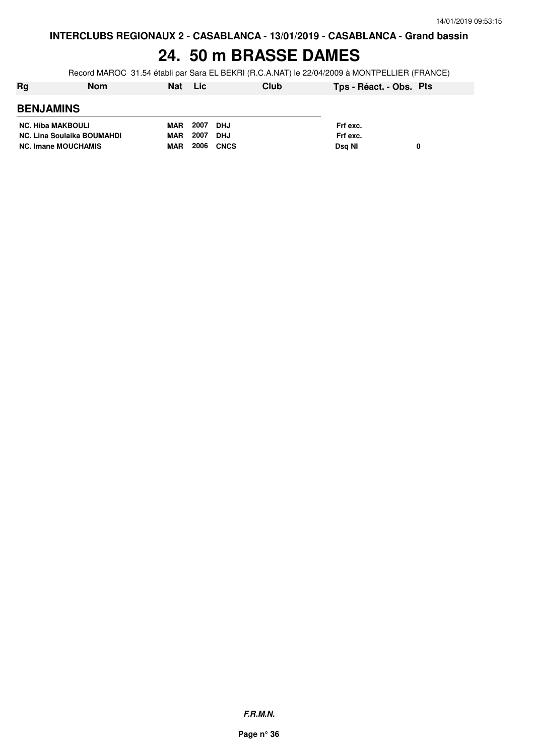#### **24. 50 m BRASSE DAMES**

Record MAROC 31.54 établi par Sara EL BEKRI (R.C.A.NAT) le 22/04/2009 à MONTPELLIER (FRANCE)

| Rg                                | <b>Nom</b> | <b>Nat</b> | <b>Lic</b> |             | Club | Tps - Réact. - Obs. Pts |  |
|-----------------------------------|------------|------------|------------|-------------|------|-------------------------|--|
| <b>BENJAMINS</b>                  |            |            |            |             |      |                         |  |
| <b>NC. Hiba MAKBOULI</b>          |            | <b>MAR</b> | 2007       | <b>DHJ</b>  |      | Frf exc.                |  |
| <b>NC. Lina Soulaika BOUMAHDI</b> |            | <b>MAR</b> | 2007       | <b>DHJ</b>  |      | Frf exc.                |  |
| <b>NC. Imane MOUCHAMIS</b>        |            | <b>MAR</b> | 2006       | <b>CNCS</b> |      | Dsg NI                  |  |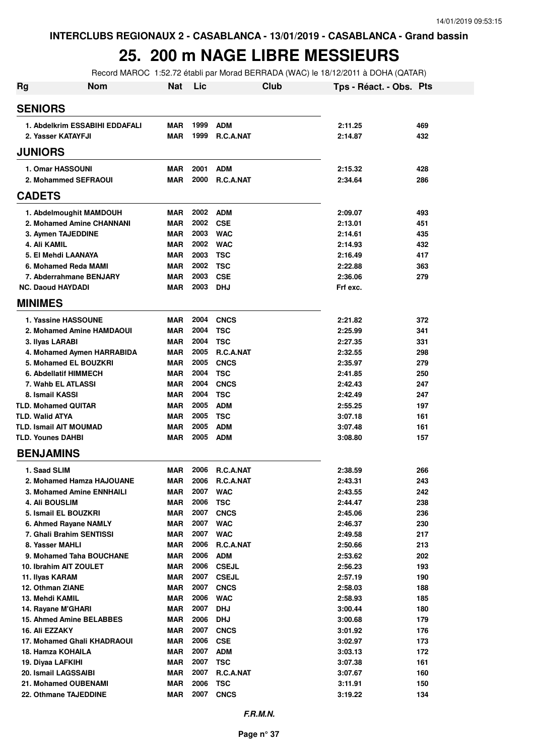#### **25. 200 m NAGE LIBRE MESSIEURS**

Record MAROC 1:52.72 établi par Morad BERRADA (WAC) le 18/12/2011 à DOHA (QATAR)

| <b>Rg</b>                     | <b>Nom</b>                     | <b>Nat</b> | Lic  |                  | Club | Tps - Réact. - Obs. Pts |     |
|-------------------------------|--------------------------------|------------|------|------------------|------|-------------------------|-----|
| <b>SENIORS</b>                |                                |            |      |                  |      |                         |     |
|                               | 1. Abdelkrim ESSABIHI EDDAFALI | <b>MAR</b> | 1999 | <b>ADM</b>       |      | 2:11.25                 | 469 |
| 2. Yasser KATAYFJI            |                                | MAR        | 1999 | <b>R.C.A.NAT</b> |      | 2:14.87                 | 432 |
| <b>JUNIORS</b>                |                                |            |      |                  |      |                         |     |
| 1. Omar HASSOUNI              |                                | <b>MAR</b> | 2001 | <b>ADM</b>       |      | 2:15.32                 | 428 |
| 2. Mohammed SEFRAOUI          |                                | <b>MAR</b> | 2000 | <b>R.C.A.NAT</b> |      | 2:34.64                 | 286 |
| <b>CADETS</b>                 |                                |            |      |                  |      |                         |     |
| 1. Abdelmoughit MAMDOUH       |                                | MAR        | 2002 | <b>ADM</b>       |      | 2:09.07                 | 493 |
| 2. Mohamed Amine CHANNANI     |                                | <b>MAR</b> | 2002 | <b>CSE</b>       |      | 2:13.01                 | 451 |
| 3. Aymen TAJEDDINE            |                                | <b>MAR</b> | 2003 | <b>WAC</b>       |      | 2:14.61                 | 435 |
| 4. Ali KAMIL                  |                                | <b>MAR</b> | 2002 | <b>WAC</b>       |      | 2:14.93                 | 432 |
| 5. El Mehdi LAANAYA           |                                | <b>MAR</b> | 2003 | <b>TSC</b>       |      | 2:16.49                 | 417 |
| 6. Mohamed Reda MAMI          |                                | <b>MAR</b> | 2002 | <b>TSC</b>       |      | 2:22.88                 | 363 |
| 7. Abderrahmane BENJARY       |                                | <b>MAR</b> | 2003 | <b>CSE</b>       |      | 2:36.06                 | 279 |
| <b>NC. Daoud HAYDADI</b>      |                                | MAR        | 2003 | <b>DHJ</b>       |      | Frf exc.                |     |
| <b>MINIMES</b>                |                                |            |      |                  |      |                         |     |
| 1. Yassine HASSOUNE           |                                | <b>MAR</b> | 2004 | <b>CNCS</b>      |      | 2:21.82                 | 372 |
| 2. Mohamed Amine HAMDAOUI     |                                | MAR        | 2004 | <b>TSC</b>       |      | 2:25.99                 | 341 |
| 3. Ilyas LARABI               |                                | <b>MAR</b> | 2004 | <b>TSC</b>       |      | 2:27.35                 | 331 |
| 4. Mohamed Aymen HARRABIDA    |                                | MAR        | 2005 | <b>R.C.A.NAT</b> |      | 2:32.55                 | 298 |
| 5. Mohamed EL BOUZKRI         |                                | <b>MAR</b> | 2005 | <b>CNCS</b>      |      | 2:35.97                 | 279 |
| 6. Abdellatif HIMMECH         |                                | <b>MAR</b> | 2004 | <b>TSC</b>       |      | 2:41.85                 | 250 |
| 7. Wahb EL ATLASSI            |                                | MAR        | 2004 | <b>CNCS</b>      |      | 2:42.43                 | 247 |
| 8. Ismail KASSI               |                                | <b>MAR</b> | 2004 | <b>TSC</b>       |      | 2:42.49                 | 247 |
| <b>TLD. Mohamed QUITAR</b>    |                                | <b>MAR</b> | 2005 | <b>ADM</b>       |      | 2:55.25                 | 197 |
| <b>TLD. Walid ATYA</b>        |                                | <b>MAR</b> | 2005 | <b>TSC</b>       |      | 3:07.18                 | 161 |
| <b>TLD. Ismail AIT MOUMAD</b> |                                | MAR        | 2005 | <b>ADM</b>       |      | 3:07.48                 | 161 |
| <b>TLD. Younes DAHBI</b>      |                                | MAR        | 2005 | <b>ADM</b>       |      | 3:08.80                 | 157 |
| <b>BENJAMINS</b>              |                                |            |      |                  |      |                         |     |
| 1. Saad SLIM                  |                                | <b>MAR</b> | 2006 | <b>R.C.A.NAT</b> |      | 2:38.59                 | 266 |
| 2. Mohamed Hamza HAJOUANE     |                                | MAR        | 2006 | <b>R.C.A.NAT</b> |      | 2:43.31                 | 243 |
| 3. Mohamed Amine ENNHAILI     |                                | MAR        | 2007 | <b>WAC</b>       |      | 2:43.55                 | 242 |
| 4. Ali BOUSLIM                |                                | <b>MAR</b> | 2006 | <b>TSC</b>       |      | 2:44.47                 | 238 |
| 5. Ismail EL BOUZKRI          |                                | <b>MAR</b> | 2007 | <b>CNCS</b>      |      | 2:45.06                 | 236 |
| 6. Ahmed Rayane NAMLY         |                                | <b>MAR</b> | 2007 | <b>WAC</b>       |      | 2:46.37                 | 230 |
| 7. Ghali Brahim SENTISSI      |                                | <b>MAR</b> | 2007 | <b>WAC</b>       |      | 2:49.58                 | 217 |
| 8. Yasser MAHLI               |                                | <b>MAR</b> | 2006 | R.C.A.NAT        |      | 2:50.66                 | 213 |
| 9. Mohamed Taha BOUCHANE      |                                | <b>MAR</b> | 2006 | <b>ADM</b>       |      | 2:53.62                 | 202 |
| 10. Ibrahim AIT ZOULET        |                                | <b>MAR</b> | 2006 | <b>CSEJL</b>     |      | 2:56.23                 | 193 |
| 11. Ilyas KARAM               |                                | <b>MAR</b> | 2007 | <b>CSEJL</b>     |      | 2:57.19                 | 190 |
| 12. Othman ZIANE              |                                | <b>MAR</b> | 2007 | <b>CNCS</b>      |      | 2:58.03                 | 188 |
| 13. Mehdi KAMIL               |                                | MAR        | 2006 | <b>WAC</b>       |      | 2:58.93                 | 185 |
| 14. Rayane M'GHARI            |                                | <b>MAR</b> | 2007 | <b>DHJ</b>       |      | 3:00.44                 | 180 |
| 15. Ahmed Amine BELABBES      |                                | <b>MAR</b> | 2006 | <b>DHJ</b>       |      | 3:00.68                 | 179 |
| 16. Ali EZZAKY                |                                | MAR        | 2007 | <b>CNCS</b>      |      | 3:01.92                 | 176 |
| 17. Mohamed Ghali KHADRAOUI   |                                | <b>MAR</b> | 2006 | <b>CSE</b>       |      | 3:02.97                 | 173 |
| 18. Hamza KOHAILA             |                                | <b>MAR</b> | 2007 | <b>ADM</b>       |      | 3:03.13                 | 172 |
| 19. Diyaa LAFKIHI             |                                | <b>MAR</b> | 2007 | <b>TSC</b>       |      | 3:07.38                 | 161 |
| 20. Ismail LAGSSAIBI          |                                | <b>MAR</b> | 2007 | R.C.A.NAT        |      | 3:07.67                 | 160 |
| 21. Mohamed OUBENAMI          |                                | <b>MAR</b> | 2006 | <b>TSC</b>       |      | 3:11.91                 | 150 |
| 22. Othmane TAJEDDINE         |                                | <b>MAR</b> | 2007 | <b>CNCS</b>      |      | 3:19.22                 | 134 |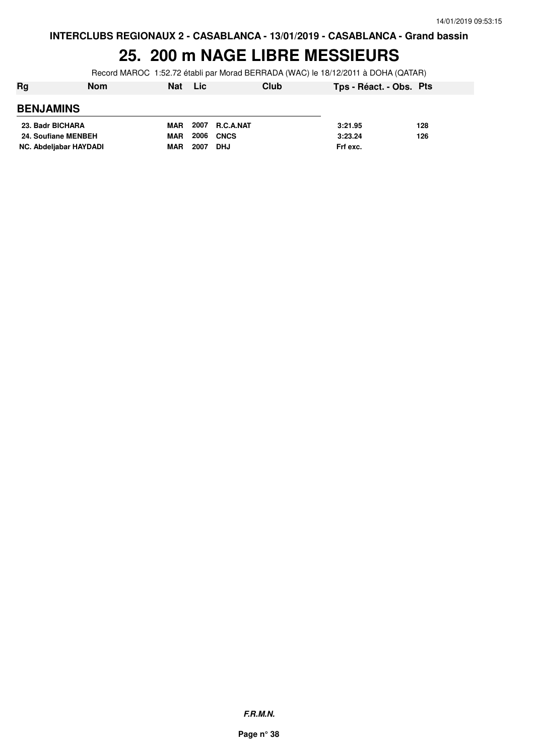#### **25. 200 m NAGE LIBRE MESSIEURS**

Record MAROC 1:52.72 établi par Morad BERRADA (WAC) le 18/12/2011 à DOHA (QATAR)

| Rg                     | <b>Nom</b> | <b>Nat</b> | Lic  |            | Club | Tps - Réact. - Obs. Pts |     |
|------------------------|------------|------------|------|------------|------|-------------------------|-----|
| <b>BENJAMINS</b>       |            |            |      |            |      |                         |     |
| 23. Badr BICHARA       |            | <b>MAR</b> | 2007 | R.C.A.NAT  |      | 3:21.95                 | 128 |
| 24. Soufiane MENBEH    |            | <b>MAR</b> | 2006 | CNCS       |      | 3:23.24                 | 126 |
| NC. Abdeljabar HAYDADI |            | <b>MAR</b> | 2007 | <b>DHJ</b> |      | Frf exc.                |     |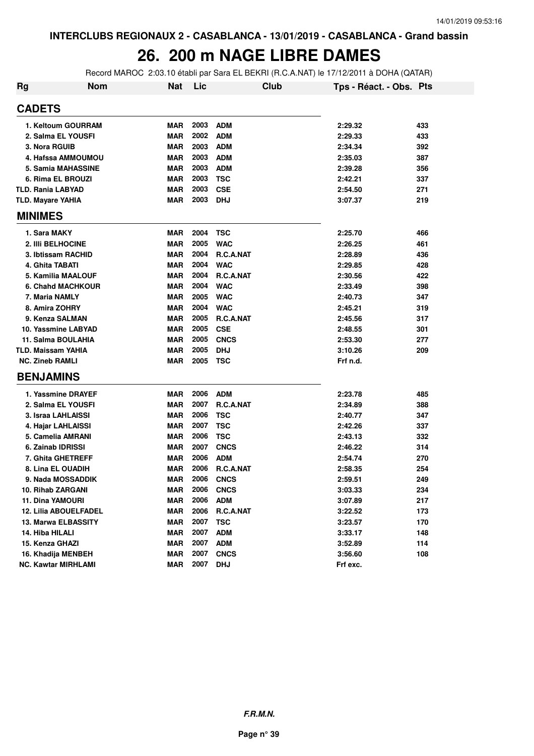# **26. 200 m NAGE LIBRE DAMES**

Record MAROC 2:03.10 établi par Sara EL BEKRI (R.C.A.NAT) le 17/12/2011 à DOHA (QATAR)

| <b>Rg</b> | <b>Nom</b>                 | <b>Nat</b> | Lic  |                  | Club | Tps - Réact. - Obs. Pts |     |
|-----------|----------------------------|------------|------|------------------|------|-------------------------|-----|
|           | <b>CADETS</b>              |            |      |                  |      |                         |     |
|           | 1. Keltoum GOURRAM         | <b>MAR</b> | 2003 | <b>ADM</b>       |      | 2:29.32                 | 433 |
|           | 2. Salma EL YOUSFI         | <b>MAR</b> | 2002 | <b>ADM</b>       |      | 2:29.33                 | 433 |
|           | 3. Nora RGUIB              | <b>MAR</b> | 2003 | <b>ADM</b>       |      | 2:34.34                 | 392 |
|           | 4. Hafssa AMMOUMOU         | <b>MAR</b> | 2003 | <b>ADM</b>       |      | 2:35.03                 | 387 |
|           | 5. Samia MAHASSINE         | <b>MAR</b> | 2003 | <b>ADM</b>       |      | 2:39.28                 | 356 |
|           | 6. Rima EL BROUZI          | <b>MAR</b> | 2003 | <b>TSC</b>       |      | 2:42.21                 | 337 |
|           | <b>TLD. Rania LABYAD</b>   | <b>MAR</b> | 2003 | <b>CSE</b>       |      | 2:54.50                 | 271 |
|           | <b>TLD. Mayare YAHIA</b>   | <b>MAR</b> | 2003 | <b>DHJ</b>       |      | 3:07.37                 | 219 |
|           | <b>MINIMES</b>             |            |      |                  |      |                         |     |
|           | 1. Sara MAKY               | MAR        | 2004 | <b>TSC</b>       |      | 2:25.70                 | 466 |
|           | 2. IIIi BELHOCINE          | <b>MAR</b> | 2005 | <b>WAC</b>       |      | 2:26.25                 | 461 |
|           | 3. Ibtissam RACHID         | <b>MAR</b> | 2004 | R.C.A.NAT        |      | 2:28.89                 | 436 |
|           | 4. Ghita TABATI            | <b>MAR</b> | 2004 | <b>WAC</b>       |      | 2:29.85                 | 428 |
|           | 5. Kamilia MAALOUF         | <b>MAR</b> | 2004 | R.C.A.NAT        |      | 2:30.56                 | 422 |
|           | <b>6. Chahd MACHKOUR</b>   | <b>MAR</b> | 2004 | <b>WAC</b>       |      | 2:33.49                 | 398 |
|           | 7. Maria NAMLY             | <b>MAR</b> | 2005 | <b>WAC</b>       |      | 2:40.73                 | 347 |
|           | 8. Amira ZOHRY             | <b>MAR</b> | 2004 | <b>WAC</b>       |      | 2:45.21                 | 319 |
|           | 9. Kenza SALMAN            | <b>MAR</b> | 2005 | <b>R.C.A.NAT</b> |      | 2:45.56                 | 317 |
|           | 10. Yassmine LABYAD        | <b>MAR</b> | 2005 | <b>CSE</b>       |      | 2:48.55                 | 301 |
|           | 11. Salma BOULAHIA         | <b>MAR</b> | 2005 | <b>CNCS</b>      |      | 2:53.30                 | 277 |
|           | TLD. Maissam YAHIA         | <b>MAR</b> | 2005 | <b>DHJ</b>       |      | 3:10.26                 | 209 |
|           | <b>NC. Zineb RAMLI</b>     | <b>MAR</b> | 2005 | <b>TSC</b>       |      | Frf n.d.                |     |
|           | <b>BENJAMINS</b>           |            |      |                  |      |                         |     |
|           | 1. Yassmine DRAYEF         | <b>MAR</b> | 2006 | <b>ADM</b>       |      | 2:23.78                 | 485 |
|           | 2. Salma EL YOUSFI         | <b>MAR</b> | 2007 | R.C.A.NAT        |      | 2:34.89                 | 388 |
|           | 3. Israa LAHLAISSI         | <b>MAR</b> | 2006 | TSC              |      | 2:40.77                 | 347 |
|           | 4. Hajar LAHLAISSI         | <b>MAR</b> | 2007 | TSC              |      | 2:42.26                 | 337 |
|           | 5. Camelia AMRANI          | <b>MAR</b> | 2006 | <b>TSC</b>       |      | 2:43.13                 | 332 |
|           | 6. Zainab IDRISSI          | <b>MAR</b> | 2007 | <b>CNCS</b>      |      | 2:46.22                 | 314 |
|           | 7. Ghita GHETREFF          | <b>MAR</b> | 2006 | <b>ADM</b>       |      | 2:54.74                 | 270 |
|           | 8. Lina EL OUADIH          | <b>MAR</b> | 2006 | R.C.A.NAT        |      | 2:58.35                 | 254 |
|           | 9. Nada MOSSADDIK          | <b>MAR</b> | 2006 | <b>CNCS</b>      |      | 2:59.51                 | 249 |
|           | 10. Rihab ZARGANI          | MAR        | 2006 | <b>CNCS</b>      |      | 3:03.33                 | 234 |
|           | 11. Dina YAMOURI           | <b>MAR</b> | 2006 | <b>ADM</b>       |      | 3:07.89                 | 217 |
|           | 12. Lilia ABOUELFADEL      | MAR        | 2006 | R.C.A.NAT        |      | 3:22.52                 | 173 |
|           | 13. Marwa ELBASSITY        | <b>MAR</b> | 2007 | <b>TSC</b>       |      | 3:23.57                 | 170 |
|           | 14. Hiba HILALI            | MAR        | 2007 | <b>ADM</b>       |      | 3:33.17                 | 148 |
|           | 15. Kenza GHAZI            | <b>MAR</b> | 2007 | <b>ADM</b>       |      | 3:52.89                 | 114 |
|           | 16. Khadija MENBEH         | <b>MAR</b> | 2007 | <b>CNCS</b>      |      | 3:56.60                 | 108 |
|           | <b>NC. Kawtar MIRHLAMI</b> | MAR        | 2007 | <b>DHJ</b>       |      | Frf exc.                |     |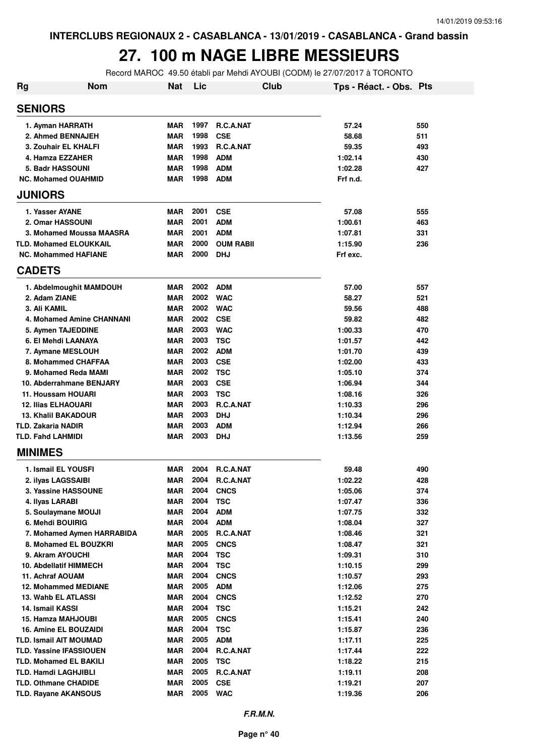#### **27. 100 m NAGE LIBRE MESSIEURS**

Record MAROC 49.50 établi par Mehdi AYOUBI (CODM) le 27/07/2017 à TORONTO

| <b>Rg</b> | <b>Nom</b>                     | <b>Nat</b> | Lic  | Club             | Tps - Réact. - Obs. Pts |     |
|-----------|--------------------------------|------------|------|------------------|-------------------------|-----|
|           | <b>SENIORS</b>                 |            |      |                  |                         |     |
|           | 1. Ayman HARRATH               | <b>MAR</b> | 1997 | R.C.A.NAT        | 57.24                   | 550 |
|           | 2. Ahmed BENNAJEH              | <b>MAR</b> | 1998 | <b>CSE</b>       | 58.68                   | 511 |
|           | 3. Zouhair EL KHALFI           | <b>MAR</b> | 1993 | R.C.A.NAT        | 59.35                   | 493 |
|           | 4. Hamza EZZAHER               | <b>MAR</b> | 1998 | <b>ADM</b>       | 1:02.14                 | 430 |
|           | 5. Badr HASSOUNI               | <b>MAR</b> | 1998 | <b>ADM</b>       | 1:02.28                 | 427 |
|           | <b>NC. Mohamed OUAHMID</b>     | <b>MAR</b> | 1998 | <b>ADM</b>       | Frf n.d.                |     |
|           | <b>JUNIORS</b>                 |            |      |                  |                         |     |
|           | 1. Yasser AYANE                | <b>MAR</b> | 2001 | <b>CSE</b>       | 57.08                   | 555 |
|           | 2. Omar HASSOUNI               | <b>MAR</b> | 2001 | <b>ADM</b>       | 1:00.61                 | 463 |
|           | 3. Mohamed Moussa MAASRA       | <b>MAR</b> | 2001 | <b>ADM</b>       | 1:07.81                 | 331 |
|           | <b>TLD. Mohamed ELOUKKAIL</b>  | <b>MAR</b> | 2000 | <b>OUM RABII</b> | 1:15.90                 | 236 |
|           | <b>NC. Mohammed HAFIANE</b>    | <b>MAR</b> | 2000 | DHJ              | Frf exc.                |     |
|           | <b>CADETS</b>                  |            |      |                  |                         |     |
|           | 1. Abdelmoughit MAMDOUH        | <b>MAR</b> | 2002 | ADM              | 57.00                   | 557 |
|           | 2. Adam ZIANE                  | <b>MAR</b> | 2002 | <b>WAC</b>       | 58.27                   | 521 |
|           | 3. Ali KAMIL                   | <b>MAR</b> | 2002 | <b>WAC</b>       | 59.56                   | 488 |
|           | 4. Mohamed Amine CHANNANI      | <b>MAR</b> | 2002 | <b>CSE</b>       | 59.82                   | 482 |
|           | 5. Aymen TAJEDDINE             | <b>MAR</b> | 2003 | <b>WAC</b>       | 1:00.33                 | 470 |
|           | 6. El Mehdi LAANAYA            | <b>MAR</b> | 2003 | <b>TSC</b>       | 1:01.57                 | 442 |
|           | 7. Aymane MESLOUH              | <b>MAR</b> | 2002 | <b>ADM</b>       | 1:01.70                 | 439 |
|           | 8. Mohammed CHAFFAA            | <b>MAR</b> | 2003 | <b>CSE</b>       | 1:02.00                 | 433 |
|           | 9. Mohamed Reda MAMI           | <b>MAR</b> | 2002 | <b>TSC</b>       | 1:05.10                 | 374 |
|           | 10. Abderrahmane BENJARY       | <b>MAR</b> | 2003 | <b>CSE</b>       | 1:06.94                 | 344 |
|           | 11. Houssam HOUARI             | <b>MAR</b> | 2003 | <b>TSC</b>       | 1:08.16                 | 326 |
|           | <b>12. Ilias ELHAOUARI</b>     | <b>MAR</b> | 2003 | R.C.A.NAT        | 1:10.33                 | 296 |
|           | <b>13. Khalil BAKADOUR</b>     | <b>MAR</b> | 2003 | <b>DHJ</b>       | 1:10.34                 | 296 |
|           | TLD. Zakaria NADIR             | <b>MAR</b> | 2003 | <b>ADM</b>       | 1:12.94                 | 266 |
|           | <b>TLD. Fahd LAHMIDI</b>       | <b>MAR</b> | 2003 | <b>DHJ</b>       | 1:13.56                 | 259 |
|           | <b>MINIMES</b>                 |            |      |                  |                         |     |
|           | 1. Ismail EL YOUSFI            | <b>MAR</b> | 2004 | R.C.A.NAT        | 59.48                   | 490 |
|           | 2. ilyas LAGSSAIBI             | <b>MAR</b> | 2004 | <b>R.C.A.NAT</b> | 1:02.22                 | 428 |
|           | 3. Yassine HASSOUNE            | MAR        | 2004 | <b>CNCS</b>      | 1:05.06                 | 374 |
|           | 4. Ilyas LARABI                | <b>MAR</b> | 2004 | <b>TSC</b>       | 1:07.47                 | 336 |
|           | 5. Soulaymane MOUJI            | MAR        | 2004 | <b>ADM</b>       | 1:07.75                 | 332 |
|           | 6. Mehdi BOUIRIG               | MAR        | 2004 | <b>ADM</b>       | 1:08.04                 | 327 |
|           | 7. Mohamed Aymen HARRABIDA     | MAR        | 2005 | R.C.A.NAT        | 1:08.46                 | 321 |
|           | 8. Mohamed EL BOUZKRI          | MAR        | 2005 | <b>CNCS</b>      | 1:08.47                 | 321 |
|           | 9. Akram AYOUCHI               | <b>MAR</b> | 2004 | <b>TSC</b>       | 1:09.31                 | 310 |
|           | <b>10. Abdellatif HIMMECH</b>  | MAR        | 2004 | <b>TSC</b>       | 1:10.15                 | 299 |
|           | 11. Achraf AOUAM               | MAR        | 2004 | <b>CNCS</b>      | 1:10.57                 | 293 |
|           | <b>12. Mohammed MEDIANE</b>    | <b>MAR</b> | 2005 | <b>ADM</b>       | 1:12.06                 | 275 |
|           | 13. Wahb EL ATLASSI            | MAR        | 2004 | <b>CNCS</b>      | 1:12.52                 | 270 |
|           | 14. Ismail KASSI               | MAR        | 2004 | <b>TSC</b>       | 1:15.21                 | 242 |
|           | 15. Hamza MAHJOUBI             | <b>MAR</b> | 2005 | <b>CNCS</b>      | 1:15.41                 | 240 |
|           | 16. Amine EL BOUZAIDI          | MAR        | 2004 | <b>TSC</b>       | 1:15.87                 | 236 |
|           | <b>TLD. Ismail AIT MOUMAD</b>  | MAR        | 2005 | <b>ADM</b>       | 1:17.11                 | 225 |
|           | <b>TLD. Yassine IFASSIOUEN</b> | <b>MAR</b> | 2004 | R.C.A.NAT        | 1:17.44                 | 222 |
|           | <b>TLD. Mohamed EL BAKILI</b>  | MAR        | 2005 | TSC              | 1:18.22                 | 215 |
|           | <b>TLD. Hamdi LAGHJIBLI</b>    | <b>MAR</b> | 2005 | R.C.A.NAT        | 1:19.11                 | 208 |
|           | <b>TLD. Othmane CHADIDE</b>    | <b>MAR</b> | 2005 | <b>CSE</b>       | 1:19.21                 | 207 |
|           | <b>TLD. Rayane AKANSOUS</b>    | MAR        | 2005 | <b>WAC</b>       | 1:19.36                 | 206 |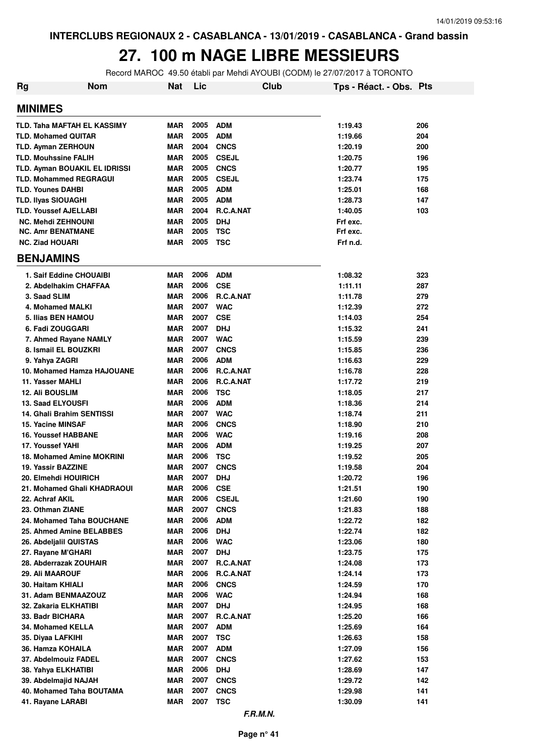#### **27. 100 m NAGE LIBRE MESSIEURS**

Record MAROC 49.50 établi par Mehdi AYOUBI (CODM) le 27/07/2017 à TORONTO

| <b>Nom</b><br>Rg                         | <b>Nat</b>               | Lic          |                           | Club | Tps - Réact. - Obs. Pts |            |
|------------------------------------------|--------------------------|--------------|---------------------------|------|-------------------------|------------|
| <b>MINIMES</b>                           |                          |              |                           |      |                         |            |
| TLD. Taha MAFTAH EL KASSIMY              | <b>MAR</b>               | 2005         | <b>ADM</b>                |      | 1:19.43                 | 206        |
| <b>TLD. Mohamed QUITAR</b>               | <b>MAR</b>               | 2005         | <b>ADM</b>                |      | 1:19.66                 | 204        |
| <b>TLD. Ayman ZERHOUN</b>                | <b>MAR</b>               | 2004         | <b>CNCS</b>               |      | 1:20.19                 | 200        |
| <b>TLD. Mouhssine FALIH</b>              | <b>MAR</b>               | 2005         | <b>CSEJL</b>              |      | 1:20.75                 | 196        |
| TLD. Ayman BOUAKIL EL IDRISSI            | <b>MAR</b>               | 2005         | <b>CNCS</b>               |      | 1:20.77                 | 195        |
| <b>TLD. Mohammed REGRAGUI</b>            | <b>MAR</b>               | 2005         | <b>CSEJL</b>              |      | 1:23.74                 | 175        |
| <b>TLD. Younes DAHBI</b>                 | <b>MAR</b>               | 2005         | <b>ADM</b>                |      | 1:25.01                 | 168        |
| <b>TLD. Ilyas SIOUAGHI</b>               | <b>MAR</b>               | 2005         | <b>ADM</b>                |      | 1:28.73                 | 147        |
| <b>TLD. Youssef AJELLABI</b>             | <b>MAR</b>               | 2004         | R.C.A.NAT                 |      | 1:40.05                 | 103        |
| <b>NC. Mehdi ZEHNOUNI</b>                | <b>MAR</b>               | 2005         | <b>DHJ</b>                |      | Frf exc.                |            |
| <b>NC. Amr BENATMANE</b>                 | <b>MAR</b>               | 2005         | TSC                       |      | Frf exc.                |            |
| <b>NC. Ziad HOUARI</b>                   | <b>MAR</b>               | 2005         | <b>TSC</b>                |      | Frf n.d.                |            |
| <b>BENJAMINS</b>                         |                          |              |                           |      |                         |            |
| 1. Saif Eddine CHOUAIBI                  | <b>MAR</b>               | 2006         | <b>ADM</b>                |      | 1:08.32                 | 323        |
| 2. Abdelhakim CHAFFAA                    | <b>MAR</b>               | 2006         | <b>CSE</b>                |      | 1:11.11                 | 287        |
| 3. Saad SLIM                             | <b>MAR</b>               | 2006         | R.C.A.NAT                 |      | 1:11.78                 | 279        |
| 4. Mohamed MALKI                         | <b>MAR</b>               | 2007         | <b>WAC</b>                |      | 1:12.39                 | 272        |
| 5. Ilias BEN HAMOU                       | <b>MAR</b>               | 2007         | <b>CSE</b>                |      | 1:14.03                 | 254        |
| 6. Fadi ZOUGGARI                         | <b>MAR</b>               | 2007         | <b>DHJ</b>                |      | 1:15.32                 | 241        |
| 7. Ahmed Rayane NAMLY                    | <b>MAR</b>               | 2007         | <b>WAC</b>                |      | 1:15.59                 | 239        |
| 8. Ismail EL BOUZKRI                     | <b>MAR</b>               | 2007         | <b>CNCS</b>               |      | 1:15.85                 | 236        |
| 9. Yahya ZAGRI                           | <b>MAR</b>               | 2006         | <b>ADM</b>                |      | 1:16.63                 | 229        |
| 10. Mohamed Hamza HAJOUANE               | <b>MAR</b>               | 2006         | R.C.A.NAT                 |      | 1:16.78                 | 228        |
| 11. Yasser MAHLI                         | <b>MAR</b>               | 2006         | R.C.A.NAT                 |      | 1:17.72                 | 219        |
| <b>12. Ali BOUSLIM</b>                   | <b>MAR</b>               | 2006         | <b>TSC</b>                |      | 1:18.05                 | 217        |
| <b>13. Saad ELYOUSFI</b>                 | <b>MAR</b>               | 2006         | <b>ADM</b>                |      | 1:18.36                 | 214        |
| 14. Ghali Brahim SENTISSI                | <b>MAR</b>               | 2007         | <b>WAC</b>                |      | 1:18.74                 | 211        |
| <b>15. Yacine MINSAF</b>                 | <b>MAR</b>               | 2006         | <b>CNCS</b>               |      | 1:18.90                 | 210        |
| <b>16. Youssef HABBANE</b>               | <b>MAR</b>               | 2006         | <b>WAC</b>                |      | 1:19.16                 | 208        |
| 17. Youssef YAHI                         | <b>MAR</b>               | 2006         | <b>ADM</b>                |      | 1:19.25                 | 207        |
| <b>18. Mohamed Amine MOKRINI</b>         | <b>MAR</b>               | 2006         | <b>TSC</b>                |      | 1:19.52                 | 205        |
| 19. Yassir BAZZINE                       | <b>MAR</b>               | 2007         | <b>CNCS</b>               |      | 1:19.58                 | 204        |
| 20. Elmehdi HOUIRICH                     | <b>MAR</b>               | 2007         | <b>DHJ</b>                |      | 1:20.72                 | 196        |
| 21. Mohamed Ghali KHADRAOUI              | MAR                      | 2006         | <b>CSE</b>                |      | 1:21.51                 | 190        |
| 22. Achraf AKIL                          | MAR                      | 2006         | <b>CSEJL</b>              |      | 1:21.60                 | 190        |
| 23. Othman ZIANE                         | <b>MAR</b>               | 2007         | <b>CNCS</b>               |      | 1:21.83                 | 188        |
| 24. Mohamed Taha BOUCHANE                | <b>MAR</b>               | 2006         | <b>ADM</b>                |      | 1:22.72                 | 182        |
| 25. Ahmed Amine BELABBES                 | <b>MAR</b>               | 2006<br>2006 | <b>DHJ</b>                |      | 1:22.74                 | 182        |
| 26. Abdeljalil QUISTAS                   | <b>MAR</b>               | 2007         | <b>WAC</b>                |      | 1:23.06                 | 180        |
| 27. Rayane M'GHARI                       | <b>MAR</b>               | 2007         | <b>DHJ</b><br>R.C.A.NAT   |      | 1:23.75<br>1:24.08      | 175        |
| 28. Abderrazak ZOUHAIR                   | <b>MAR</b><br><b>MAR</b> | 2006         |                           |      |                         | 173        |
| 29. Ali MAAROUF                          | <b>MAR</b>               | 2006         | R.C.A.NAT                 |      | 1:24.14                 | 173        |
| 30. Haitam KHIALI<br>31. Adam BENMAAZOUZ | <b>MAR</b>               | 2006         | <b>CNCS</b><br><b>WAC</b> |      | 1:24.59<br>1:24.94      | 170<br>168 |
| 32. Zakaria ELKHATIBI                    | MAR                      | 2007         | <b>DHJ</b>                |      | 1:24.95                 | 168        |
|                                          |                          | 2007         |                           |      |                         |            |
| 33. Badr BICHARA<br>34. Mohamed KELLA    | MAR<br>MAR               | 2007         | R.C.A.NAT<br><b>ADM</b>   |      | 1:25.20                 | 166<br>164 |
|                                          |                          | 2007         |                           |      | 1:25.69                 |            |
| 35. Diyaa LAFKIHI<br>36. Hamza KOHAILA   | <b>MAR</b><br>MAR        | 2007         | <b>TSC</b><br><b>ADM</b>  |      | 1:26.63                 | 158<br>156 |
| 37. Abdelmouiz FADEL                     | MAR                      | 2007         | <b>CNCS</b>               |      | 1:27.09<br>1:27.62      | 153        |
| 38. Yahya ELKHATIBI                      | MAR                      | 2006         | <b>DHJ</b>                |      | 1:28.69                 | 147        |
| 39. Abdelmajid NAJAH                     | MAR                      | 2007         | <b>CNCS</b>               |      | 1:29.72                 | 142        |
| 40. Mohamed Taha BOUTAMA                 | MAR                      | 2007         | <b>CNCS</b>               |      | 1:29.98                 | 141        |
| 41. Rayane LARABI                        | <b>MAR</b>               | 2007         | <b>TSC</b>                |      | 1:30.09                 | 141        |
|                                          |                          |              |                           |      |                         |            |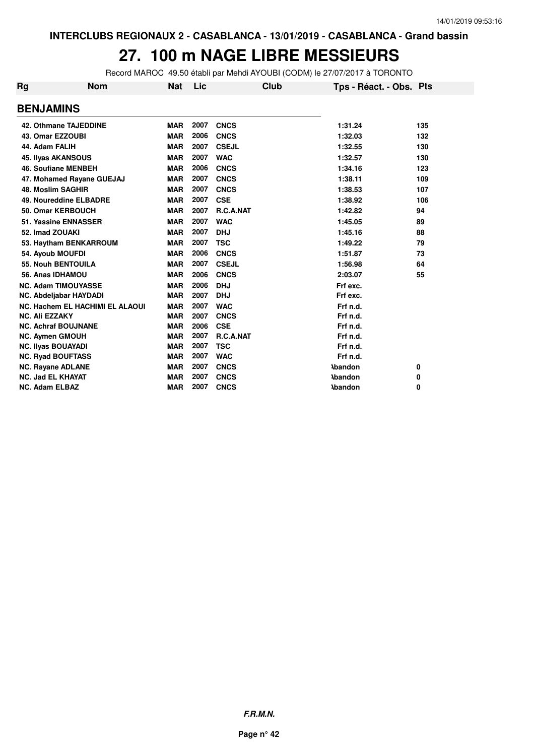#### **27. 100 m NAGE LIBRE MESSIEURS**

Record MAROC 49.50 établi par Mehdi AYOUBI (CODM) le 27/07/2017 à TORONTO

| Rg | Nom                             | Nat        | Lic  |              | Club | Tps - Réact. - Obs. Pts |     |
|----|---------------------------------|------------|------|--------------|------|-------------------------|-----|
|    | <b>BENJAMINS</b>                |            |      |              |      |                         |     |
|    | <b>42. Othmane TAJEDDINE</b>    | <b>MAR</b> | 2007 | <b>CNCS</b>  |      | 1:31.24                 | 135 |
|    | 43. Omar EZZOUBI                | <b>MAR</b> | 2006 | <b>CNCS</b>  |      | 1:32.03                 | 132 |
|    | 44. Adam FALIH                  | <b>MAR</b> | 2007 | <b>CSEJL</b> |      | 1:32.55                 | 130 |
|    | <b>45. Ilyas AKANSOUS</b>       | <b>MAR</b> | 2007 | <b>WAC</b>   |      | 1:32.57                 | 130 |
|    | <b>46. Soufiane MENBEH</b>      | <b>MAR</b> | 2006 | <b>CNCS</b>  |      | 1:34.16                 | 123 |
|    | 47. Mohamed Rayane GUEJAJ       | <b>MAR</b> | 2007 | <b>CNCS</b>  |      | 1:38.11                 | 109 |
|    | 48. Moslim SAGHIR               | <b>MAR</b> | 2007 | <b>CNCS</b>  |      | 1:38.53                 | 107 |
|    | 49. Noureddine ELBADRE          | <b>MAR</b> | 2007 | <b>CSE</b>   |      | 1:38.92                 | 106 |
|    | 50. Omar KERBOUCH               | <b>MAR</b> | 2007 | R.C.A.NAT    |      | 1:42.82                 | 94  |
|    | 51. Yassine ENNASSER            | <b>MAR</b> | 2007 | <b>WAC</b>   |      | 1:45.05                 | 89  |
|    | 52. Imad ZOUAKI                 | <b>MAR</b> | 2007 | <b>DHJ</b>   |      | 1:45.16                 | 88  |
|    | 53. Haytham BENKARROUM          | <b>MAR</b> | 2007 | <b>TSC</b>   |      | 1:49.22                 | 79  |
|    | 54. Ayoub MOUFDI                | <b>MAR</b> | 2006 | <b>CNCS</b>  |      | 1:51.87                 | 73  |
|    | <b>55. Nouh BENTOUILA</b>       | <b>MAR</b> | 2007 | <b>CSEJL</b> |      | 1:56.98                 | 64  |
|    | 56. Anas IDHAMOU                | <b>MAR</b> | 2006 | <b>CNCS</b>  |      | 2:03.07                 | 55  |
|    | <b>NC. Adam TIMOUYASSE</b>      | <b>MAR</b> | 2006 | <b>DHJ</b>   |      | Frf exc.                |     |
|    | NC. Abdeljabar HAYDADI          | <b>MAR</b> | 2007 | <b>DHJ</b>   |      | Frf exc.                |     |
|    | NC. Hachem EL HACHIMI EL ALAOUI | <b>MAR</b> | 2007 | <b>WAC</b>   |      | Frf n.d.                |     |
|    | <b>NC. Ali EZZAKY</b>           | <b>MAR</b> | 2007 | <b>CNCS</b>  |      | Frf n.d.                |     |
|    | <b>NC. Achraf BOUJNANE</b>      | <b>MAR</b> | 2006 | <b>CSE</b>   |      | Frf n.d.                |     |
|    | <b>NC. Aymen GMOUH</b>          | <b>MAR</b> | 2007 | R.C.A.NAT    |      | Frf n.d.                |     |
|    | <b>NC. Ilyas BOUAYADI</b>       | <b>MAR</b> | 2007 | <b>TSC</b>   |      | Frf n.d.                |     |
|    | <b>NC. Ryad BOUFTASS</b>        | <b>MAR</b> | 2007 | <b>WAC</b>   |      | Frf n.d.                |     |
|    | NC. Rayane ADLANE               | <b>MAR</b> | 2007 | <b>CNCS</b>  |      | <b>Abandon</b>          | 0   |
|    | <b>NC. Jad EL KHAYAT</b>        | <b>MAR</b> | 2007 | <b>CNCS</b>  |      | <b>Abandon</b>          | 0   |
|    | <b>NC. Adam ELBAZ</b>           | <b>MAR</b> | 2007 | <b>CNCS</b>  |      | <b>Abandon</b>          | 0   |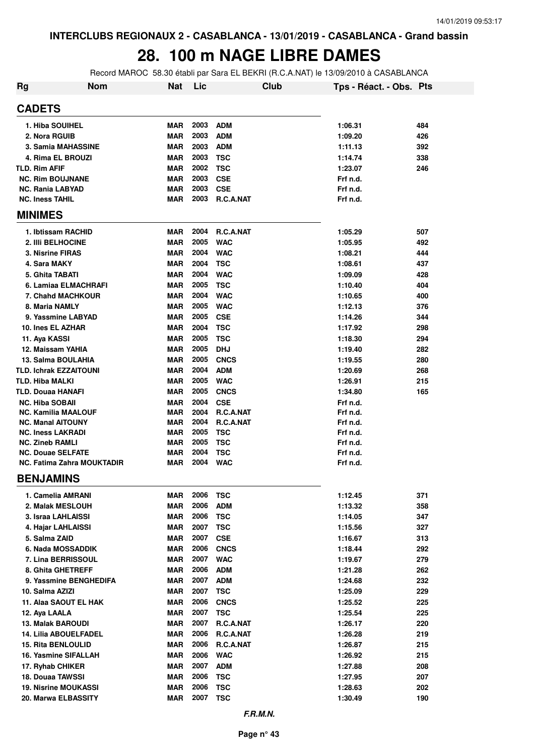# **28. 100 m NAGE LIBRE DAMES**

Record MAROC 58.30 établi par Sara EL BEKRI (R.C.A.NAT) le 13/09/2010 à CASABLANCA

| Rg | <b>Nom</b>                                              | Nat                      | Lic          |                          | Club | Tps - Réact. - Obs. Pts |            |
|----|---------------------------------------------------------|--------------------------|--------------|--------------------------|------|-------------------------|------------|
|    | <b>CADETS</b>                                           |                          |              |                          |      |                         |            |
|    | 1. Hiba SOUIHEL                                         | <b>MAR</b>               | 2003         | <b>ADM</b>               |      | 1:06.31                 | 484        |
|    | 2. Nora RGUIB                                           | <b>MAR</b>               | 2003         | <b>ADM</b>               |      | 1:09.20                 | 426        |
|    | 3. Samia MAHASSINE                                      | <b>MAR</b>               | 2003         | <b>ADM</b>               |      | 1:11.13                 | 392        |
|    | 4. Rima EL BROUZI                                       | <b>MAR</b>               | 2003         | <b>TSC</b>               |      | 1:14.74                 | 338        |
|    | <b>TLD. Rim AFIF</b>                                    | <b>MAR</b>               | 2002         | <b>TSC</b>               |      | 1:23.07                 | 246        |
|    | <b>NC. Rim BOUJNANE</b>                                 | <b>MAR</b>               | 2003         | <b>CSE</b>               |      | Frf n.d.                |            |
|    | <b>NC. Rania LABYAD</b>                                 | <b>MAR</b>               | 2003         | <b>CSE</b>               |      | Frf n.d.                |            |
|    | <b>NC. Iness TAHIL</b>                                  | MAR                      | 2003         | R.C.A.NAT                |      | Frf n.d.                |            |
|    | <b>MINIMES</b>                                          |                          |              |                          |      |                         |            |
|    | 1. Ibtissam RACHID                                      | <b>MAR</b>               | 2004         | R.C.A.NAT                |      | 1:05.29                 | 507        |
|    | 2. IIIi BELHOCINE                                       | <b>MAR</b>               | 2005         | <b>WAC</b>               |      | 1:05.95                 | 492        |
|    | 3. Nisrine FIRAS                                        | <b>MAR</b>               | 2004         | <b>WAC</b>               |      | 1:08.21                 | 444        |
|    | 4. Sara MAKY                                            | <b>MAR</b>               | 2004         | <b>TSC</b>               |      | 1:08.61                 | 437        |
|    | 5. Ghita TABATI                                         | <b>MAR</b>               | 2004         | <b>WAC</b>               |      | 1:09.09                 | 428        |
|    | 6. Lamiaa ELMACHRAFI                                    | <b>MAR</b>               | 2005         | <b>TSC</b>               |      | 1:10.40                 | 404        |
|    | 7. Chahd MACHKOUR                                       | <b>MAR</b>               | 2004         | <b>WAC</b>               |      | 1:10.65                 | 400        |
|    | 8. Maria NAMLY                                          | <b>MAR</b>               | 2005         | <b>WAC</b>               |      | 1:12.13                 | 376        |
|    | 9. Yassmine LABYAD                                      | <b>MAR</b>               | 2005         | <b>CSE</b>               |      | 1:14.26                 | 344        |
|    | 10. Ines EL AZHAR                                       | <b>MAR</b>               | 2004         | <b>TSC</b>               |      | 1:17.92                 | 298        |
|    | 11. Aya KASSI                                           | <b>MAR</b>               | 2005         | <b>TSC</b>               |      | 1:18.30                 | 294        |
|    | 12. Maissam YAHIA                                       | <b>MAR</b>               | 2005         | <b>DHJ</b>               |      | 1:19.40                 | 282        |
|    | 13. Salma BOULAHIA                                      | <b>MAR</b>               | 2005         | <b>CNCS</b>              |      | 1:19.55                 | 280        |
|    |                                                         | <b>MAR</b>               | 2004         |                          |      |                         |            |
|    | <b>TLD. Ichrak EZZAITOUNI</b><br><b>TLD. Hiba MALKI</b> | <b>MAR</b>               | 2005         | <b>ADM</b><br><b>WAC</b> |      | 1:20.69                 | 268<br>215 |
|    | TLD. Douaa HANAFI                                       | <b>MAR</b>               | 2005         |                          |      | 1:26.91                 |            |
|    |                                                         |                          |              | <b>CNCS</b>              |      | 1:34.80                 | 165        |
|    | <b>NC. Hiba SOBAII</b>                                  | <b>MAR</b><br><b>MAR</b> | 2004<br>2004 | <b>CSE</b><br>R.C.A.NAT  |      | Frf n.d.                |            |
|    | <b>NC. Kamilia MAALOUF</b><br><b>NC. Manal AITOUNY</b>  | <b>MAR</b>               | 2004         | R.C.A.NAT                |      | Frf n.d.<br>Frf n.d.    |            |
|    | <b>NC. Iness LAKRADI</b>                                | <b>MAR</b>               | 2005         | <b>TSC</b>               |      | Frf n.d.                |            |
|    | <b>NC. Zineb RAMLI</b>                                  | MAR                      | 2005         | <b>TSC</b>               |      | Frf n.d.                |            |
|    | <b>NC. Douae SELFATE</b>                                | <b>MAR</b>               | 2004         | <b>TSC</b>               |      | Frf n.d.                |            |
|    | <b>NC. Fatima Zahra MOUKTADIR</b>                       | MAR                      | 2004         | <b>WAC</b>               |      | Frf n.d.                |            |
|    | <b>BENJAMINS</b>                                        |                          |              |                          |      |                         |            |
|    | 1. Camelia AMRANI                                       | <b>MAR</b>               | 2006         | <b>TSC</b>               |      | 1:12.45                 | 371        |
|    | 2. Malak MESLOUH                                        | <b>MAR</b>               | 2006         | <b>ADM</b>               |      | 1:13.32                 | 358        |
|    | 3. Israa LAHLAISSI                                      | MAR                      | 2006         | <b>TSC</b>               |      | 1:14.05                 | 347        |
|    | 4. Hajar LAHLAISSI                                      | MAR                      | 2007         | <b>TSC</b>               |      | 1:15.56                 | 327        |
|    | 5. Salma ZAID                                           | MAR                      | 2007         | <b>CSE</b>               |      | 1:16.67                 | 313        |
|    | 6. Nada MOSSADDIK                                       | <b>MAR</b>               | 2006         | <b>CNCS</b>              |      | 1:18.44                 | 292        |
|    | 7. Lina BERRISSOUL                                      | <b>MAR</b>               | 2007         | <b>WAC</b>               |      | 1:19.67                 | 279        |
|    | 8. Ghita GHETREFF                                       | <b>MAR</b>               | 2006         | <b>ADM</b>               |      | 1:21.28                 | 262        |
|    | 9. Yassmine BENGHEDIFA                                  | MAR                      | 2007         | <b>ADM</b>               |      | 1:24.68                 | 232        |
|    | 10. Salma AZIZI                                         | <b>MAR</b>               | 2007         | <b>TSC</b>               |      | 1:25.09                 | 229        |
|    | 11. Alaa SAOUT EL HAK                                   | <b>MAR</b>               | 2006         | <b>CNCS</b>              |      | 1:25.52                 | 225        |
|    | 12. Aya LAALA                                           | <b>MAR</b>               | 2007         | <b>TSC</b>               |      | 1:25.54                 | 225        |
|    | 13. Malak BAROUDI                                       | <b>MAR</b>               | 2007         | R.C.A.NAT                |      | 1:26.17                 | 220        |
|    | <b>14. Lilia ABOUELFADEL</b>                            | <b>MAR</b>               | 2006         | R.C.A.NAT                |      | 1:26.28                 | 219        |
|    | <b>15. Rita BENLOULID</b>                               | <b>MAR</b>               | 2006         | R.C.A.NAT                |      | 1:26.87                 | 215        |
|    | 16. Yasmine SIFALLAH                                    | <b>MAR</b>               | 2006         | <b>WAC</b>               |      | 1:26.92                 | 215        |
|    | 17. Ryhab CHIKER                                        | <b>MAR</b>               | 2007         | <b>ADM</b>               |      | 1:27.88                 | 208        |
|    | 18. Douaa TAWSSI                                        | <b>MAR</b>               | 2006         | <b>TSC</b>               |      | 1:27.95                 | 207        |
|    | <b>19. Nisrine MOUKASSI</b>                             | <b>MAR</b>               | 2006         | <b>TSC</b>               |      | 1:28.63                 | 202        |
|    | 20. Marwa ELBASSITY                                     | <b>MAR</b>               | 2007         | <b>TSC</b>               |      | 1:30.49                 | 190        |
|    |                                                         |                          |              |                          |      |                         |            |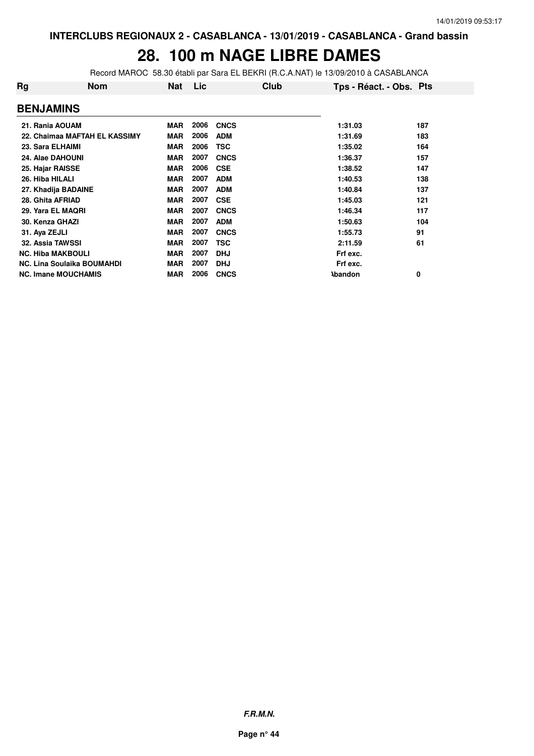# **28. 100 m NAGE LIBRE DAMES**

Record MAROC 58.30 établi par Sara EL BEKRI (R.C.A.NAT) le 13/09/2010 à CASABLANCA

| Rg                         | <b>Nom</b>                        | <b>Nat</b> | <b>Lic</b> | Club        | Tps - Réact. - Obs. Pts |     |
|----------------------------|-----------------------------------|------------|------------|-------------|-------------------------|-----|
| <b>BENJAMINS</b>           |                                   |            |            |             |                         |     |
| 21. Rania AOUAM            |                                   | <b>MAR</b> | 2006       | <b>CNCS</b> | 1:31.03                 | 187 |
|                            | 22. Chaimaa MAFTAH EL KASSIMY     | <b>MAR</b> | 2006       | <b>ADM</b>  | 1:31.69                 | 183 |
| 23. Sara ELHAIMI           |                                   | <b>MAR</b> | 2006       | <b>TSC</b>  | 1:35.02                 | 164 |
| 24. Alae DAHOUNI           |                                   | <b>MAR</b> | 2007       | <b>CNCS</b> | 1:36.37                 | 157 |
| 25. Hajar RAISSE           |                                   | <b>MAR</b> | 2006       | <b>CSE</b>  | 1:38.52                 | 147 |
| 26. Hiba HILALI            |                                   | <b>MAR</b> | 2007       | <b>ADM</b>  | 1:40.53                 | 138 |
| 27. Khadija BADAINE        |                                   | <b>MAR</b> | 2007       | <b>ADM</b>  | 1:40.84                 | 137 |
| 28. Ghita AFRIAD           |                                   | <b>MAR</b> | 2007       | <b>CSE</b>  | 1:45.03                 | 121 |
| 29. Yara EL MAQRI          |                                   | <b>MAR</b> | 2007       | <b>CNCS</b> | 1:46.34                 | 117 |
| 30. Kenza GHAZI            |                                   | <b>MAR</b> | 2007       | <b>ADM</b>  | 1:50.63                 | 104 |
| 31. Aya ZEJLI              |                                   | <b>MAR</b> | 2007       | <b>CNCS</b> | 1:55.73                 | 91  |
| <b>32. Assia TAWSSI</b>    |                                   | <b>MAR</b> | 2007       | <b>TSC</b>  | 2:11.59                 | 61  |
| <b>NC. Hiba MAKBOULI</b>   |                                   | <b>MAR</b> | 2007       | <b>DHJ</b>  | Frf exc.                |     |
|                            | <b>NC. Lina Soulaika BOUMAHDI</b> | MAR        | 2007       | <b>DHJ</b>  | Frf exc.                |     |
| <b>NC. Imane MOUCHAMIS</b> |                                   | <b>MAR</b> | 2006       | <b>CNCS</b> | <b>\bandon</b>          | 0   |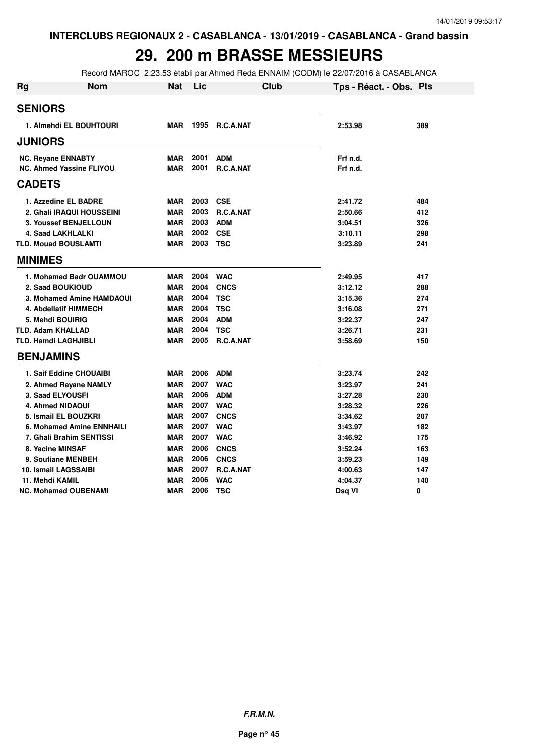#### **29. 200 m BRASSE MESSIEURS**

Record MAROC 2:23.53 établi par Ahmed Reda ENNAIM (CODM) le 22/07/2016 à CASABLANCA

| <b>Rg</b>      | <b>Nom</b>                       | Nat        | Lic  | Club             | Tps - Réact. - Obs. Pts |     |
|----------------|----------------------------------|------------|------|------------------|-------------------------|-----|
| <b>SENIORS</b> |                                  |            |      |                  |                         |     |
|                | 1. Almehdi EL BOUHTOURI          | <b>MAR</b> | 1995 | R.C.A.NAT        | 2:53.98                 | 389 |
| <b>JUNIORS</b> |                                  |            |      |                  |                         |     |
|                | <b>NC. Reyane ENNABTY</b>        | <b>MAR</b> | 2001 | <b>ADM</b>       | Frf n.d.                |     |
|                | <b>NC. Ahmed Yassine FLIYOU</b>  | <b>MAR</b> | 2001 | <b>R.C.A.NAT</b> | Frf n.d.                |     |
| <b>CADETS</b>  |                                  |            |      |                  |                         |     |
|                | 1. Azzedine EL BADRE             | <b>MAR</b> | 2003 | <b>CSE</b>       | 2:41.72                 | 484 |
|                | 2. Ghali IRAQUI HOUSSEINI        | <b>MAR</b> | 2003 | <b>R.C.A.NAT</b> | 2:50.66                 | 412 |
|                | 3. Youssef BENJELLOUN            | <b>MAR</b> | 2003 | <b>ADM</b>       | 3:04.51                 | 326 |
|                | 4. Saad LAKHLALKI                | <b>MAR</b> | 2002 | <b>CSE</b>       | 3:10.11                 | 298 |
|                | <b>TLD. Mouad BOUSLAMTI</b>      | <b>MAR</b> | 2003 | <b>TSC</b>       | 3:23.89                 | 241 |
| <b>MINIMES</b> |                                  |            |      |                  |                         |     |
|                | 1. Mohamed Badr OUAMMOU          | <b>MAR</b> | 2004 | <b>WAC</b>       | 2:49.95                 | 417 |
|                | 2. Saad BOUKIOUD                 | <b>MAR</b> | 2004 | <b>CNCS</b>      | 3:12.12                 | 288 |
|                | 3. Mohamed Amine HAMDAOUI        | <b>MAR</b> | 2004 | <b>TSC</b>       | 3:15.36                 | 274 |
|                | 4. Abdellatif HIMMECH            | <b>MAR</b> | 2004 | <b>TSC</b>       | 3:16.08                 | 271 |
|                | 5. Mehdi BOUIRIG                 | <b>MAR</b> | 2004 | <b>ADM</b>       | 3:22.37                 | 247 |
|                | <b>TLD. Adam KHALLAD</b>         | <b>MAR</b> | 2004 | <b>TSC</b>       | 3:26.71                 | 231 |
|                | <b>TLD. Hamdi LAGHJIBLI</b>      | <b>MAR</b> | 2005 | R.C.A.NAT        | 3:58.69                 | 150 |
|                | <b>BENJAMINS</b>                 |            |      |                  |                         |     |
|                | 1. Saif Eddine CHOUAIBI          | <b>MAR</b> | 2006 | <b>ADM</b>       | 3:23.74                 | 242 |
|                | 2. Ahmed Rayane NAMLY            | <b>MAR</b> | 2007 | <b>WAC</b>       | 3:23.97                 | 241 |
|                | 3. Saad ELYOUSFI                 | <b>MAR</b> | 2006 | <b>ADM</b>       | 3:27.28                 | 230 |
|                | <b>4. Ahmed NIDAOUI</b>          | <b>MAR</b> | 2007 | <b>WAC</b>       | 3:28.32                 | 226 |
|                | 5. Ismail EL BOUZKRI             | <b>MAR</b> | 2007 | <b>CNCS</b>      | 3:34.62                 | 207 |
|                | <b>6. Mohamed Amine ENNHAILI</b> | <b>MAR</b> | 2007 | <b>WAC</b>       | 3:43.97                 | 182 |
|                | 7. Ghali Brahim SENTISSI         | <b>MAR</b> | 2007 | <b>WAC</b>       | 3:46.92                 | 175 |
|                | 8. Yacine MINSAF                 | <b>MAR</b> | 2006 | <b>CNCS</b>      | 3:52.24                 | 163 |
|                | 9. Soufiane MENBEH               | <b>MAR</b> | 2006 | <b>CNCS</b>      | 3:59.23                 | 149 |
|                | 10. Ismail LAGSSAIBI             | <b>MAR</b> | 2007 | <b>R.C.A.NAT</b> | 4:00.63                 | 147 |
|                | 11. Mehdi KAMIL                  | <b>MAR</b> | 2006 | <b>WAC</b>       | 4:04.37                 | 140 |
|                | <b>NC. Mohamed OUBENAMI</b>      | <b>MAR</b> | 2006 | <b>TSC</b>       | Dsg VI                  | 0   |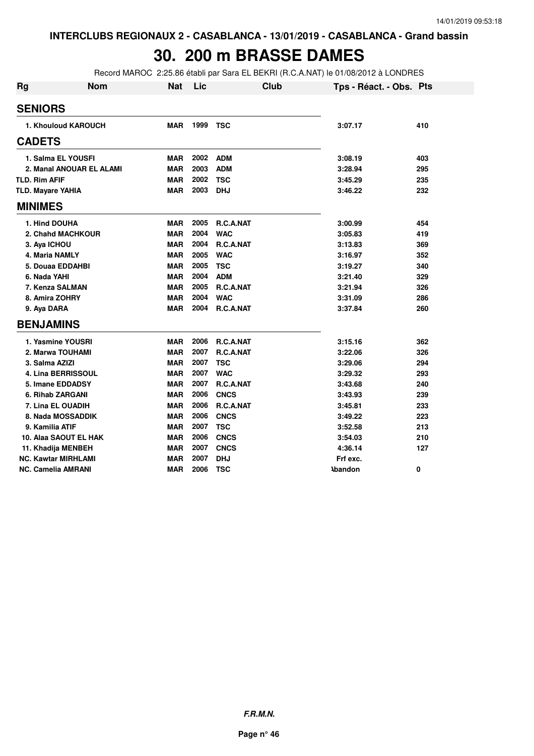### **30. 200 m BRASSE DAMES**

Record MAROC 2:25.86 établi par Sara EL BEKRI (R.C.A.NAT) le 01/08/2012 à LONDRES

| <b>Rg</b>            | <b>Nom</b>                 | <b>Nat</b> | Lic  | <b>Club</b>      | Tps - Réact. - Obs. Pts |     |
|----------------------|----------------------------|------------|------|------------------|-------------------------|-----|
| <b>SENIORS</b>       |                            |            |      |                  |                         |     |
|                      | 1. Khouloud KAROUCH        | <b>MAR</b> | 1999 | <b>TSC</b>       | 3:07.17                 | 410 |
| <b>CADETS</b>        |                            |            |      |                  |                         |     |
|                      | 1. Salma EL YOUSFI         | <b>MAR</b> | 2002 | <b>ADM</b>       | 3:08.19                 | 403 |
|                      | 2. Manal ANOUAR EL ALAMI   | <b>MAR</b> | 2003 | <b>ADM</b>       | 3:28.94                 | 295 |
| <b>TLD. Rim AFIF</b> |                            | <b>MAR</b> | 2002 | <b>TSC</b>       | 3:45.29                 | 235 |
|                      | <b>TLD. Mayare YAHIA</b>   | <b>MAR</b> | 2003 | <b>DHJ</b>       | 3:46.22                 | 232 |
| <b>MINIMES</b>       |                            |            |      |                  |                         |     |
|                      | 1. Hind DOUHA              | <b>MAR</b> | 2005 | R.C.A.NAT        | 3:00.99                 | 454 |
|                      | 2. Chahd MACHKOUR          | <b>MAR</b> | 2004 | <b>WAC</b>       | 3:05.83                 | 419 |
|                      | 3. Aya ICHOU               | <b>MAR</b> | 2004 | <b>R.C.A.NAT</b> | 3:13.83                 | 369 |
|                      | <b>4. Maria NAMLY</b>      | <b>MAR</b> | 2005 | <b>WAC</b>       | 3:16.97                 | 352 |
|                      | 5. Douaa EDDAHBI           | <b>MAR</b> | 2005 | <b>TSC</b>       | 3:19.27                 | 340 |
|                      | 6. Nada YAHI               | <b>MAR</b> | 2004 | <b>ADM</b>       | 3:21.40                 | 329 |
|                      | 7. Kenza SALMAN            | <b>MAR</b> | 2005 | <b>R.C.A.NAT</b> | 3:21.94                 | 326 |
|                      | 8. Amira ZOHRY             | <b>MAR</b> | 2004 | <b>WAC</b>       | 3:31.09                 | 286 |
|                      | 9. Aya DARA                | <b>MAR</b> | 2004 | <b>R.C.A.NAT</b> | 3:37.84                 | 260 |
|                      | <b>BENJAMINS</b>           |            |      |                  |                         |     |
|                      | 1. Yasmine YOUSRI          | <b>MAR</b> | 2006 | <b>R.C.A.NAT</b> | 3:15.16                 | 362 |
|                      | 2. Marwa TOUHAMI           | <b>MAR</b> | 2007 | R.C.A.NAT        | 3:22.06                 | 326 |
|                      | 3. Salma AZIZI             | <b>MAR</b> | 2007 | <b>TSC</b>       | 3:29.06                 | 294 |
|                      | 4. Lina BERRISSOUL         | <b>MAR</b> | 2007 | <b>WAC</b>       | 3:29.32                 | 293 |
|                      | 5. Imane EDDADSY           | <b>MAR</b> | 2007 | <b>R.C.A.NAT</b> | 3:43.68                 | 240 |
|                      | 6. Rihab ZARGANI           | <b>MAR</b> | 2006 | <b>CNCS</b>      | 3:43.93                 | 239 |
|                      | <b>7. Lina EL OUADIH</b>   | <b>MAR</b> | 2006 | R.C.A.NAT        | 3:45.81                 | 233 |
|                      | 8. Nada MOSSADDIK          | <b>MAR</b> | 2006 | <b>CNCS</b>      | 3:49.22                 | 223 |
|                      | 9. Kamilia ATIF            | <b>MAR</b> | 2007 | <b>TSC</b>       | 3:52.58                 | 213 |
|                      | 10. Alaa SAOUT EL HAK      | <b>MAR</b> | 2006 | <b>CNCS</b>      | 3:54.03                 | 210 |
|                      | 11. Khadija MENBEH         | <b>MAR</b> | 2007 | <b>CNCS</b>      | 4:36.14                 | 127 |
|                      | <b>NC. Kawtar MIRHLAMI</b> | <b>MAR</b> | 2007 | <b>DHJ</b>       | Frf exc.                |     |
|                      | <b>NC. Camelia AMRANI</b>  | <b>MAR</b> | 2006 | <b>TSC</b>       | <b>Abandon</b>          | 0   |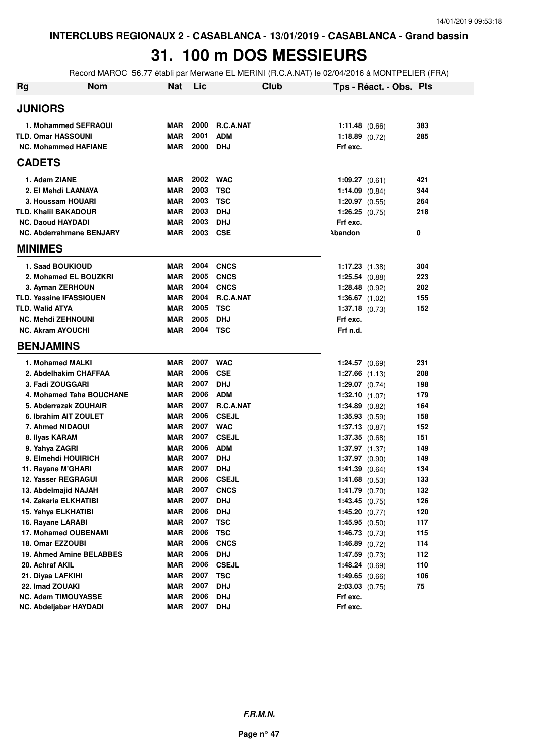# **31. 100 m DOS MESSIEURS**

Record MAROC 56.77 établi par Merwane EL MERINI (R.C.A.NAT) le 02/04/2016 à MONTPELIER (FRA)

| Rg | <b>Nom</b>                                    | <b>Nat</b>               | Lic          | Club                     |                      | Tps - Réact. - Obs. Pts |     |
|----|-----------------------------------------------|--------------------------|--------------|--------------------------|----------------------|-------------------------|-----|
|    | <b>JUNIORS</b>                                |                          |              |                          |                      |                         |     |
|    | 1. Mohammed SEFRAOUI                          | <b>MAR</b>               | 2000         | <b>R.C.A.NAT</b>         | 1:11.48 $(0.66)$     |                         | 383 |
|    | <b>TLD. Omar HASSOUNI</b>                     | <b>MAR</b>               | 2001         | <b>ADM</b>               | 1:18.89 $(0.72)$     |                         | 285 |
|    | <b>NC. Mohammed HAFIANE</b>                   | <b>MAR</b>               | 2000         | DHJ                      | Frf exc.             |                         |     |
|    | <b>CADETS</b>                                 |                          |              |                          |                      |                         |     |
|    | 1. Adam ZIANE                                 | <b>MAR</b>               | 2002         | <b>WAC</b>               | $1:09.27$ (0.61)     |                         | 421 |
|    | 2. El Mehdi LAANAYA                           | <b>MAR</b>               | 2003         | <b>TSC</b>               | $1:14.09$ $(0.84)$   |                         | 344 |
|    | 3. Houssam HOUARI                             | <b>MAR</b>               | 2003         | <b>TSC</b>               | $1:20.97$ (0.55)     |                         | 264 |
|    | <b>TLD. Khalil BAKADOUR</b>                   | <b>MAR</b>               | 2003         | <b>DHJ</b>               | 1:26.25 $(0.75)$     |                         | 218 |
|    | <b>NC. Daoud HAYDADI</b>                      | <b>MAR</b>               | 2003         | <b>DHJ</b>               | Frf exc.             |                         |     |
|    | NC. Abderrahmane BENJARY                      | <b>MAR</b>               | 2003         | <b>CSE</b>               | <b>\bandon</b>       |                         | 0   |
|    | <b>MINIMES</b>                                |                          |              |                          |                      |                         |     |
|    | 1. Saad BOUKIOUD                              | <b>MAR</b>               | 2004         | <b>CNCS</b>              | $1:17.23$ $(1.38)$   |                         | 304 |
|    | 2. Mohamed EL BOUZKRI                         | <b>MAR</b>               | 2005         | <b>CNCS</b>              | $1:25.54$ $(0.88)$   |                         | 223 |
|    | 3. Ayman ZERHOUN                              | <b>MAR</b>               | 2004         | <b>CNCS</b>              | $1:28.48$ (0.92)     |                         | 202 |
|    | <b>TLD. Yassine IFASSIOUEN</b>                | <b>MAR</b>               | 2004         | <b>R.C.A.NAT</b>         | 1:36.67 $(1.02)$     |                         | 155 |
|    | <b>TLD. Walid ATYA</b>                        | <b>MAR</b>               | 2005         | TSC                      | $1:37.18$ (0.73)     |                         | 152 |
|    | <b>NC. Mehdi ZEHNOUNI</b>                     | <b>MAR</b>               | 2005         | <b>DHJ</b>               | Frf exc.             |                         |     |
|    | <b>NC. Akram AYOUCHI</b>                      | <b>MAR</b>               | 2004         | TSC                      | Frf n.d.             |                         |     |
|    | <b>BENJAMINS</b>                              |                          |              |                          |                      |                         |     |
|    | 1. Mohamed MALKI                              | <b>MAR</b>               | 2007         | <b>WAC</b>               | $1:24.57$ (0.69)     |                         | 231 |
|    | 2. Abdelhakim CHAFFAA                         | <b>MAR</b>               | 2006         | <b>CSE</b>               | $1:27.66$ $(1.13)$   |                         | 208 |
|    | 3. Fadi ZOUGGARI                              | <b>MAR</b>               | 2007         | <b>DHJ</b>               | 1:29.07 $(0.74)$     |                         | 198 |
|    | 4. Mohamed Taha BOUCHANE                      | <b>MAR</b>               | 2006         | <b>ADM</b>               | $1:32.10$ $(1.07)$   |                         | 179 |
|    | 5. Abderrazak ZOUHAIR                         | <b>MAR</b>               | 2007         | R.C.A.NAT                | $1:34.89$ (0.82)     |                         | 164 |
|    | 6. Ibrahim AIT ZOULET                         | <b>MAR</b>               | 2006         | <b>CSEJL</b>             | $1:35.93$ $(0.59)$   |                         | 158 |
|    | 7. Ahmed NIDAOUI                              | <b>MAR</b>               | 2007         | <b>WAC</b>               | $1:37.13$ $(0.87)$   |                         | 152 |
|    | 8. Ilyas KARAM                                | <b>MAR</b>               | 2007         | <b>CSEJL</b>             | $1:37.35$ $(0.68)$   |                         | 151 |
|    | 9. Yahya ZAGRI                                | <b>MAR</b>               | 2006         | <b>ADM</b>               | $1:37.97$ $(1.37)$   |                         | 149 |
|    | 9. Elmehdi HOUIRICH                           | <b>MAR</b>               | 2007         | <b>DHJ</b>               | 1:37.97(0.90)        |                         | 149 |
|    | 11. Rayane M'GHARI                            | <b>MAR</b>               | 2007         | <b>DHJ</b>               | 1:41.39 $(0.64)$     |                         | 134 |
|    | 12. Yasser REGRAGUI                           | <b>MAR</b>               | 2006         | <b>CSEJL</b>             | $1:41.68$ (0.53)     |                         | 133 |
|    | 13. Abdelmajid NAJAH                          | MAR                      | 2007         | <b>CNCS</b>              | 1:41.79 $(0.70)$     |                         | 132 |
|    | 14. Zakaria ELKHATIBI                         | <b>MAR</b>               | 2007         | <b>DHJ</b>               | $1:43.45$ (0.75)     |                         | 126 |
|    | 15. Yahya ELKHATIBI                           | <b>MAR</b>               | 2006         | <b>DHJ</b>               | 1:45.20 (0.77)       |                         | 120 |
|    | 16. Rayane LARABI                             | <b>MAR</b>               | 2007         | <b>TSC</b>               | 1:45.95(0.50)        |                         | 117 |
|    | 17. Mohamed OUBENAMI                          | <b>MAR</b>               | 2006         | <b>TSC</b>               | 1:46.73(0.73)        |                         | 115 |
|    | 18. Omar EZZOUBI                              | <b>MAR</b>               | 2006         | <b>CNCS</b>              | $1:46.89$ (0.72)     |                         | 114 |
|    | 19. Ahmed Amine BELABBES                      | <b>MAR</b>               | 2006         | <b>DHJ</b>               | $1:47.59$ (0.73)     |                         | 112 |
|    | 20. Achraf AKIL                               | <b>MAR</b>               | 2006         | <b>CSEJL</b>             | 1:48.24(0.69)        |                         | 110 |
|    | 21. Diyaa LAFKIHI                             | <b>MAR</b>               | 2007         | <b>TSC</b>               | 1:49.65(0.66)        |                         | 106 |
|    | 22. Imad ZOUAKI                               | <b>MAR</b>               | 2007<br>2006 | <b>DHJ</b>               | $2:03.03$ $(0.75)$   |                         | 75  |
|    | NC. Adam TIMOUYASSE<br>NC. Abdeljabar HAYDADI | <b>MAR</b><br><b>MAR</b> | 2007         | <b>DHJ</b><br><b>DHJ</b> | Frf exc.<br>Frf exc. |                         |     |
|    |                                               |                          |              |                          |                      |                         |     |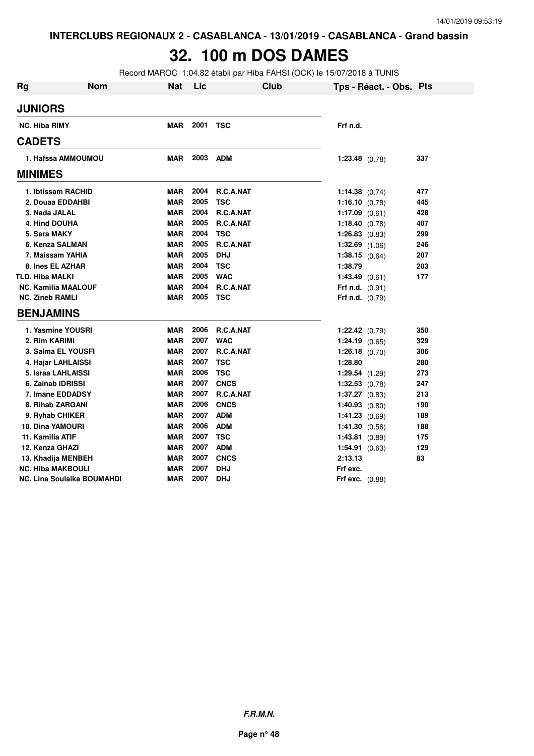### **32. 100 m DOS DAMES**

Record MAROC 1:04.82 établi par Hiba FAHSI (OCK) le 15/07/2018 à TUNIS

| <b>Rg</b> | <b>Nom</b>                        | <b>Nat</b> | Lic  | Club             | Tps - Réact. - Obs. Pts  |     |
|-----------|-----------------------------------|------------|------|------------------|--------------------------|-----|
|           | <b>JUNIORS</b>                    |            |      |                  |                          |     |
|           | <b>NC. Hiba RIMY</b>              | <b>MAR</b> | 2001 | <b>TSC</b>       | Frf n.d.                 |     |
|           | <b>CADETS</b>                     |            |      |                  |                          |     |
|           | 1. Hafssa AMMOUMOU                | MAR        | 2003 | <b>ADM</b>       | $1:23.48$ (0.78)         | 337 |
|           | <b>MINIMES</b>                    |            |      |                  |                          |     |
|           | 1. Ibtissam RACHID                | <b>MAR</b> | 2004 | R.C.A.NAT        | 1:14.38 $(0.74)$         | 477 |
|           | 2. Douaa EDDAHBI                  | <b>MAR</b> | 2005 | <b>TSC</b>       | 1:16.10 $(0.78)$         | 445 |
|           | 3. Nada JALAL                     | <b>MAR</b> | 2004 | R.C.A.NAT        | 1:17.09 $(0.61)$         | 428 |
|           | 4. Hind DOUHA                     | <b>MAR</b> | 2005 | R.C.A.NAT        | 1:18.40 $(0.78)$         | 407 |
|           | 5. Sara MAKY                      | <b>MAR</b> | 2004 | <b>TSC</b>       | $1:26.83$ (0.83)         | 299 |
|           | 6. Kenza SALMAN                   | <b>MAR</b> | 2005 | R.C.A.NAT        | $1:32.69$ $(1.06)$       | 246 |
|           | 7. Maissam YAHIA                  | <b>MAR</b> | 2005 | <b>DHJ</b>       | $1:38.15$ (0.64)         | 207 |
|           | 8. Ines EL AZHAR                  | <b>MAR</b> | 2004 | <b>TSC</b>       | 1:38.79                  | 203 |
|           | <b>TLD. Hiba MALKI</b>            | <b>MAR</b> | 2005 | <b>WAC</b>       | 1:43.49(0.61)            | 177 |
|           | <b>NC. Kamilia MAALOUF</b>        | <b>MAR</b> | 2004 | <b>R.C.A.NAT</b> | Frf n.d. $(0.91)$        |     |
|           | <b>NC. Zineb RAMLI</b>            | <b>MAR</b> | 2005 | <b>TSC</b>       | Frf n.d. $(0.79)$        |     |
|           | <b>BENJAMINS</b>                  |            |      |                  |                          |     |
|           | 1. Yasmine YOUSRI                 | <b>MAR</b> | 2006 | R.C.A.NAT        | $1:22.42$ (0.79)         | 350 |
|           | 2. Rim KARIMI                     | <b>MAR</b> | 2007 | <b>WAC</b>       | $1:24.19$ (0.65)         | 329 |
|           | 3. Salma EL YOUSFI                | <b>MAR</b> | 2007 | R.C.A.NAT        | $1:26.18$ (0.70)         | 306 |
|           | 4. Hajar LAHLAISSI                | <b>MAR</b> | 2007 | <b>TSC</b>       | 1:28.80                  | 280 |
|           | 5. Israa LAHLAISSI                | <b>MAR</b> | 2006 | <b>TSC</b>       | $1:29.54$ $(1.29)$       | 273 |
|           | 6. Zainab IDRISSI                 | <b>MAR</b> | 2007 | <b>CNCS</b>      | $1:32.53$ (0.78)         | 247 |
|           | 7. Imane EDDADSY                  | <b>MAR</b> | 2007 | R.C.A.NAT        | 1:37.27(0.83)            | 213 |
|           | 8. Rihab ZARGANI                  | <b>MAR</b> | 2006 | <b>CNCS</b>      | 1:40.93 $(0.80)$         | 190 |
|           | 9. Ryhab CHIKER                   | <b>MAR</b> | 2007 | <b>ADM</b>       | 1:41.23(0.69)            | 189 |
|           | <b>10. Dina YAMOURI</b>           | <b>MAR</b> | 2006 | <b>ADM</b>       | 1:41.30(0.56)            | 188 |
|           | 11. Kamilia ATIF                  | <b>MAR</b> | 2007 | <b>TSC</b>       | 1:43.81(0.89)            | 175 |
|           | 12. Kenza GHAZI                   | <b>MAR</b> | 2007 | <b>ADM</b>       | 1:54.91 (0.63)           | 129 |
|           | 13. Khadija MENBEH                | <b>MAR</b> | 2007 | <b>CNCS</b>      | 2:13.13                  | 83  |
|           | <b>NC. Hiba MAKBOULI</b>          | <b>MAR</b> | 2007 | <b>DHJ</b>       | Frf exc.                 |     |
|           | <b>NC. Lina Soulaika BOUMAHDI</b> | <b>MAR</b> | 2007 | <b>DHJ</b>       | <b>Frf exc.</b> $(0.88)$ |     |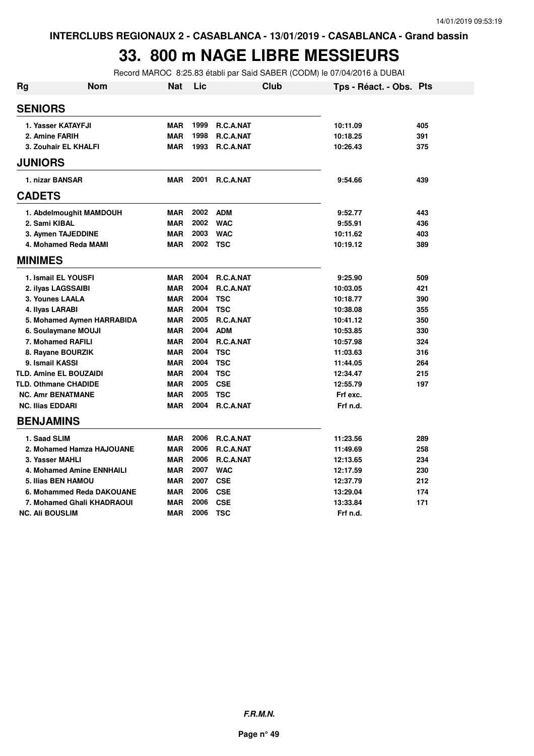## **33. 800 m NAGE LIBRE MESSIEURS**

Record MAROC 8:25.83 établi par Said SABER (CODM) le 07/04/2016 à DUBAI

| <b>Rg</b>          | <b>Nom</b>                       | <b>Nat</b> | Lic       |                  | <b>Club</b> | Tps - Réact. - Obs. Pts |     |
|--------------------|----------------------------------|------------|-----------|------------------|-------------|-------------------------|-----|
| <b>SENIORS</b>     |                                  |            |           |                  |             |                         |     |
| 1. Yasser KATAYFJI |                                  | <b>MAR</b> | 1999      | <b>R.C.A.NAT</b> |             | 10:11.09                | 405 |
| 2. Amine FARIH     | <b>MAR</b>                       | 1998       | R.C.A.NAT |                  | 10:18.25    | 391                     |     |
|                    | 3. Zouhair EL KHALFI             | <b>MAR</b> | 1993      | R.C.A.NAT        |             | 10:26.43                | 375 |
| <b>JUNIORS</b>     |                                  |            |           |                  |             |                         |     |
|                    | 1. nizar BANSAR                  | <b>MAR</b> | 2001      | <b>R.C.A.NAT</b> |             | 9:54.66                 | 439 |
| <b>CADETS</b>      |                                  |            |           |                  |             |                         |     |
|                    | 1. Abdelmoughit MAMDOUH          | <b>MAR</b> | 2002      | <b>ADM</b>       |             | 9:52.77                 | 443 |
| 2. Sami KIBAL      |                                  | <b>MAR</b> | 2002      | <b>WAC</b>       |             | 9:55.91                 | 436 |
|                    | 3. Aymen TAJEDDINE               | <b>MAR</b> | 2003      | <b>WAC</b>       |             | 10:11.62                | 403 |
|                    | 4. Mohamed Reda MAMI             | <b>MAR</b> | 2002 TSC  |                  |             | 10:19.12                | 389 |
| <b>MINIMES</b>     |                                  |            |           |                  |             |                         |     |
|                    | 1. Ismail EL YOUSFI              | <b>MAR</b> | 2004      | <b>R.C.A.NAT</b> |             | 9:25.90                 | 509 |
|                    | 2. ilyas LAGSSAIBI               | <b>MAR</b> | 2004      | R.C.A.NAT        |             | 10:03.05                | 421 |
|                    | 3. Younes LAALA                  | <b>MAR</b> | 2004      | <b>TSC</b>       |             | 10:18.77                | 390 |
|                    | 4. Ilyas LARABI                  | <b>MAR</b> | 2004      | <b>TSC</b>       |             | 10:38.08                | 355 |
|                    | 5. Mohamed Aymen HARRABIDA       | <b>MAR</b> | 2005      | R.C.A.NAT        |             | 10:41.12                | 350 |
|                    | 6. Soulaymane MOUJI              | <b>MAR</b> | 2004      | <b>ADM</b>       |             | 10:53.85                | 330 |
|                    | 7. Mohamed RAFILI                | <b>MAR</b> | 2004      | R.C.A.NAT        |             | 10:57.98                | 324 |
|                    | 8. Rayane BOURZIK                | <b>MAR</b> | 2004      | <b>TSC</b>       |             | 11:03.63                | 316 |
|                    | 9. Ismail KASSI                  | <b>MAR</b> | 2004      | <b>TSC</b>       |             | 11:44.05                | 264 |
|                    | <b>TLD. Amine EL BOUZAIDI</b>    | <b>MAR</b> | 2004      | <b>TSC</b>       |             | 12:34.47                | 215 |
|                    | TLD. Othmane CHADIDE             | <b>MAR</b> | 2005      | <b>CSE</b>       |             | 12:55.79                | 197 |
|                    | <b>NC. Amr BENATMANE</b>         | <b>MAR</b> | 2005      | <b>TSC</b>       |             | Frf exc.                |     |
|                    | <b>NC. Ilias EDDARI</b>          | <b>MAR</b> | 2004      | R.C.A.NAT        |             | Frf n.d.                |     |
|                    | <b>BENJAMINS</b>                 |            |           |                  |             |                         |     |
|                    | 1. Saad SLIM                     | <b>MAR</b> | 2006      | R.C.A.NAT        |             | 11:23.56                | 289 |
|                    | 2. Mohamed Hamza HAJOUANE        | <b>MAR</b> | 2006      | R.C.A.NAT        |             | 11:49.69                | 258 |
|                    | 3. Yasser MAHLI                  | <b>MAR</b> | 2006      | <b>R.C.A.NAT</b> |             | 12:13.65                | 234 |
|                    | <b>4. Mohamed Amine ENNHAILI</b> | <b>MAR</b> | 2007      | <b>WAC</b>       |             | 12:17.59                | 230 |
|                    | 5. Ilias BEN HAMOU               | <b>MAR</b> | 2007      | <b>CSE</b>       |             | 12:37.79                | 212 |
|                    | 6. Mohammed Reda DAKOUANE        | <b>MAR</b> | 2006      | <b>CSE</b>       |             | 13:29.04                | 174 |
|                    | 7. Mohamed Ghali KHADRAOUI       | <b>MAR</b> | 2006      | <b>CSE</b>       |             | 13:33.84                | 171 |
|                    | <b>NC. Ali BOUSLIM</b>           | <b>MAR</b> | 2006      | <b>TSC</b>       |             | Frf n.d.                |     |